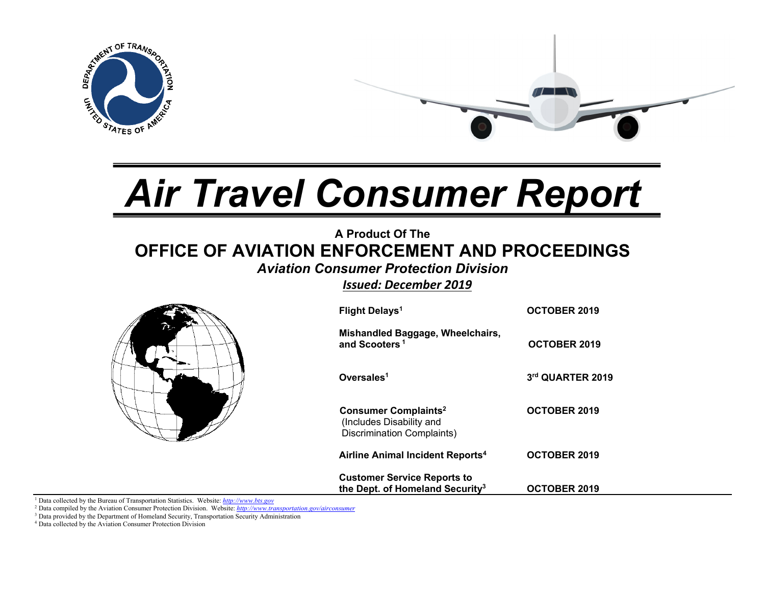

# *Air Travel Consumer Report*

# **A Product Of The OFFICE OF AVIATION ENFORCEMENT AND PROCEEDINGS**

# *Aviation Consumer Protection Division*

*Issued: December 2019*



1 Data collected by the Bureau of Transportation Statistics. Website: *http://www.bts.gov*

2 Data compiled by the Aviation Consumer Protection Division. Website: *http://www.transportation.gov/airconsumer*

<sup>3</sup> Data provided by the Department of Homeland Security, Transportation Security Administration

4 Data collected by the Aviation Consumer Protection Division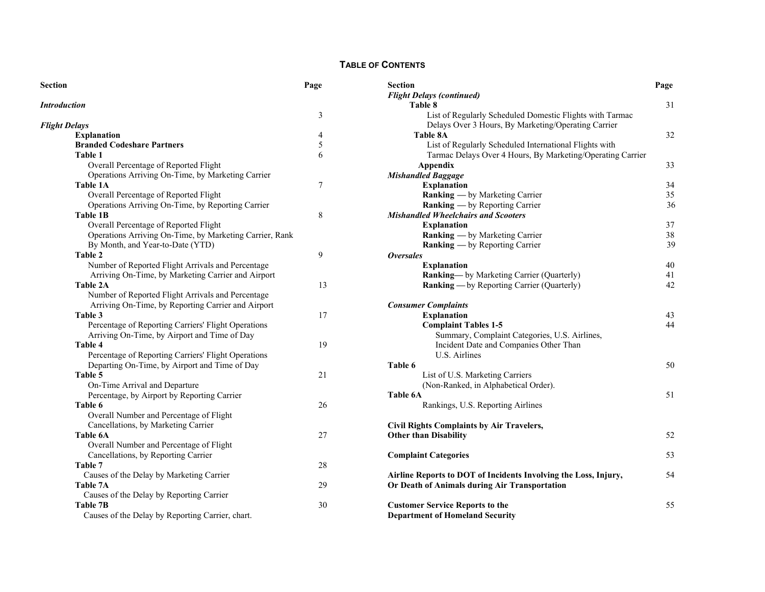#### **TABLE OF CONTENTS**

| Section              |                                                         | Page | S6<br>$\boldsymbol{F}$ |
|----------------------|---------------------------------------------------------|------|------------------------|
| <b>Introduction</b>  |                                                         |      |                        |
|                      |                                                         | 3    |                        |
| <b>Flight Delays</b> |                                                         |      |                        |
|                      | <b>Explanation</b>                                      | 4    |                        |
|                      | <b>Branded Codeshare Partners</b>                       | 5    |                        |
|                      | Table 1                                                 | 6    |                        |
|                      | Overall Percentage of Reported Flight                   |      |                        |
|                      | Operations Arriving On-Time, by Marketing Carrier       |      | M                      |
|                      | <b>Table 1A</b>                                         | 7    |                        |
|                      | Overall Percentage of Reported Flight                   |      |                        |
|                      | Operations Arriving On-Time, by Reporting Carrier       |      |                        |
|                      | Table 1B                                                | 8    | $\boldsymbol{M}$       |
|                      | Overall Percentage of Reported Flight                   |      |                        |
|                      | Operations Arriving On-Time, by Marketing Carrier, Rank |      |                        |
|                      | By Month, and Year-to-Date (YTD)                        |      |                        |
|                      | <b>Table 2</b>                                          | 9    | 0                      |
|                      | Number of Reported Flight Arrivals and Percentage       |      |                        |
|                      | Arriving On-Time, by Marketing Carrier and Airport      |      |                        |
|                      | Table 2A                                                | 13   |                        |
|                      | Number of Reported Flight Arrivals and Percentage       |      |                        |
|                      | Arriving On-Time, by Reporting Carrier and Airport      |      | $\overline{C}$         |
|                      | Table 3                                                 | 17   |                        |
|                      | Percentage of Reporting Carriers' Flight Operations     |      |                        |
|                      | Arriving On-Time, by Airport and Time of Day            |      |                        |
|                      | Table 4                                                 | 19   |                        |
|                      | Percentage of Reporting Carriers' Flight Operations     |      |                        |
|                      | Departing On-Time, by Airport and Time of Day           |      | T:                     |
|                      | Table 5                                                 | 21   |                        |
|                      | On-Time Arrival and Departure                           |      |                        |
|                      | Percentage, by Airport by Reporting Carrier             |      | T:                     |
|                      | Table 6                                                 | 26   |                        |
|                      | Overall Number and Percentage of Flight                 |      |                        |
|                      | Cancellations, by Marketing Carrier                     |      | $\mathbf C$            |
|                      | Table 6A                                                | 27   | $\mathbf 0$            |
|                      | Overall Number and Percentage of Flight                 |      |                        |
|                      | Cancellations, by Reporting Carrier                     |      | $\mathbf C$            |
|                      | Table 7                                                 | 28   |                        |
|                      | Causes of the Delay by Marketing Carrier                |      | A                      |
|                      | Table 7A                                                | 29   | O                      |
|                      | Causes of the Delay by Reporting Carrier                |      |                        |
|                      | Table 7B                                                | 30   | $\mathbf C$            |
|                      | Causes of the Delay by Reporting Carrier, chart.        |      | D                      |
|                      |                                                         |      |                        |

| <b>Section</b>                                                  | Page |
|-----------------------------------------------------------------|------|
| <b>Flight Delays (continued)</b>                                |      |
| Table 8                                                         | 31   |
| List of Regularly Scheduled Domestic Flights with Tarmac        |      |
| Delays Over 3 Hours, By Marketing/Operating Carrier             |      |
| <b>Table 8A</b>                                                 | 32   |
| List of Regularly Scheduled International Flights with          |      |
| Tarmac Delays Over 4 Hours, By Marketing/Operating Carrier      |      |
| Appendix                                                        | 33   |
| <b>Mishandled Baggage</b>                                       |      |
| <b>Explanation</b>                                              | 34   |
| Ranking — by Marketing Carrier                                  | 35   |
| Ranking — by Reporting Carrier                                  | 36   |
| <b>Mishandled Wheelchairs and Scooters</b>                      |      |
| <b>Explanation</b>                                              | 37   |
| Ranking — by Marketing Carrier                                  | 38   |
| <b>Ranking</b> — by Reporting Carrier                           | 39   |
| <b>Oversales</b>                                                |      |
| <b>Explanation</b>                                              | 40   |
| Ranking-by Marketing Carrier (Quarterly)                        | 41   |
| Ranking - by Reporting Carrier (Quarterly)                      | 42   |
| <b>Consumer Complaints</b>                                      |      |
| <b>Explanation</b>                                              | 43   |
| <b>Complaint Tables 1-5</b>                                     | 44   |
| Summary, Complaint Categories, U.S. Airlines,                   |      |
| Incident Date and Companies Other Than                          |      |
| U.S. Airlines                                                   |      |
| Table 6                                                         | 50   |
| List of U.S. Marketing Carriers                                 |      |
| (Non-Ranked, in Alphabetical Order).                            |      |
| Table 6A                                                        | 51   |
| Rankings, U.S. Reporting Airlines                               |      |
|                                                                 |      |
| <b>Civil Rights Complaints by Air Travelers,</b>                |      |
| <b>Other than Disability</b>                                    | 52   |
| <b>Complaint Categories</b>                                     | 53   |
| Airline Reports to DOT of Incidents Involving the Loss, Injury, | 54   |
| Or Death of Animals during Air Transportation                   |      |
| <b>Customer Service Reports to the</b>                          | 55   |
| <b>Department of Homeland Security</b>                          |      |
|                                                                 |      |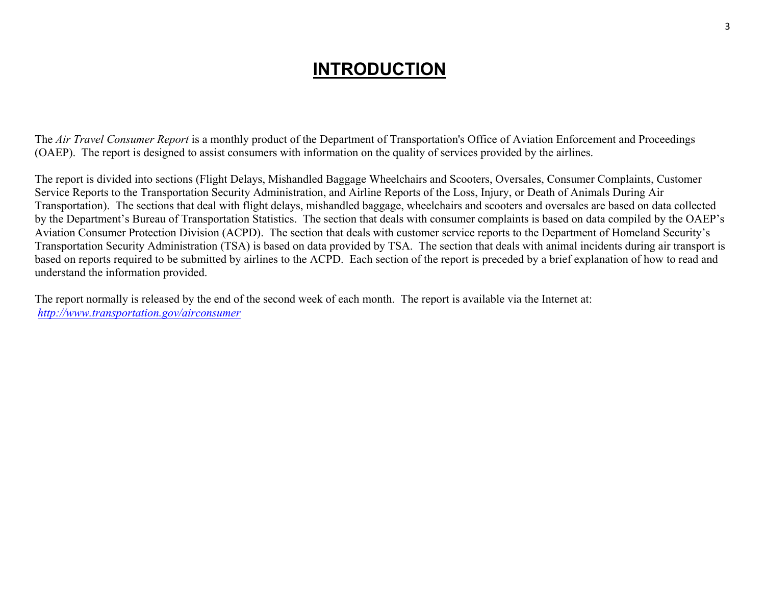# *INTRODUCTION*

The *Air Travel Consumer Report* is a monthly product of the Department of Transportation's Office of Aviation Enforcement and Proceedings (OAEP). The report is designed to assist consumers with information on the quality of services provided by the airlines.

The report is divided into sections (Flight Delays, Mishandled Baggage Wheelchairs and Scooters, Oversales, Consumer Complaints, Customer Service Reports to the Transportation Security Administration, and Airline Reports of the Loss, Injury, or Death of Animals During Air Transportation). The sections that deal with flight delays, mishandled baggage, wheelchairs and scooters and oversales are based on data collected by the Department's Bureau of Transportation Statistics. The section that deals with consumer complaints is based on data compiled by the OAEP's Aviation Consumer Protection Division (ACPD). The section that deals with customer service reports to the Department of Homeland Security's Transportation Security Administration (TSA) is based on data provided by TSA. The section that deals with animal incidents during air transport is based on reports required to be submitted by airlines to the ACPD. Each section of the report is preceded by a brief explanation of how to read and understand the information provided.

The report normally is released by the end of the second week of each month. The report is available via the Internet at: *http://www.transportation.gov/airconsumer*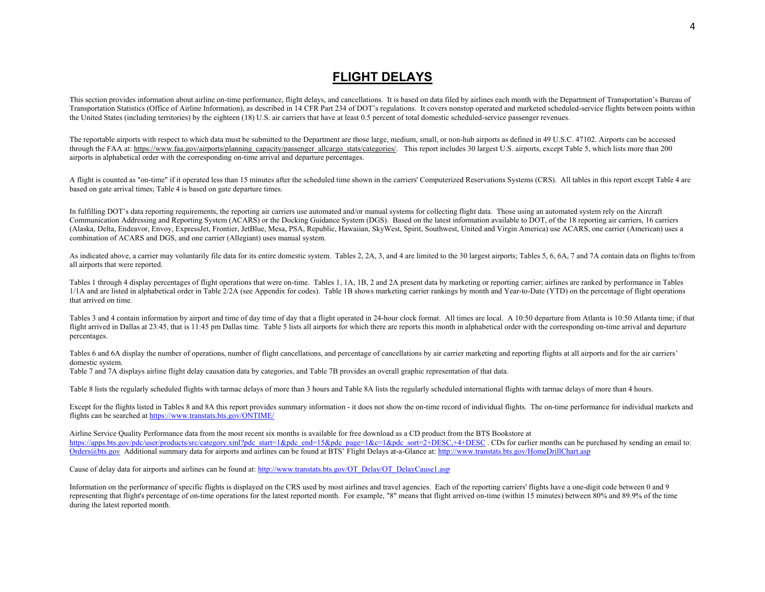# **FLIGHT DELAYS**

This section provides information about airline on-time performance, flight delays, and cancellations. It is based on data filed by airlines each month with the Department of Transportation's Bureau of Transportation Statistics (Office of Airline Information), as described in 14 CFR Part 234 of DOT's regulations. It covers nonstop operated and marketed scheduled-service flights between points within the United States (including territories) by the eighteen (18) U.S. air carriers that have at least 0.5 percent of total domestic scheduled-service passenger revenues.

The reportable airports with respect to which data must be submitted to the Department are those large, medium, small, or non-hub airports as defined in 49 U.S.C. 47102. Airports can be accessed through the FAA at: https://www.faa.gov/airports/planning\_capacity/passenger\_allcargo\_stats/categories/. This report includes 30 largest U.S. airports, except Table 5, which lists more than 200 airports in alphabetical order with the corresponding on-time arrival and departure percentages.

A flight is counted as "on-time" if it operated less than 15 minutes after the scheduled time shown in the carriers' Computerized Reservations Systems (CRS). All tables in this report except Table 4 are based on gate arrival times; Table 4 is based on gate departure times.

In fulfilling DOT's data reporting requirements, the reporting air carriers use automated and/or manual systems for collecting flight data. Those using an automated system rely on the Aircraft Communication Addressing and Reporting System (ACARS) or the Docking Guidance System (DGS). Based on the latest information available to DOT, of the 18 reporting air carriers, 16 carriers (Alaska, Delta, Endeavor, Envoy, ExpressJet, Frontier, JetBlue, Mesa, PSA, Republic, Hawaiian, SkyWest, Spirit, Southwest, United and Virgin America) use ACARS, one carrier (American) uses a combination of ACARS and DGS, and one carrier (Allegiant) uses manual system.

As indicated above, a carrier may voluntarily file data for its entire domestic system. Tables 2, 2A, 3, and 4 are limited to the 30 largest airports; Tables 5, 6, 6A, 7 and 7A contain data on flights to/from all airports that were reported.

Tables 1 through 4 display percentages of flight operations that were on-time. Tables 1, 1A, 1B, 2 and 2A present data by marketing or reporting carrier; airlines are ranked by performance in Tables 1/1A and are listed in alphabetical order in Table 2/2A (see Appendix for codes). Table 1B shows marketing carrier rankings by month and Year-to-Date (YTD) on the percentage of flight operations that arrived on time.

Tables 3 and 4 contain information by airport and time of day time of day that a flight operated in 24-hour clock format. All times are local. A 10:50 departure from Atlanta is 10:50 Atlanta time; if that flight arrived in Dallas at 23:45, that is 11:45 pm Dallas time. Table 5 lists all airports for which there are reports this month in alphabetical order with the corresponding on-time arrival and departure percentages.

Tables 6 and 6A display the number of operations, number of flight cancellations, and percentage of cancellations by air carrier marketing and reporting flights at all airports and for the air carriers' domestic system.

Table 7 and 7A displays airline flight delay causation data by categories, and Table 7B provides an overall graphic representation of that data.

Table 8 lists the regularly scheduled flights with tarmac delays of more than 3 hours and Table 8A lists the regularly scheduled international flights with tarmac delays of more than 4 hours.

Except for the flights listed in Tables 8 and 8A this report provides summary information - it does not show the on-time record of individual flights. The on-time performance for individual markets and flights can be searched at https://www.transtats.bts.gov/ONTIME/

Airline Service Quality Performance data from the most recent six months is available for free download as a CD product from the BTS Bookstore at https://apps.bts.gov/pdc/user/products/src/category.xml?pdc\_start=1&pdc\_end=15&pdc\_page=1&c=1&pdc\_sort=2+DESC,+4+DESC. CDs for earlier months can be purchased by sending an email to: Orders@bts.gov Additional summary data for airports and airlines can be found at BTS' Flight Delays at-a-Glance at: http://www.transtats.bts.gov/HomeDrillChart.asp

Cause of delay data for airports and airlines can be found at: http://www.transtats.bts.gov/OT\_Delay/OT\_DelayCause1.asp

Information on the performance of specific flights is displayed on the CRS used by most airlines and travel agencies. Each of the reporting carriers' flights have a one-digit code between 0 and 9 representing that flight's percentage of on-time operations for the latest reported month. For example, "8" means that flight arrived on-time (within 15 minutes) between 80% and 89.9% of the time during the latest reported month.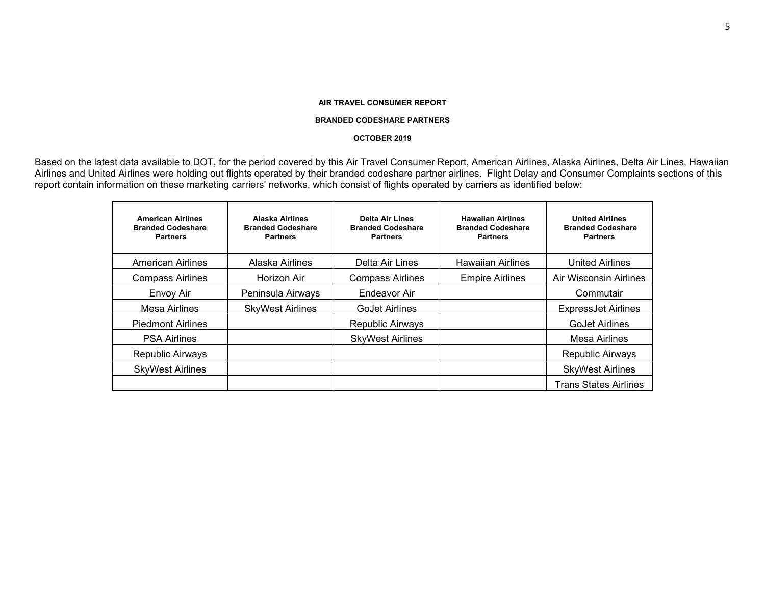#### **BRANDED CODESHARE PARTNERS**

#### **OCTOBER 2019**

Based on the latest data available to DOT, for the period covered by this Air Travel Consumer Report, American Airlines, Alaska Airlines, Delta Air Lines, Hawaiian Airlines and United Airlines were holding out flights operated by their branded codeshare partner airlines. Flight Delay and Consumer Complaints sections of this report contain information on these marketing carriers' networks, which consist of flights operated by carriers as identified below:

| <b>American Airlines</b><br><b>Branded Codeshare</b><br><b>Partners</b> | Alaska Airlines<br><b>Branded Codeshare</b><br><b>Partners</b> | <b>Delta Air Lines</b><br><b>Branded Codeshare</b><br><b>Partners</b> | <b>Hawaiian Airlines</b><br><b>Branded Codeshare</b><br><b>Partners</b> | <b>United Airlines</b><br><b>Branded Codeshare</b><br><b>Partners</b> |
|-------------------------------------------------------------------------|----------------------------------------------------------------|-----------------------------------------------------------------------|-------------------------------------------------------------------------|-----------------------------------------------------------------------|
| <b>American Airlines</b>                                                | Alaska Airlines                                                | Delta Air Lines                                                       | <b>Hawaiian Airlines</b>                                                | <b>United Airlines</b>                                                |
| <b>Compass Airlines</b>                                                 | Horizon Air                                                    | <b>Compass Airlines</b>                                               | <b>Empire Airlines</b>                                                  | Air Wisconsin Airlines                                                |
| Envoy Air                                                               | Peninsula Airways                                              | Endeavor Air                                                          |                                                                         | Commutair                                                             |
| Mesa Airlines                                                           | <b>SkyWest Airlines</b>                                        | <b>GoJet Airlines</b>                                                 |                                                                         | <b>ExpressJet Airlines</b>                                            |
| <b>Piedmont Airlines</b>                                                |                                                                | Republic Airways                                                      |                                                                         | <b>GoJet Airlines</b>                                                 |
| <b>PSA Airlines</b>                                                     |                                                                | <b>SkyWest Airlines</b>                                               |                                                                         | Mesa Airlines                                                         |
| Republic Airways                                                        |                                                                |                                                                       |                                                                         | <b>Republic Airways</b>                                               |
| <b>SkyWest Airlines</b>                                                 |                                                                |                                                                       |                                                                         | <b>SkyWest Airlines</b>                                               |
|                                                                         |                                                                |                                                                       |                                                                         | <b>Trans States Airlines</b>                                          |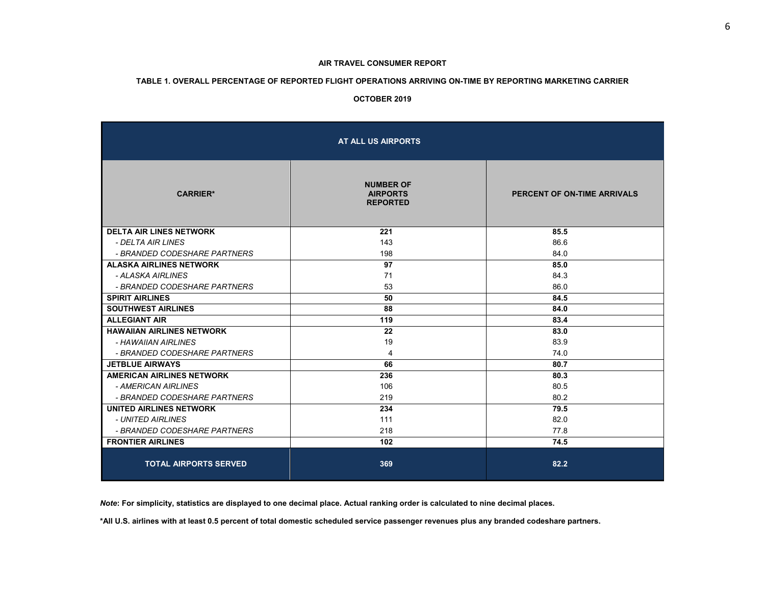#### **TABLE 1. OVERALL PERCENTAGE OF REPORTED FLIGHT OPERATIONS ARRIVING ON-TIME BY REPORTING MARKETING CARRIER**

#### **OCTOBER 2019**

|                                  | AT ALL US AIRPORTS                                     |                             |
|----------------------------------|--------------------------------------------------------|-----------------------------|
| <b>CARRIER*</b>                  | <b>NUMBER OF</b><br><b>AIRPORTS</b><br><b>REPORTED</b> | PERCENT OF ON-TIME ARRIVALS |
| <b>DELTA AIR LINES NETWORK</b>   | 221                                                    | 85.5                        |
| - DELTA AIR LINES                | 143                                                    | 86.6                        |
| - BRANDED CODESHARE PARTNERS     | 198                                                    | 84.0                        |
| <b>ALASKA AIRLINES NETWORK</b>   | 97                                                     | 85.0                        |
| - ALASKA AIRLINES                | 71                                                     | 84.3                        |
| - BRANDED CODESHARE PARTNERS     | 53                                                     | 86.0                        |
| <b>SPIRIT AIRLINES</b>           | 50                                                     | 84.5                        |
| <b>SOUTHWEST AIRLINES</b>        | 88                                                     | 84.0                        |
| <b>ALLEGIANT AIR</b>             | 119                                                    | 83.4                        |
| <b>HAWAIIAN AIRLINES NETWORK</b> | 22                                                     | 83.0                        |
| - HAWAIIAN AIRLINES              | 19                                                     | 83.9                        |
| - BRANDED CODESHARE PARTNERS     | 4                                                      | 74.0                        |
| <b>JETBLUE AIRWAYS</b>           | 66                                                     | 80.7                        |
| <b>AMERICAN AIRLINES NETWORK</b> | 236                                                    | 80.3                        |
| - AMERICAN AIRLINES              | 106                                                    | 80.5                        |
| - BRANDED CODESHARE PARTNERS     | 219                                                    | 80.2                        |
| UNITED AIRLINES NETWORK          | 234                                                    | 79.5                        |
| - UNITED AIRLINES                | 111                                                    | 82.0                        |
| - BRANDED CODESHARE PARTNERS     | 218                                                    | 77.8                        |
| <b>FRONTIER AIRLINES</b>         | 102                                                    | 74.5                        |
| <b>TOTAL AIRPORTS SERVED</b>     | 369                                                    | 82.2                        |

*Note***: For simplicity, statistics are displayed to one decimal place. Actual ranking order is calculated to nine decimal places.** 

**\*All U.S. airlines with at least 0.5 percent of total domestic scheduled service passenger revenues plus any branded codeshare partners.**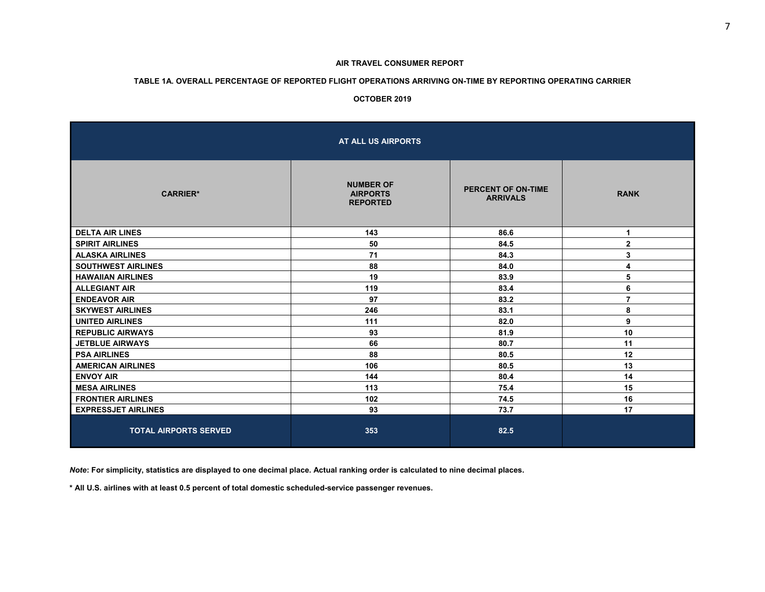#### **TABLE 1A. OVERALL PERCENTAGE OF REPORTED FLIGHT OPERATIONS ARRIVING ON-TIME BY REPORTING OPERATING CARRIER**

#### **OCTOBER 2019**

|                              | AT ALL US AIRPORTS                                     |                                       |                |
|------------------------------|--------------------------------------------------------|---------------------------------------|----------------|
| <b>CARRIER*</b>              | <b>NUMBER OF</b><br><b>AIRPORTS</b><br><b>REPORTED</b> | PERCENT OF ON-TIME<br><b>ARRIVALS</b> | <b>RANK</b>    |
| <b>DELTA AIR LINES</b>       | 143                                                    | 86.6                                  | 1              |
| <b>SPIRIT AIRLINES</b>       | 50                                                     | 84.5                                  | $\mathbf 2$    |
| <b>ALASKA AIRLINES</b>       | 71                                                     | 84.3                                  | 3              |
| <b>SOUTHWEST AIRLINES</b>    | 88                                                     | 84.0                                  | 4              |
| <b>HAWAIIAN AIRLINES</b>     | 19                                                     | 83.9                                  | 5              |
| <b>ALLEGIANT AIR</b>         | 119                                                    | 83.4                                  | 6              |
| <b>ENDEAVOR AIR</b>          | 97                                                     | 83.2                                  | $\overline{7}$ |
| <b>SKYWEST AIRLINES</b>      | 246                                                    | 83.1                                  | 8              |
| <b>UNITED AIRLINES</b>       | 111                                                    | 82.0                                  | 9              |
| <b>REPUBLIC AIRWAYS</b>      | 93                                                     | 81.9                                  | 10             |
| <b>JETBLUE AIRWAYS</b>       | 66                                                     | 80.7                                  | 11             |
| <b>PSA AIRLINES</b>          | 88                                                     | 80.5                                  | 12             |
| <b>AMERICAN AIRLINES</b>     | 106                                                    | 80.5                                  | 13             |
| <b>ENVOY AIR</b>             | 144                                                    | 80.4                                  | 14             |
| <b>MESA AIRLINES</b>         | 113                                                    | 75.4                                  | 15             |
| <b>FRONTIER AIRLINES</b>     | 102                                                    | 74.5                                  | 16             |
| <b>EXPRESSJET AIRLINES</b>   | 93                                                     | 73.7                                  | 17             |
| <b>TOTAL AIRPORTS SERVED</b> | 353                                                    | 82.5                                  |                |

*Note***: For simplicity, statistics are displayed to one decimal place. Actual ranking order is calculated to nine decimal places.** 

 **\* All U.S. airlines with at least 0.5 percent of total domestic scheduled-service passenger revenues.**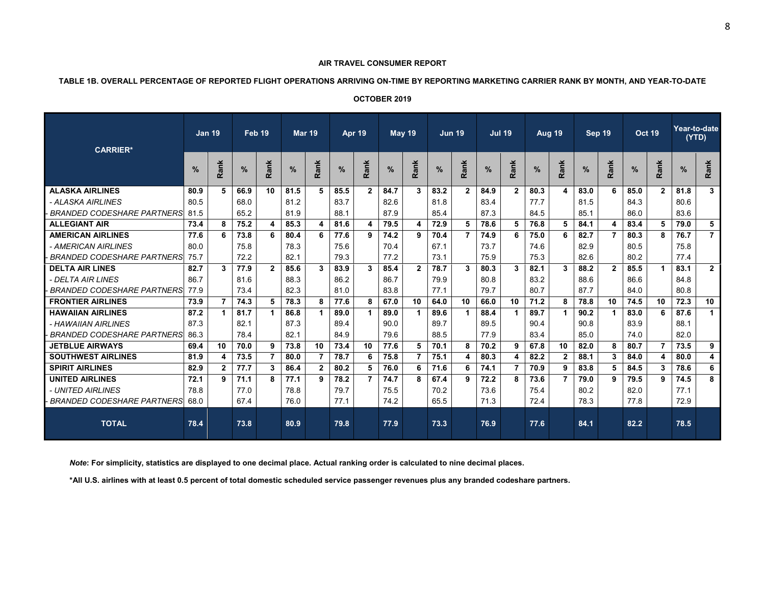#### **TABLE 1B. OVERALL PERCENTAGE OF REPORTED FLIGHT OPERATIONS ARRIVING ON-TIME BY REPORTING MARKETING CARRIER RANK BY MONTH, AND YEAR-TO-DATE**

| <b>OCTOBER 2019</b> |  |
|---------------------|--|
|---------------------|--|

| <b>CARRIER*</b>                   |      | Jan 19       | Feb 19 |                | <b>Mar 19</b> |                | Apr 19 |                | <b>May 19</b> |                | <b>Jun 19</b> |              | <b>Jul 19</b> |                |      | <b>Aug 19</b>  | Sep 19        |                | <b>Oct 19</b> |                | (YTD) | Year-to-date   |
|-----------------------------------|------|--------------|--------|----------------|---------------|----------------|--------|----------------|---------------|----------------|---------------|--------------|---------------|----------------|------|----------------|---------------|----------------|---------------|----------------|-------|----------------|
|                                   |      | Rank         | $\%$   | Rank           | $\%$          | Rank           | $\%$   | Rank           | %             | Rank           | $\%$          | Rank         | %             | Rank           | %    | Rank           | $\frac{9}{6}$ | Rank           | $\%$          | Rank           | $\%$  | Rank           |
| <b>ALASKA AIRLINES</b>            | 80.9 |              | 66.9   | 10             | 81.5          | 5              | 85.5   | $\overline{2}$ | 84.7          | 3              | 83.2          | $\mathbf{2}$ | 84.9          | $\overline{2}$ | 80.3 | 4              | 83.0          | 6              | 85.0          | $\overline{2}$ | 81.8  | 3              |
| - ALASKA AIRLINES                 | 80.5 |              | 68.0   |                | 81.2          |                | 83.7   |                | 82.6          |                | 81.8          |              | 83.4          |                | 77.7 |                | 81.5          |                | 84.3          |                | 80.6  |                |
| <b>BRANDED CODESHARE PARTNERS</b> | 81.5 |              | 65.2   |                | 81.9          |                | 88.1   |                | 87.9          |                | 85.4          |              | 87.3          |                | 84.5 |                | 85.1          |                | 86.0          |                | 83.6  |                |
| <b>ALLEGIANT AIR</b>              | 73.4 | 8            | 75.2   | 4              | 85.3          | 4              | 81.6   | 4              | 79.5          | 4              | 72.9          | -5           | 78.6          | 5.             | 76.8 | 5              | 84.1          | 4              | 83.4          | 5              | 79.0  | 5              |
| <b>AMERICAN AIRLINES</b>          | 77.6 | 6            | 73.8   | 6              | 80.4          | 6              | 77.6   | 9              | 74.2          | 9              | 70.4          | 7            | 74.9          | 6              | 75.0 | 6              | 82.7          |                | 80.3          | 8              | 76.7  | $\overline{7}$ |
| - AMERICAN AIRLINES               | 80.0 |              | 75.8   |                | 78.3          |                | 75.6   |                | 70.4          |                | 67.1          |              | 73.7          |                | 74.6 |                | 82.9          |                | 80.5          |                | 75.8  |                |
| <b>BRANDED CODESHARE PARTNERS</b> | 75.7 |              | 72.2   |                | 82.1          |                | 79.3   |                | 77.2          |                | 73.1          |              | 75.9          |                | 75.3 |                | 82.6          |                | 80.2          |                | 77.4  |                |
| <b>DELTA AIR LINES</b>            | 82.7 | 3            | 77.9   | $\overline{2}$ | 85.6          | 3              | 83.9   | 3              | 85.4          | $\overline{2}$ | 78.7          | 3            | 80.3          | 3              | 82.1 | 3              | 88.2          | $\overline{2}$ | 85.5          | $\mathbf 1$    | 83.1  | $2^{\circ}$    |
| - DEI TA AIR I INES               | 86.7 |              | 81.6   |                | 88.3          |                | 86.2   |                | 86.7          |                | 79.9          |              | 80.8          |                | 83.2 |                | 88.6          |                | 86.6          |                | 84.8  |                |
| <b>BRANDED CODESHARE PARTNERS</b> | 77.9 |              | 73.4   |                | 82.3          |                | 81.0   |                | 83.8          |                | 77.1          |              | 79.7          |                | 80.7 |                | 87.7          |                | 84.0          |                | 80.8  |                |
| <b>FRONTIER AIRLINES</b>          | 73.9 |              | 74.3   | 5.             | 78.3          | 8              | 77.6   | 8              | 67.0          | 10             | 64.0          | 10           | 66.0          | 10             | 71.2 | 8              | 78.8          | 10             | 74.5          | 10             | 72.3  | 10             |
| <b>HAWAIIAN AIRLINES</b>          | 87.2 |              | 81.7   |                | 86.8          | $\mathbf{1}$   | 89.0   |                | 89.0          | 1              | 89.6          |              | 88.4          | 1              | 89.7 | 1              | 90.2          |                | 83.0          | 6              | 87.6  | $\mathbf 1$    |
| - HAWAIIAN AIRLINES               | 87.3 |              | 82.1   |                | 87.3          |                | 89.4   |                | 90.0          |                | 89.7          |              | 89.5          |                | 90.4 |                | 90.8          |                | 83.9          |                | 88.1  |                |
| <b>BRANDED CODESHARE PARTNERS</b> | 86.3 |              | 78.4   |                | 82.1          |                | 84.9   |                | 79.6          |                | 88.5          |              | 77.9          |                | 83.4 |                | 85.0          |                | 74.0          |                | 82.0  |                |
| <b>JETBLUE AIRWAYS</b>            | 69.4 | 10           | 70.0   | 9              | 73.8          | 10             | 73.4   | 10             | 77.6          | 5              | 70.1          | 8            | 70.2          | 9              | 67.8 | 10             | 82.0          | 8              | 80.7          | 7              | 73.5  | 9              |
| <b>SOUTHWEST AIRLINES</b>         | 81.9 | 4            | 73.5   | $\overline{7}$ | 80.0          | 7              | 78.7   | 6              | 75.8          | $\overline{7}$ | 75.1          | 4            | 80.3          | 4              | 82.2 | $\overline{2}$ | 88.1          | 3              | 84.0          | 4              | 80.0  | 4              |
| <b>SPIRIT AIRLINES</b>            | 82.9 | $\mathbf{2}$ | 77.7   | 3              | 86.4          | $\overline{2}$ | 80.2   | 5              | 76.0          | 6              | 71.6          | -6           | 74.1          | 7              | 70.9 | 9              | 83.8          | 5              | 84.5          | 3              | 78.6  | 6              |
| <b>UNITED AIRLINES</b>            | 72.1 | 9            | 71.1   | 8              | 77.1          | 9              | 78.2   | 7              | 74.7          | 8              | 67.4          | 9            | 72.2          | 8              | 73.6 | $\overline{7}$ | 79.0          | 9              | 79.5          | 9              | 74.5  | 8              |
| - UNITED AIRLINES                 | 78.8 |              | 77.0   |                | 78.8          |                | 79.7   |                | 75.5          |                | 70.2          |              | 73.6          |                | 75.4 |                | 80.2          |                | 82.0          |                | 77.1  |                |
| <b>BRANDED CODESHARE PARTNERS</b> | 68.0 |              | 67.4   |                | 76.0          |                | 77.1   |                | 74.2          |                | 65.5          |              | 71.3          |                | 72.4 |                | 78.3          |                | 77.8          |                | 72.9  |                |
| <b>TOTAL</b>                      | 78.4 |              | 73.8   |                | 80.9          |                | 79.8   |                | 77.9          |                | 73.3          |              | 76.9          |                | 77.6 |                | 84.1          |                | 82.2          |                | 78.5  |                |

 *Note***: For simplicity, statistics are displayed to one decimal place. Actual ranking order is calculated to nine decimal places.** 

 **\*All U.S. airlines with at least 0.5 percent of total domestic scheduled service passenger revenues plus any branded codeshare partners.**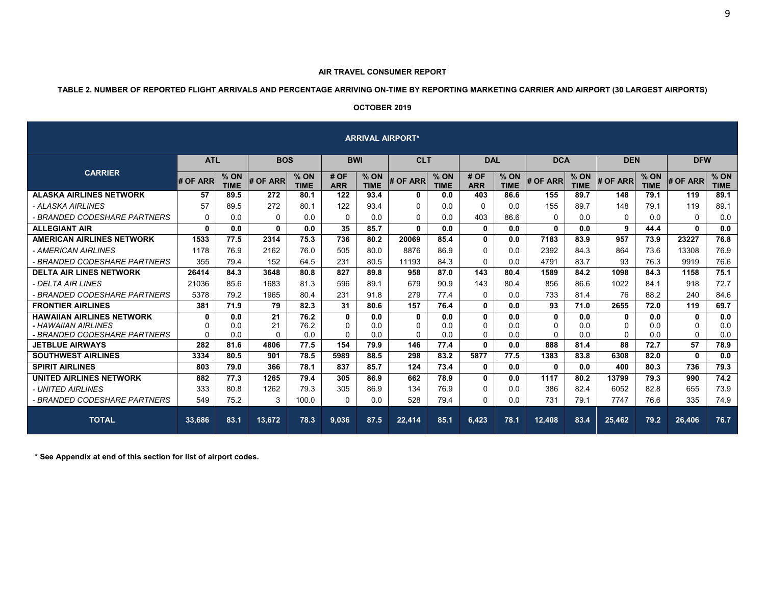#### **TABLE 2. NUMBER OF REPORTED FLIGHT ARRIVALS AND PERCENTAGE ARRIVING ON-TIME BY REPORTING MARKETING CARRIER AND AIRPORT (30 LARGEST AIRPORTS)**

# **OCTOBER 2019**

| <b>ARRIVAL AIRPORT*</b>                                                                 |              |                       |                      |                       |                           |                       |                                      |                       |                       |                       |                    |                       |                           |                     |                    |                       |
|-----------------------------------------------------------------------------------------|--------------|-----------------------|----------------------|-----------------------|---------------------------|-----------------------|--------------------------------------|-----------------------|-----------------------|-----------------------|--------------------|-----------------------|---------------------------|---------------------|--------------------|-----------------------|
|                                                                                         | <b>ATL</b>   |                       |                      | <b>BOS</b>            |                           | <b>BWI</b>            |                                      | <b>CLT</b>            |                       | <b>DAL</b>            |                    | <b>DCA</b>            | <b>DEN</b>                |                     | <b>DFW</b>         |                       |
| <b>CARRIER</b>                                                                          | # OF ARR     | $%$ ON<br><b>TIME</b> | # OF ARR             | $%$ ON<br><b>TIME</b> | # OF<br><b>ARR</b>        | $%$ ON<br><b>TIME</b> | # OF ARR                             | $%$ ON<br><b>TIME</b> | # OF<br><b>ARR</b>    | $%$ ON<br><b>TIME</b> | # OF ARR           | $%$ ON<br><b>TIME</b> | # OF ARR                  | % ON<br><b>TIME</b> | # OF ARR           | $%$ ON<br><b>TIME</b> |
| <b>ALASKA AIRLINES NETWORK</b>                                                          | 57           | 89.5                  | 272                  | 80.1                  | 122                       | 93.4                  | 0                                    | 0.0                   | 403                   | 86.6                  | 155                | 89.7                  | 148                       | 79.1                | 119                | 89.1                  |
| - ALASKA AIRLINES                                                                       | 57           | 89.5                  | 272                  | 80.1                  | 122                       | 93.4                  | $\Omega$                             | 0.0                   | $\Omega$              | 0.0                   | 155                | 89.7                  | 148                       | 79.1                | 119                | 89.1                  |
| - BRANDED CODESHARE PARTNERS                                                            | 0            | 0.0                   | $\Omega$             | 0.0                   | $\Omega$                  | 0.0                   | $\Omega$                             | 0.0                   | 403                   | 86.6                  | $\Omega$           | 0.0                   | $\Omega$                  | 0.0                 | $\Omega$           | 0.0                   |
| <b>ALLEGIANT AIR</b>                                                                    | $\mathbf{0}$ | 0.0                   | $\mathbf{0}$         | 0.0                   | 35                        | 85.7                  | $\Omega$                             | 0.0                   | $\mathbf{0}$          | 0.0                   | $\mathbf{0}$       | 0.0                   | 9                         | 44.4                | $\mathbf{0}$       | 0.0                   |
| <b>AMERICAN AIRLINES NETWORK</b>                                                        | 1533         | 77.5                  | 2314                 | 75.3                  | 736                       | 80.2                  | 20069                                | 85.4                  | $\mathbf{0}$          | 0.0                   | 7183               | 83.9                  | 957                       | 73.9                | 23227              | 76.8                  |
| - AMERICAN AIRLINES                                                                     | 1178         | 76.9                  | 2162                 | 76.0                  | 505                       | 80.0                  | 8876                                 | 86.9                  | $\Omega$              | 0.0                   | 2392               | 84.3                  | 864                       | 73.6                | 13308              | 76.9                  |
| - BRANDED CODESHARE PARTNERS                                                            | 355          | 79.4                  | 152                  | 64.5                  | 231                       | 80.5                  | 11193                                | 84.3                  | $\mathbf{0}$          | 0.0                   | 4791               | 83.7                  | 93                        | 76.3                | 9919               | 76.6                  |
| <b>DELTA AIR LINES NETWORK</b>                                                          | 26414        | 84.3                  | 3648                 | 80.8                  | 827                       | 89.8                  | 958                                  | 87.0                  | 143                   | 80.4                  | 1589               | 84.2                  | 1098                      | 84.3                | 1158               | 75.1                  |
| - DELTA AIR LINES                                                                       | 21036        | 85.6                  | 1683                 | 81.3                  | 596                       | 89.1                  | 679                                  | 90.9                  | 143                   | 80.4                  | 856                | 86.6                  | 1022                      | 84.1                | 918                | 72.7                  |
| - BRANDED CODESHARE PARTNERS                                                            | 5378         | 79.2                  | 1965                 | 80.4                  | 231                       | 91.8                  | 279                                  | 77.4                  | $\mathbf{0}$          | 0.0                   | 733                | 81.4                  | 76                        | 88.2                | 240                | 84.6                  |
| <b>FRONTIER AIRLINES</b>                                                                | 381          | 71.9                  | 79                   | 82.3                  | 31                        | 80.6                  | 157                                  | 76.4                  | $\mathbf{0}$          | 0.0                   | 93                 | 71.0                  | 2655                      | 72.0                | 119                | 69.7                  |
| <b>HAWAIIAN AIRLINES NETWORK</b><br>- HAWAIIAN AIRLINES<br>- BRANDED CODESHARE PARTNERS | 0<br>0<br>0  | 0.0<br>0.0<br>0.0     | 21<br>21<br>$\Omega$ | 76.2<br>76.2<br>0.0   | 0<br>$\Omega$<br>$\Omega$ | 0.0<br>0.0<br>0.0     | $\mathbf{0}$<br>$\Omega$<br>$\Omega$ | 0.0<br>0.0<br>0.0     | $\mathbf 0$<br>0<br>0 | 0.0<br>0.0<br>0.0     | 0<br>0<br>$\Omega$ | 0.0<br>0.0<br>0.0     | 0<br>$\Omega$<br>$\Omega$ | 0.0<br>0.0<br>0.0   | 0<br>0<br>$\Omega$ | 0.0<br>0.0<br>0.0     |
| <b>JETBLUE AIRWAYS</b>                                                                  | 282          | 81.6                  | 4806                 | 77.5                  | 154                       | 79.9                  | 146                                  | 77.4                  | $\mathbf{0}$          | 0.0                   | 888                | 81.4                  | 88                        | 72.7                | 57                 | 78.9                  |
| <b>SOUTHWEST AIRLINES</b>                                                               | 3334         | 80.5                  | 901                  | 78.5                  | 5989                      | 88.5                  | 298                                  | 83.2                  | 5877                  | 77.5                  | 1383               | 83.8                  | 6308                      | 82.0                | 0                  | 0.0                   |
| <b>SPIRIT AIRLINES</b>                                                                  | 803          | 79.0                  | 366                  | 78.1                  | 837                       | 85.7                  | 124                                  | 73.4                  | $\mathbf{0}$          | 0.0                   | $\mathbf{0}$       | 0.0                   | 400                       | 80.3                | 736                | 79.3                  |
| <b>UNITED AIRLINES NETWORK</b>                                                          | 882          | 77.3                  | 1265                 | 79.4                  | 305                       | 86.9                  | 662                                  | 78.9                  | $\mathbf{0}$          | 0.0                   | 1117               | 80.2                  | 13799                     | 79.3                | 990                | 74.2                  |
| - UNITED AIRLINES                                                                       | 333          | 80.8                  | 1262                 | 79.3                  | 305                       | 86.9                  | 134                                  | 76.9                  | 0                     | 0.0                   | 386                | 82.4                  | 6052                      | 82.8                | 655                | 73.9                  |
| - BRANDED CODESHARE PARTNERS                                                            | 549          | 75.2                  | 3                    | 100.0                 | $\Omega$                  | 0.0                   | 528                                  | 79.4                  | $\Omega$              | 0.0                   | 731                | 79.1                  | 7747                      | 76.6                | 335                | 74.9                  |
| <b>TOTAL</b>                                                                            | 33,686       | 83.1                  | 13,672               | 78.3                  | 9,036                     | 87.5                  | 22,414                               | 85.1                  | 6.423                 | 78.1                  | 12,408             | 83.4                  | 25,462                    | 79.2                | 26,406             | 76.7                  |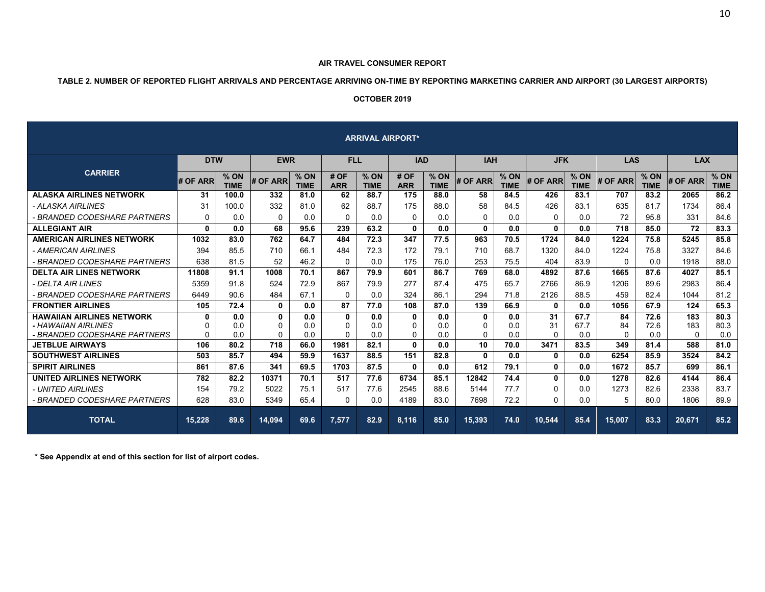#### **AIR TRAVEL CONSUMER REPORT**

# **TABLE 2. NUMBER OF REPORTED FLIGHT ARRIVALS AND PERCENTAGE ARRIVING ON-TIME BY REPORTING MARKETING CARRIER AND AIRPORT (30 LARGEST AIRPORTS)**

#### **OCTOBER 2019**

| <b>ARRIVAL AIRPORT*</b>                                                                 |                           |                     |              |                       |                                     |                     |                              |                     |                               |                       |                      |                       |                      |                     |                        |                     |
|-----------------------------------------------------------------------------------------|---------------------------|---------------------|--------------|-----------------------|-------------------------------------|---------------------|------------------------------|---------------------|-------------------------------|-----------------------|----------------------|-----------------------|----------------------|---------------------|------------------------|---------------------|
|                                                                                         | <b>DTW</b>                |                     | <b>EWR</b>   |                       | <b>FLL</b>                          |                     | <b>IAD</b>                   |                     |                               | <b>IAH</b>            |                      | <b>JFK</b>            | <b>LAS</b>           |                     | <b>LAX</b>             |                     |
| <b>CARRIER</b>                                                                          | # OF ARR                  | % ON<br><b>TIME</b> | # OF ARR     | $%$ ON<br><b>TIME</b> | # OF<br><b>ARR</b>                  | % ON<br><b>TIME</b> | # OF<br><b>ARR</b>           | % ON<br><b>TIME</b> | # OF ARR                      | $%$ ON<br><b>TIME</b> | # OF ARR             | $%$ ON<br><b>TIME</b> | # OF ARR             | % ON<br><b>TIME</b> | # OF ARR               | % ON<br><b>TIME</b> |
| <b>ALASKA AIRLINES NETWORK</b>                                                          | 31                        | 100.0               | 332          | 81.0                  | 62                                  | 88.7                | 175                          | 88.0                | 58                            | 84.5                  | 426                  | 83.1                  | 707                  | 83.2                | 2065                   | 86.2                |
| - ALASKA AIRLINES                                                                       | 31                        | 100.0               | 332          | 81.0                  | 62                                  | 88.7                | 175                          | 88.0                | 58                            | 84.5                  | 426                  | 83.1                  | 635                  | 81.7                | 1734                   | 86.4                |
| - BRANDED CODESHARE PARTNERS                                                            | $\Omega$                  | 0.0                 | $\Omega$     | 0.0                   | $\Omega$                            | 0.0                 | $\Omega$                     | 0.0                 | $\Omega$                      | 0.0                   | $\Omega$             | 0.0                   | 72                   | 95.8                | 331                    | 84.6                |
| <b>ALLEGIANT AIR</b>                                                                    | 0                         | 0.0                 | 68           | 95.6                  | 239                                 | 63.2                | $\mathbf{0}$                 | 0.0                 | $\mathbf{0}$                  | 0.0                   | $\mathbf{0}$         | 0.0                   | 718                  | 85.0                | 72                     | 83.3                |
| <b>AMERICAN AIRLINES NETWORK</b>                                                        | 1032                      | 83.0                | 762          | 64.7                  | 484                                 | 72.3                | 347                          | 77.5                | 963                           | 70.5                  | 1724                 | 84.0                  | 1224                 | 75.8                | 5245                   | 85.8                |
| - AMERICAN AIRLINES                                                                     | 394                       | 85.5                | 710          | 66.1                  | 484                                 | 72.3                | 172                          | 79.1                | 710                           | 68.7                  | 1320                 | 84.0                  | 1224                 | 75.8                | 3327                   | 84.6                |
| - BRANDED CODESHARE PARTNERS                                                            | 638                       | 81.5                | 52           | 46.2                  | $\Omega$                            | 0.0                 | 175                          | 76.0                | 253                           | 75.5                  | 404                  | 83.9                  | $\Omega$             | 0.0                 | 1918                   | 88.0                |
| <b>DELTA AIR LINES NETWORK</b>                                                          | 11808                     | 91.1                | 1008         | 70.1                  | 867                                 | 79.9                | 601                          | 86.7                | 769                           | 68.0                  | 4892                 | 87.6                  | 1665                 | 87.6                | 4027                   | 85.1                |
| - DELTA AIR LINES                                                                       | 5359                      | 91.8                | 524          | 72.9                  | 867                                 | 79.9                | 277                          | 87.4                | 475                           | 65.7                  | 2766                 | 86.9                  | 1206                 | 89.6                | 2983                   | 86.4                |
| - BRANDED CODESHARE PARTNERS                                                            | 6449                      | 90.6                | 484          | 67.1                  | $\Omega$                            | 0.0                 | 324                          | 86.1                | 294                           | 71.8                  | 2126                 | 88.5                  | 459                  | 82.4                | 1044                   | 81.2                |
| <b>FRONTIER AIRLINES</b>                                                                | 105                       | 72.4                | $\mathbf{0}$ | 0.0                   | 87                                  | 77.0                | 108                          | 87.0                | 139                           | 66.9                  | $\mathbf{0}$         | 0.0                   | 1056                 | 67.9                | 124                    | 65.3                |
| <b>HAWAIIAN AIRLINES NETWORK</b><br>- HAWAIIAN AIRLINES<br>- BRANDED CODESHARE PARTNERS | 0<br>$\Omega$<br>$\Omega$ | 0.0<br>0.0<br>0.0   | 0<br>0<br>0  | 0.0<br>0.0<br>0.0     | $\mathbf 0$<br>$\Omega$<br>$\Omega$ | 0.0<br>0.0<br>0.0   | $\mathbf 0$<br>$\Omega$<br>0 | 0.0<br>0.0<br>0.0   | 0<br>$\Omega$<br>$\mathbf{0}$ | 0.0<br>0.0<br>0.0     | 31<br>31<br>$\Omega$ | 67.7<br>67.7<br>0.0   | 84<br>84<br>$\Omega$ | 72.6<br>72.6<br>0.0 | 183<br>183<br>$\Omega$ | 80.3<br>80.3<br>0.0 |
| <b>JETBLUE AIRWAYS</b>                                                                  | 106                       | 80.2                | 718          | 66.0                  | 1981                                | 82.1                | $\mathbf{0}$                 | 0.0                 | 10                            | 70.0                  | 3471                 | 83.5                  | 349                  | 81.4                | 588                    | 81.0                |
| <b>SOUTHWEST AIRLINES</b>                                                               | 503                       | 85.7                | 494          | 59.9                  | 1637                                | 88.5                | 151                          | 82.8                | $\mathbf{0}$                  | 0.0                   | 0                    | 0.0                   | 6254                 | 85.9                | 3524                   | 84.2                |
| <b>SPIRIT AIRLINES</b>                                                                  | 861                       | 87.6                | 341          | 69.5                  | 1703                                | 87.5                | $\mathbf{0}$                 | 0.0                 | 612                           | 79.1                  | $\mathbf{0}$         | 0.0                   | 1672                 | 85.7                | 699                    | 86.1                |
| <b>UNITED AIRLINES NETWORK</b>                                                          | 782                       | 82.2                | 10371        | 70.1                  | 517                                 | 77.6                | 6734                         | 85.1                | 12842                         | 74.4                  | $\mathbf{0}$         | 0.0                   | 1278                 | 82.6                | 4144                   | 86.4                |
| - UNITED AIRLINES                                                                       | 154                       | 79.2                | 5022         | 75.1                  | 517                                 | 77.6                | 2545                         | 88.6                | 5144                          | 77.7                  | $\mathbf{0}$         | 0.0                   | 1273                 | 82.6                | 2338                   | 83.7                |
| - BRANDED CODESHARE PARTNERS                                                            | 628                       | 83.0                | 5349         | 65.4                  | $\Omega$                            | 0.0                 | 4189                         | 83.0                | 7698                          | 72.2                  | $\Omega$             | 0.0                   | 5                    | 80.0                | 1806                   | 89.9                |
| <b>TOTAL</b>                                                                            | 15.228                    | 89.6                | 14,094       | 69.6                  | 7.577                               | 82.9                | 8.116                        | 85.0                | 15.393                        | 74.0                  | 10.544               | 85.4                  | 15.007               | 83.3                | 20,671                 | 85.2                |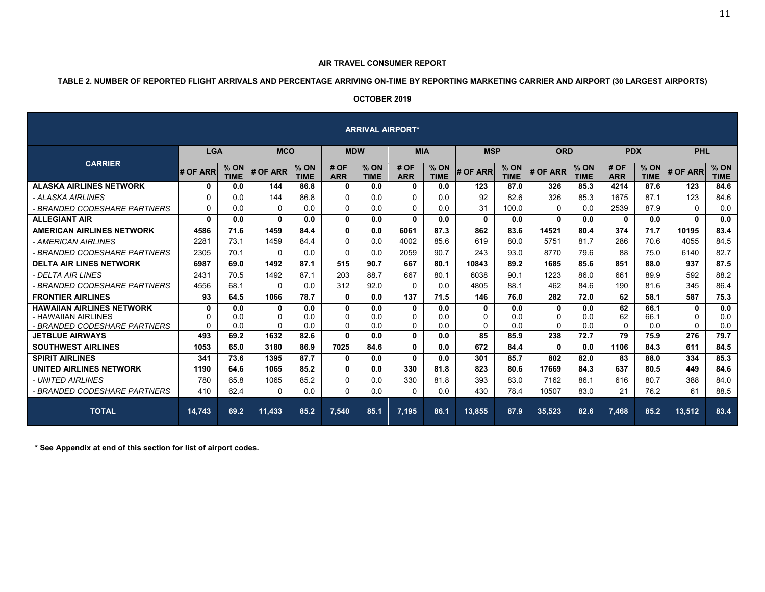# **TABLE 2. NUMBER OF REPORTED FLIGHT ARRIVALS AND PERCENTAGE ARRIVING ON-TIME BY REPORTING MARKETING CARRIER AND AIRPORT (30 LARGEST AIRPORTS)**

# **OCTOBER 2019**

| <b>ARRIVAL AIRPORT*</b>                                                                 |                           |                       |              |                     |                           |                     |                               |                     |              |                       |              |                       |                      |                       |                    |                       |
|-----------------------------------------------------------------------------------------|---------------------------|-----------------------|--------------|---------------------|---------------------------|---------------------|-------------------------------|---------------------|--------------|-----------------------|--------------|-----------------------|----------------------|-----------------------|--------------------|-----------------------|
|                                                                                         | <b>LGA</b>                |                       | <b>MCO</b>   |                     | <b>MDW</b>                |                     |                               | <b>MIA</b>          |              | <b>MSP</b>            |              | <b>ORD</b>            |                      | <b>PDX</b>            | PHL                |                       |
| <b>CARRIER</b>                                                                          | # OF ARR                  | $%$ ON<br><b>TIME</b> | # OF ARR     | % ON<br><b>TIME</b> | # OF<br><b>ARR</b>        | % ON<br><b>TIME</b> | # OF<br><b>ARR</b>            | % ON<br><b>TIME</b> | # OF ARR     | $%$ ON<br><b>TIME</b> | # OF ARR     | $%$ ON<br><b>TIME</b> | # OF<br><b>ARR</b>   | $%$ ON<br><b>TIME</b> | # OF ARR           | $%$ ON<br><b>TIME</b> |
| <b>ALASKA AIRLINES NETWORK</b>                                                          | 0                         | 0.0                   | 144          | 86.8                | 0                         | 0.0                 | 0                             | 0.0                 | 123          | 87.0                  | 326          | 85.3                  | 4214                 | 87.6                  | 123                | 84.6                  |
| - ALASKA AIRLINES                                                                       | 0                         | 0.0                   | 144          | 86.8                | 0                         | 0.0                 | $\mathbf{0}$                  | 0.0                 | 92           | 82.6                  | 326          | 85.3                  | 1675                 | 87.1                  | 123                | 84.6                  |
| - BRANDED CODESHARE PARTNERS                                                            | $\mathbf{0}$              | 0.0                   | 0            | 0.0                 | 0                         | 0.0                 | $\mathbf{0}$                  | 0.0                 | 31           | 100.0                 | 0            | 0.0                   | 2539                 | 87.9                  | $\mathbf{0}$       | 0.0                   |
| <b>ALLEGIANT AIR</b>                                                                    | $\mathbf{0}$              | 0.0                   | $\mathbf{0}$ | 0.0                 | $\mathbf{0}$              | 0.0                 | $\mathbf{0}$                  | 0.0                 | $\mathbf{0}$ | 0.0                   | 0            | 0.0                   | 0                    | 0.0                   | 0                  | 0.0                   |
| <b>AMERICAN AIRLINES NETWORK</b>                                                        | 4586                      | 71.6                  | 1459         | 84.4                | $\mathbf{0}$              | 0.0                 | 6061                          | 87.3                | 862          | 83.6                  | 14521        | 80.4                  | 374                  | 71.7                  | 10195              | 83.4                  |
| - AMERICAN AIRLINES                                                                     | 2281                      | 73.1                  | 1459         | 84.4                | 0                         | 0.0                 | 4002                          | 85.6                | 619          | 80.0                  | 5751         | 81.7                  | 286                  | 70.6                  | 4055               | 84.5                  |
| - BRANDED CODESHARE PARTNERS                                                            | 2305                      | 70.1                  | 0            | 0.0                 | 0                         | 0.0                 | 2059                          | 90.7                | 243          | 93.0                  | 8770         | 79.6                  | 88                   | 75.0                  | 6140               | 82.7                  |
| <b>DELTA AIR LINES NETWORK</b>                                                          | 6987                      | 69.0                  | 1492         | 87.1                | 515                       | 90.7                | 667                           | 80.1                | 10843        | 89.2                  | 1685         | 85.6                  | 851                  | 88.0                  | 937                | 87.5                  |
| - DELTA AIR LINES                                                                       | 2431                      | 70.5                  | 1492         | 87.1                | 203                       | 88.7                | 667                           | 80.1                | 6038         | 90.1                  | 1223         | 86.0                  | 661                  | 89.9                  | 592                | 88.2                  |
| - BRANDED CODESHARE PARTNERS                                                            | 4556                      | 68.1                  | $\Omega$     | 0.0                 | 312                       | 92.0                | $\mathbf{0}$                  | 0.0                 | 4805         | 88.1                  | 462          | 84.6                  | 190                  | 81.6                  | 345                | 86.4                  |
| <b>FRONTIER AIRLINES</b>                                                                | 93                        | 64.5                  | 1066         | 78.7                | $\mathbf{0}$              | 0.0                 | 137                           | 71.5                | 146          | 76.0                  | 282          | 72.0                  | 62                   | 58.1                  | 587                | 75.3                  |
| <b>HAWAIIAN AIRLINES NETWORK</b><br>- HAWAIIAN AIRLINES<br>- BRANDED CODESHARE PARTNERS | 0<br>$\Omega$<br>$\Omega$ | 0.0<br>0.0<br>0.0     | 0<br>0<br>0  | 0.0<br>0.0<br>0.0   | 0<br>$\Omega$<br>$\Omega$ | 0.0<br>0.0<br>0.0   | 0<br>$\mathbf{0}$<br>$\Omega$ | 0.0<br>0.0<br>0.0   | 0<br>0<br>0  | 0.0<br>0.0<br>0.0     | 0<br>0<br>0  | 0.0<br>0.0<br>0.0     | 62<br>62<br>$\Omega$ | 66.1<br>66.1<br>0.0   | 0<br>0<br>$\Omega$ | 0.0<br>0.0<br>0.0     |
| <b>JETBLUE AIRWAYS</b>                                                                  | 493                       | 69.2                  | 1632         | 82.6                | $\mathbf{0}$              | 0.0                 | $\mathbf{0}$                  | 0.0                 | 85           | 85.9                  | 238          | 72.7                  | 79                   | 75.9                  | 276                | 79.7                  |
| <b>SOUTHWEST AIRLINES</b>                                                               | 1053                      | 65.0                  | 3180         | 86.9                | 7025                      | 84.6                | $\mathbf{0}$                  | 0.0                 | 672          | 84.4                  | $\mathbf{0}$ | 0.0                   | 1106                 | 84.3                  | 611                | 84.5                  |
| <b>SPIRIT AIRLINES</b>                                                                  | 341                       | 73.6                  | 1395         | 87.7                | 0                         | 0.0                 | $\mathbf{0}$                  | 0.0                 | 301          | 85.7                  | 802          | 82.0                  | 83                   | 88.0                  | 334                | 85.3                  |
| UNITED AIRLINES NETWORK                                                                 | 1190                      | 64.6                  | 1065         | 85.2                | $\mathbf{0}$              | 0.0                 | 330                           | 81.8                | 823          | 80.6                  | 17669        | 84.3                  | 637                  | 80.5                  | 449                | 84.6                  |
| - UNITED AIRLINES                                                                       | 780                       | 65.8                  | 1065         | 85.2                | 0                         | 0.0                 | 330                           | 81.8                | 393          | 83.0                  | 7162         | 86.1                  | 616                  | 80.7                  | 388                | 84.0                  |
| - BRANDED CODESHARE PARTNERS                                                            | 410                       | 62.4                  | 0            | 0.0                 | 0                         | 0.0                 | $\Omega$                      | 0.0                 | 430          | 78.4                  | 10507        | 83.0                  | 21                   | 76.2                  | 61                 | 88.5                  |
| <b>TOTAL</b>                                                                            | 14,743                    | 69.2                  | 11,433       | 85.2                | 7,540                     | 85.1                | 7,195                         | 86.1                | 13,855       | 87.9                  | 35,523       | 82.6                  | 7,468                | 85.2                  | 13,512             | 83.4                  |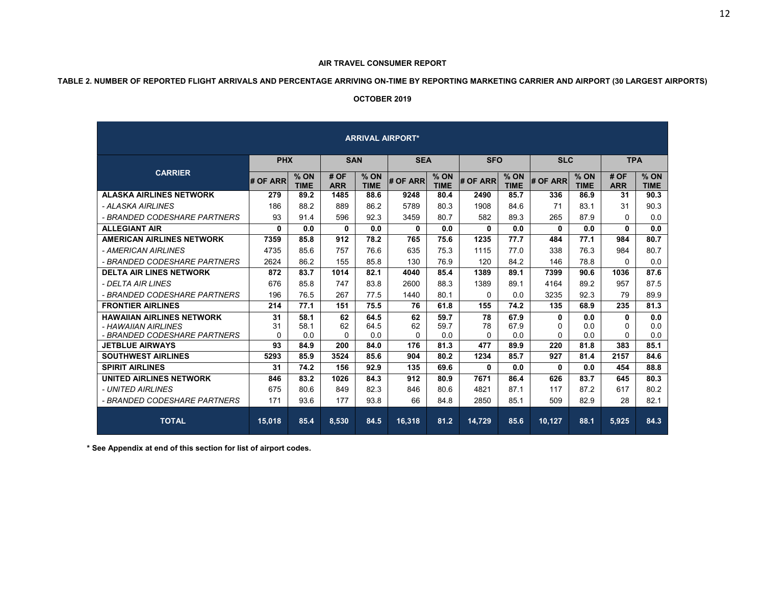# **TABLE 2. NUMBER OF REPORTED FLIGHT ARRIVALS AND PERCENTAGE ARRIVING ON-TIME BY REPORTING MARKETING CARRIER AND AIRPORT (30 LARGEST AIRPORTS)**

#### **OCTOBER 2019**

| <b>ARRIVAL AIRPORT*</b>                                                                                           |                            |                             |                             |                             |                             |                             |                             |                             |                           |                           |                           |                           |  |  |
|-------------------------------------------------------------------------------------------------------------------|----------------------------|-----------------------------|-----------------------------|-----------------------------|-----------------------------|-----------------------------|-----------------------------|-----------------------------|---------------------------|---------------------------|---------------------------|---------------------------|--|--|
|                                                                                                                   | <b>PHX</b>                 |                             | <b>SAN</b>                  |                             | <b>SEA</b>                  |                             | <b>SFO</b>                  |                             | <b>SLC</b>                |                           | <b>TPA</b>                |                           |  |  |
| <b>CARRIER</b>                                                                                                    | # OF ARR                   | $%$ ON<br><b>TIME</b>       | # OF<br><b>ARR</b>          | $%$ ON<br><b>TIME</b>       | # OF ARR                    | $%$ ON<br><b>TIME</b>       | # OF ARR                    | $%$ ON<br><b>TIME</b>       | # OF ARR                  | % ON<br><b>TIME</b>       | # OF<br><b>ARR</b>        | $%$ ON<br><b>TIME</b>     |  |  |
| <b>ALASKA AIRLINES NETWORK</b>                                                                                    | 279                        | 89.2                        | 1485                        | 88.6                        | 9248                        | 80.4                        | 2490                        | 85.7                        | 336                       | 86.9                      | 31                        | 90.3                      |  |  |
| - ALASKA AIRLINES                                                                                                 | 186                        | 88.2                        | 889                         | 86.2                        | 5789                        | 80.3                        | 1908                        | 84.6                        | 71                        | 83.1                      | 31                        | 90.3                      |  |  |
| - BRANDED CODESHARE PARTNERS                                                                                      | 93                         | 91.4                        | 596                         | 92.3                        | 3459                        | 80.7                        | 582                         | 89.3                        | 265                       | 87.9                      | $\Omega$                  | 0.0                       |  |  |
| <b>ALLEGIANT AIR</b>                                                                                              | 0                          | 0.0                         | 0                           | 0.0                         | 0                           | 0.0                         | 0                           | 0.0                         | $\mathbf{0}$              | 0.0                       | $\mathbf{0}$              | 0.0                       |  |  |
| <b>AMERICAN AIRLINES NETWORK</b>                                                                                  | 7359                       | 85.8                        | 912                         | 78.2                        | 765                         | 75.6                        | 1235                        | 77.7                        | 484                       | 77.1                      | 984                       | 80.7                      |  |  |
| - AMERICAN AIRLINES                                                                                               | 4735                       | 85.6                        | 757                         | 76.6                        | 635                         | 75.3                        | 1115                        | 77.0                        | 338                       | 76.3                      | 984                       | 80.7                      |  |  |
| - BRANDED CODESHARE PARTNERS                                                                                      | 2624                       | 86.2                        | 155                         | 85.8                        | 130                         | 76.9                        | 120                         | 84.2                        | 146                       | 78.8                      | $\Omega$                  | 0.0                       |  |  |
| <b>DELTA AIR LINES NETWORK</b>                                                                                    | 872                        | 83.7                        | 1014                        | 82.1                        | 4040                        | 85.4                        | 1389                        | 89.1                        | 7399                      | 90.6                      | 1036                      | 87.6                      |  |  |
| - DELTA AIR LINES                                                                                                 | 676                        | 85.8                        | 747                         | 83.8                        | 2600                        | 88.3                        | 1389                        | 89.1                        | 4164                      | 89.2                      | 957                       | 87.5                      |  |  |
| - BRANDED CODESHARE PARTNERS                                                                                      | 196                        | 76.5                        | 267                         | 77.5                        | 1440                        | 80.1                        | $\Omega$                    | 0.0                         | 3235                      | 92.3                      | 79                        | 89.9                      |  |  |
| <b>FRONTIER AIRLINES</b>                                                                                          | 214                        | 77.1                        | 151                         | 75.5                        | 76                          | 61.8                        | 155                         | 74.2                        | 135                       | 68.9                      | 235                       | 81.3                      |  |  |
| <b>HAWAIIAN AIRLINES NETWORK</b><br>- HAWAIIAN AIRLINES<br>- BRANDED CODESHARE PARTNERS<br><b>JETBLUE AIRWAYS</b> | 31<br>31<br>$\Omega$<br>93 | 58.1<br>58.1<br>0.0<br>84.9 | 62<br>62<br>$\Omega$<br>200 | 64.5<br>64.5<br>0.0<br>84.0 | 62<br>62<br>$\Omega$<br>176 | 59.7<br>59.7<br>0.0<br>81.3 | 78<br>78<br>$\Omega$<br>477 | 67.9<br>67.9<br>0.0<br>89.9 | 0<br>0<br>$\Omega$<br>220 | 0.0<br>0.0<br>0.0<br>81.8 | 0<br>0<br>$\Omega$<br>383 | 0.0<br>0.0<br>0.0<br>85.1 |  |  |
| <b>SOUTHWEST AIRLINES</b>                                                                                         | 5293                       | 85.9                        | 3524                        | 85.6                        | 904                         | 80.2                        | 1234                        | 85.7                        | 927                       | 81.4                      | 2157                      | 84.6                      |  |  |
| <b>SPIRIT AIRLINES</b>                                                                                            | 31                         | 74.2                        | 156                         | 92.9                        | 135                         | 69.6                        | 0                           | 0.0                         | 0                         | 0.0                       | 454                       | 88.8                      |  |  |
| <b>UNITED AIRLINES NETWORK</b>                                                                                    | 846                        | 83.2                        | 1026                        | 84.3                        | 912                         | 80.9                        | 7671                        | 86.4                        | 626                       | 83.7                      | 645                       | 80.3                      |  |  |
| - UNITED AIRLINES                                                                                                 | 675                        | 80.6                        | 849                         | 82.3                        | 846                         | 80.6                        | 4821                        | 87.1                        | 117                       | 87.2                      | 617                       | 80.2                      |  |  |
| - BRANDED CODESHARE PARTNERS                                                                                      | 171                        | 93.6                        | 177                         | 93.8                        | 66                          | 84.8                        | 2850                        | 85.1                        | 509                       | 82.9                      | 28                        | 82.1                      |  |  |
| <b>TOTAL</b>                                                                                                      | 15.018                     | 85.4                        | 8.530                       | 84.5                        | 16.318                      | 81.2                        | 14.729                      | 85.6                        | 10.127                    | 88.1                      | 5.925                     | 84.3                      |  |  |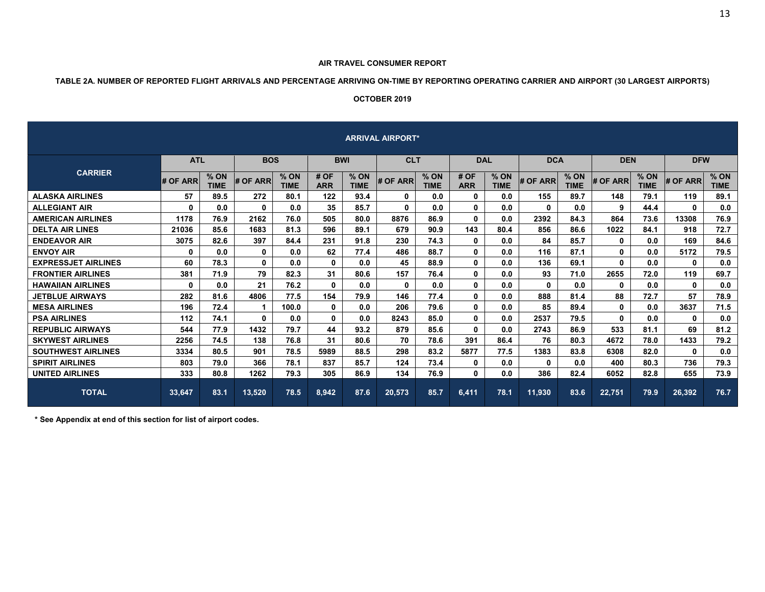#### **AIR TRAVEL CONSUMER REPORT**

# **TABLE 2A. NUMBER OF REPORTED FLIGHT ARRIVALS AND PERCENTAGE ARRIVING ON-TIME BY REPORTING OPERATING CARRIER AND AIRPORT (30 LARGEST AIRPORTS)**

#### **OCTOBER 2019**

| <b>ARRIVAL AIRPORT*</b>    |              |                     |              |                     |                    |                       |          |                     |                    |                       |              |                     |              |                       |            |                     |
|----------------------------|--------------|---------------------|--------------|---------------------|--------------------|-----------------------|----------|---------------------|--------------------|-----------------------|--------------|---------------------|--------------|-----------------------|------------|---------------------|
|                            | <b>ATL</b>   |                     | <b>BOS</b>   |                     | <b>BWI</b>         |                       |          | <b>CLT</b>          |                    | <b>DAL</b>            | <b>DCA</b>   |                     | <b>DEN</b>   |                       | <b>DFW</b> |                     |
| <b>CARRIER</b>             | # OF ARR     | % ON<br><b>TIME</b> | # OF ARR     | % ON<br><b>TIME</b> | # OF<br><b>ARR</b> | $%$ ON<br><b>TIME</b> | # OF ARR | % ON<br><b>TIME</b> | # OF<br><b>ARR</b> | $%$ ON<br><b>TIME</b> | # OF ARR     | % ON<br><b>TIME</b> | # OF ARR     | $%$ ON<br><b>TIME</b> | # OF ARR   | % ON<br><b>TIME</b> |
| <b>ALASKA AIRLINES</b>     | 57           | 89.5                | 272          | 80.1                | 122                | 93.4                  | 0        | 0.0                 | $\mathbf{0}$       | 0.0                   | 155          | 89.7                | 148          | 79.1                  | 119        | 89.1                |
| <b>ALLEGIANT AIR</b>       | 0            | 0.0                 | $\mathbf{0}$ | 0.0                 | 35                 | 85.7                  | 0        | 0.0                 | 0                  | 0.0                   | $\mathbf{0}$ | 0.0                 | 9            | 44.4                  | 0          | 0.0                 |
| <b>AMERICAN AIRLINES</b>   | 1178         | 76.9                | 2162         | 76.0                | 505                | 80.0                  | 8876     | 86.9                | 0                  | 0.0                   | 2392         | 84.3                | 864          | 73.6                  | 13308      | 76.9                |
| <b>DELTA AIR LINES</b>     | 21036        | 85.6                | 1683         | 81.3                | 596                | 89.1                  | 679      | 90.9                | 143                | 80.4                  | 856          | 86.6                | 1022         | 84.1                  | 918        | 72.7                |
| <b>ENDEAVOR AIR</b>        | 3075         | 82.6                | 397          | 84.4                | 231                | 91.8                  | 230      | 74.3                | $\mathbf{0}$       | 0.0                   | 84           | 85.7                | 0            | 0.0                   | 169        | 84.6                |
| <b>ENVOY AIR</b>           | $\mathbf{0}$ | 0.0                 | 0            | 0.0                 | 62                 | 77.4                  | 486      | 88.7                | $\mathbf{0}$       | 0.0                   | 116          | 87.1                | $\mathbf{0}$ | 0.0                   | 5172       | 79.5                |
| <b>EXPRESSJET AIRLINES</b> | 60           | 78.3                | $\mathbf{0}$ | 0.0                 | $\mathbf{0}$       | 0.0                   | 45       | 88.9                | 0                  | 0.0                   | 136          | 69.1                | $\mathbf{0}$ | 0.0                   | 0          | 0.0                 |
| <b>FRONTIER AIRLINES</b>   | 381          | 71.9                | 79           | 82.3                | 31                 | 80.6                  | 157      | 76.4                | 0                  | 0.0                   | 93           | 71.0                | 2655         | 72.0                  | 119        | 69.7                |
| <b>HAWAIIAN AIRLINES</b>   | $\mathbf{0}$ | 0.0                 | 21           | 76.2                | $\mathbf{0}$       | 0.0                   | 0        | 0.0                 | 0                  | 0.0                   | $\mathbf{0}$ | 0.0                 | $\mathbf{0}$ | 0.0                   | 0          | 0.0                 |
| <b>JETBLUE AIRWAYS</b>     | 282          | 81.6                | 4806         | 77.5                | 154                | 79.9                  | 146      | 77.4                | $\mathbf{0}$       | 0.0                   | 888          | 81.4                | 88           | 72.7                  | 57         | 78.9                |
| <b>MESA AIRLINES</b>       | 196          | 72.4                |              | 100.0               | $\mathbf{0}$       | 0.0                   | 206      | 79.6                | $\mathbf{0}$       | 0.0                   | 85           | 89.4                | $\mathbf{0}$ | 0.0                   | 3637       | 71.5                |
| <b>PSA AIRLINES</b>        | 112          | 74.1                | $\mathbf{0}$ | 0.0                 | $\mathbf{0}$       | 0.0                   | 8243     | 85.0                | $\mathbf{0}$       | 0.0                   | 2537         | 79.5                | $\mathbf{0}$ | 0.0                   | 0          | 0.0                 |
| <b>REPUBLIC AIRWAYS</b>    | 544          | 77.9                | 1432         | 79.7                | 44                 | 93.2                  | 879      | 85.6                | $\mathbf{0}$       | 0.0                   | 2743         | 86.9                | 533          | 81.1                  | 69         | 81.2                |
| <b>SKYWEST AIRLINES</b>    | 2256         | 74.5                | 138          | 76.8                | 31                 | 80.6                  | 70       | 78.6                | 391                | 86.4                  | 76           | 80.3                | 4672         | 78.0                  | 1433       | 79.2                |
| <b>SOUTHWEST AIRLINES</b>  | 3334         | 80.5                | 901          | 78.5                | 5989               | 88.5                  | 298      | 83.2                | 5877               | 77.5                  | 1383         | 83.8                | 6308         | 82.0                  | 0          | 0.0                 |
| <b>SPIRIT AIRLINES</b>     | 803          | 79.0                | 366          | 78.1                | 837                | 85.7                  | 124      | 73.4                | 0                  | 0.0                   | $\mathbf{0}$ | 0.0                 | 400          | 80.3                  | 736        | 79.3                |
| <b>UNITED AIRLINES</b>     | 333          | 80.8                | 1262         | 79.3                | 305                | 86.9                  | 134      | 76.9                | $\mathbf{0}$       | 0.0                   | 386          | 82.4                | 6052         | 82.8                  | 655        | 73.9                |
| <b>TOTAL</b>               | 33,647       | 83.1                | 13,520       | 78.5                | 8,942              | 87.6                  | 20,573   | 85.7                | 6,411              | 78.1                  | 11,930       | 83.6                | 22,751       | 79.9                  | 26,392     | 76.7                |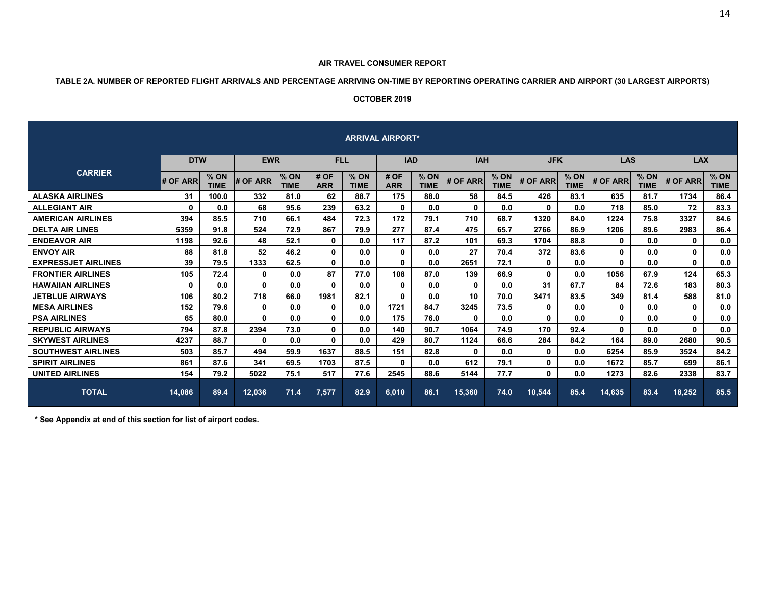#### **AIR TRAVEL CONSUMER REPORT**

# **TABLE 2A. NUMBER OF REPORTED FLIGHT ARRIVALS AND PERCENTAGE ARRIVING ON-TIME BY REPORTING OPERATING CARRIER AND AIRPORT (30 LARGEST AIRPORTS)**

# **OCTOBER 2019**

| <b>ARRIVAL AIRPORT*</b>    |            |                     |              |                     |                    |                       |                    |                       |                 |                       |              |                     |              |                       |              |                       |
|----------------------------|------------|---------------------|--------------|---------------------|--------------------|-----------------------|--------------------|-----------------------|-----------------|-----------------------|--------------|---------------------|--------------|-----------------------|--------------|-----------------------|
|                            | <b>DTW</b> |                     | <b>EWR</b>   |                     | <b>FLL</b>         |                       | <b>IAD</b>         |                       | <b>IAH</b>      |                       | <b>JFK</b>   |                     | <b>LAS</b>   |                       | <b>LAX</b>   |                       |
| <b>CARRIER</b>             | # OF ARR   | % ON<br><b>TIME</b> | # OF ARR     | % ON<br><b>TIME</b> | # OF<br><b>ARR</b> | $%$ ON<br><b>TIME</b> | # OF<br><b>ARR</b> | $%$ ON<br><b>TIME</b> | # OF ARR        | $%$ ON<br><b>TIME</b> | # OF ARR     | % ON<br><b>TIME</b> | # OF ARR     | $%$ ON<br><b>TIME</b> | # OF ARR     | $%$ ON<br><b>TIME</b> |
| <b>ALASKA AIRLINES</b>     | 31         | 100.0               | 332          | 81.0                | 62                 | 88.7                  | 175                | 88.0                  | 58              | 84.5                  | 426          | 83.1                | 635          | 81.7                  | 1734         | 86.4                  |
| <b>ALLEGIANT AIR</b>       | 0          | 0.0                 | 68           | 95.6                | 239                | 63.2                  | $\mathbf{0}$       | 0.0                   | $\mathbf{0}$    | 0.0                   | $\mathbf{0}$ | 0.0                 | 718          | 85.0                  | 72           | 83.3                  |
| <b>AMERICAN AIRLINES</b>   | 394        | 85.5                | 710          | 66.1                | 484                | 72.3                  | 172                | 79.1                  | 710             | 68.7                  | 1320         | 84.0                | 1224         | 75.8                  | 3327         | 84.6                  |
| <b>DELTA AIR LINES</b>     | 5359       | 91.8                | 524          | 72.9                | 867                | 79.9                  | 277                | 87.4                  | 475             | 65.7                  | 2766         | 86.9                | 1206         | 89.6                  | 2983         | 86.4                  |
| <b>ENDEAVOR AIR</b>        | 1198       | 92.6                | 48           | 52.1                | $\mathbf{0}$       | 0.0                   | 117                | 87.2                  | 101             | 69.3                  | 1704         | 88.8                | $\mathbf{0}$ | 0.0                   | 0            | 0.0                   |
| <b>ENVOY AIR</b>           | 88         | 81.8                | 52           | 46.2                | 0                  | 0.0                   | 0                  | 0.0                   | 27              | 70.4                  | 372          | 83.6                | $\mathbf{0}$ | 0.0                   | 0            | 0.0                   |
| <b>EXPRESSJET AIRLINES</b> | 39         | 79.5                | 1333         | 62.5                | $\mathbf{0}$       | 0.0                   | 0                  | 0.0                   | 2651            | 72.1                  | 0            | 0.0                 | $\mathbf{0}$ | 0.0                   | 0            | 0.0                   |
| <b>FRONTIER AIRLINES</b>   | 105        | 72.4                | 0            | 0.0                 | 87                 | 77.0                  | 108                | 87.0                  | 139             | 66.9                  | 0            | 0.0                 | 1056         | 67.9                  | 124          | 65.3                  |
| <b>HAWAIIAN AIRLINES</b>   | 0          | 0.0                 | 0            | 0.0                 | 0                  | 0.0                   | $\mathbf 0$        | 0.0                   | 0               | 0.0                   | 31           | 67.7                | 84           | 72.6                  | 183          | 80.3                  |
| <b>JETBLUE AIRWAYS</b>     | 106        | 80.2                | 718          | 66.0                | 1981               | 82.1                  | $\mathbf{0}$       | 0.0                   | 10 <sup>1</sup> | 70.0                  | 3471         | 83.5                | 349          | 81.4                  | 588          | 81.0                  |
| <b>MESA AIRLINES</b>       | 152        | 79.6                | $\mathbf{0}$ | 0.0                 | $\mathbf{0}$       | 0.0                   | 1721               | 84.7                  | 3245            | 73.5                  | $\bf{0}$     | 0.0                 | $\mathbf{0}$ | 0.0                   | 0            | 0.0                   |
| <b>PSA AIRLINES</b>        | 65         | 80.0                | 0            | 0.0                 | $\mathbf{0}$       | 0.0                   | 175                | 76.0                  | $\mathbf{0}$    | 0.0                   | $\mathbf{0}$ | 0.0                 | $\mathbf{0}$ | 0.0                   | $\mathbf{0}$ | 0.0                   |
| <b>REPUBLIC AIRWAYS</b>    | 794        | 87.8                | 2394         | 73.0                | 0                  | 0.0                   | 140                | 90.7                  | 1064            | 74.9                  | 170          | 92.4                | $\mathbf{0}$ | 0.0                   | $\mathbf{0}$ | 0.0                   |
| <b>SKYWEST AIRLINES</b>    | 4237       | 88.7                | $\mathbf{0}$ | 0.0                 | $\mathbf{0}$       | 0.0                   | 429                | 80.7                  | 1124            | 66.6                  | 284          | 84.2                | 164          | 89.0                  | 2680         | 90.5                  |
| <b>SOUTHWEST AIRLINES</b>  | 503        | 85.7                | 494          | 59.9                | 1637               | 88.5                  | 151                | 82.8                  | 0               | 0.0                   | 0            | 0.0                 | 6254         | 85.9                  | 3524         | 84.2                  |
| <b>SPIRIT AIRLINES</b>     | 861        | 87.6                | 341          | 69.5                | 1703               | 87.5                  | 0                  | 0.0                   | 612             | 79.1                  | 0            | 0.0                 | 1672         | 85.7                  | 699          | 86.1                  |
| <b>UNITED AIRLINES</b>     | 154        | 79.2                | 5022         | 75.1                | 517                | 77.6                  | 2545               | 88.6                  | 5144            | 77.7                  | $\mathbf{0}$ | 0.0                 | 1273         | 82.6                  | 2338         | 83.7                  |
| <b>TOTAL</b>               | 14,086     | 89.4                | 12,036       | 71.4                | 7,577              | 82.9                  | 6,010              | 86.1                  | 15,360          | 74.0                  | 10,544       | 85.4                | 14,635       | 83.4                  | 18,252       | 85.5                  |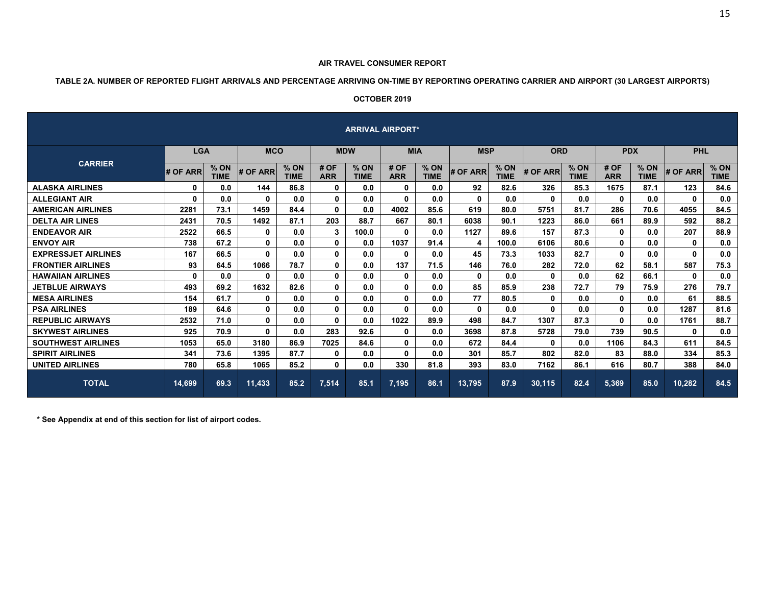#### **AIR TRAVEL CONSUMER REPORT**

# **TABLE 2A. NUMBER OF REPORTED FLIGHT ARRIVALS AND PERCENTAGE ARRIVING ON-TIME BY REPORTING OPERATING CARRIER AND AIRPORT (30 LARGEST AIRPORTS)**

# **OCTOBER 2019**

|                            |            |                     |              |                       |                    |                     | <b>ARRIVAL AIRPORT*</b> |                     |              |                     |              |                     |                    |                       |              |                     |
|----------------------------|------------|---------------------|--------------|-----------------------|--------------------|---------------------|-------------------------|---------------------|--------------|---------------------|--------------|---------------------|--------------------|-----------------------|--------------|---------------------|
|                            | <b>LGA</b> |                     | <b>MCO</b>   |                       | <b>MDW</b>         |                     | <b>MIA</b>              |                     | <b>MSP</b>   |                     | <b>ORD</b>   |                     | <b>PDX</b>         |                       | <b>PHL</b>   |                     |
| <b>CARRIER</b>             | # OF ARR   | % ON<br><b>TIME</b> | # OF ARR     | $%$ ON<br><b>TIME</b> | # OF<br><b>ARR</b> | % ON<br><b>TIME</b> | # OF<br><b>ARR</b>      | % ON<br><b>TIME</b> | # OF ARR     | % ON<br><b>TIME</b> | # OF ARR     | % ON<br><b>TIME</b> | # OF<br><b>ARR</b> | $%$ ON<br><b>TIME</b> | # OF ARR     | % ON<br><b>TIME</b> |
| <b>ALASKA AIRLINES</b>     | 0          | 0.0                 | 144          | 86.8                  | $\mathbf{0}$       | 0.0                 | $\mathbf{0}$            | 0.0                 | 92           | 82.6                | 326          | 85.3                | 1675               | 87.1                  | 123          | 84.6                |
| <b>ALLEGIANT AIR</b>       | 0          | 0.0                 | 0            | 0.0                   | 0                  | 0.0                 | 0                       | 0.0                 | $\mathbf{0}$ | 0.0                 | 0            | 0.0                 | $\mathbf{0}$       | 0.0                   | 0            | 0.0                 |
| <b>AMERICAN AIRLINES</b>   | 2281       | 73.1                | 1459         | 84.4                  | 0                  | 0.0                 | 4002                    | 85.6                | 619          | 80.0                | 5751         | 81.7                | 286                | 70.6                  | 4055         | 84.5                |
| <b>DELTA AIR LINES</b>     | 2431       | 70.5                | 1492         | 87.1                  | 203                | 88.7                | 667                     | 80.1                | 6038         | 90.1                | 1223         | 86.0                | 661                | 89.9                  | 592          | 88.2                |
| <b>ENDEAVOR AIR</b>        | 2522       | 66.5                | 0            | 0.0                   | 3                  | 100.0               | 0                       | 0.0                 | 1127         | 89.6                | 157          | 87.3                | $\mathbf{0}$       | 0.0                   | 207          | 88.9                |
| <b>ENVOY AIR</b>           | 738        | 67.2                | 0            | 0.0                   | $\mathbf{0}$       | 0.0                 | 1037                    | 91.4                | 4            | 100.0               | 6106         | 80.6                | $\mathbf{0}$       | 0.0                   | 0            | 0.0                 |
| <b>EXPRESSJET AIRLINES</b> | 167        | 66.5                | 0            | 0.0                   | $\mathbf{0}$       | 0.0                 | 0                       | 0.0                 | 45           | 73.3                | 1033         | 82.7                | $\mathbf{0}$       | 0.0                   | $\mathbf{0}$ | 0.0                 |
| <b>FRONTIER AIRLINES</b>   | 93         | 64.5                | 1066         | 78.7                  | 0                  | 0.0                 | 137                     | 71.5                | 146          | 76.0                | 282          | 72.0                | 62                 | 58.1                  | 587          | 75.3                |
| <b>HAWAIIAN AIRLINES</b>   | 0          | 0.0                 | 0            | 0.0                   | $\mathbf 0$        | 0.0                 | 0                       | 0.0                 | 0            | 0.0                 | 0            | 0.0                 | 62                 | 66.1                  | 0            | 0.0                 |
| <b>JETBLUE AIRWAYS</b>     | 493        | 69.2                | 1632         | 82.6                  | $\mathbf 0$        | 0.0                 | $\mathbf{0}$            | 0.0                 | 85           | 85.9                | 238          | 72.7                | 79                 | 75.9                  | 276          | 79.7                |
| <b>MESA AIRLINES</b>       | 154        | 61.7                | 0            | 0.0                   | $\mathbf{0}$       | 0.0                 | $\mathbf{0}$            | 0.0                 | 77           | 80.5                | $\mathbf{0}$ | 0.0                 | $\mathbf{0}$       | 0.0                   | 61           | 88.5                |
| <b>PSA AIRLINES</b>        | 189        | 64.6                | 0            | 0.0                   | 0                  | 0.0                 | $\mathbf{0}$            | 0.0                 | $\Omega$     | 0.0                 | $\Omega$     | 0.0                 | $\mathbf{0}$       | 0.0                   | 1287         | 81.6                |
| <b>REPUBLIC AIRWAYS</b>    | 2532       | 71.0                | 0            | 0.0                   | $\mathbf{0}$       | 0.0                 | 1022                    | 89.9                | 498          | 84.7                | 1307         | 87.3                | $\mathbf{0}$       | 0.0                   | 1761         | 88.7                |
| <b>SKYWEST AIRLINES</b>    | 925        | 70.9                | $\mathbf{0}$ | 0.0                   | 283                | 92.6                | $\mathbf{0}$            | 0.0                 | 3698         | 87.8                | 5728         | 79.0                | 739                | 90.5                  | $\bf{0}$     | 0.0                 |
| <b>SOUTHWEST AIRLINES</b>  | 1053       | 65.0                | 3180         | 86.9                  | 7025               | 84.6                | $\mathbf{0}$            | 0.0                 | 672          | 84.4                | $\mathbf{0}$ | 0.0                 | 1106               | 84.3                  | 611          | 84.5                |
| <b>SPIRIT AIRLINES</b>     | 341        | 73.6                | 1395         | 87.7                  | 0                  | 0.0                 | $\mathbf{0}$            | 0.0                 | 301          | 85.7                | 802          | 82.0                | 83                 | 88.0                  | 334          | 85.3                |
| <b>UNITED AIRLINES</b>     | 780        | 65.8                | 1065         | 85.2                  | $\mathbf{0}$       | 0.0                 | 330                     | 81.8                | 393          | 83.0                | 7162         | 86.1                | 616                | 80.7                  | 388          | 84.0                |
| <b>TOTAL</b>               | 14,699     | 69.3                | 11,433       | 85.2                  | 7,514              | 85.1                | 7,195                   | 86.1                | 13,795       | 87.9                | 30,115       | 82.4                | 5,369              | 85.0                  | 10,282       | 84.5                |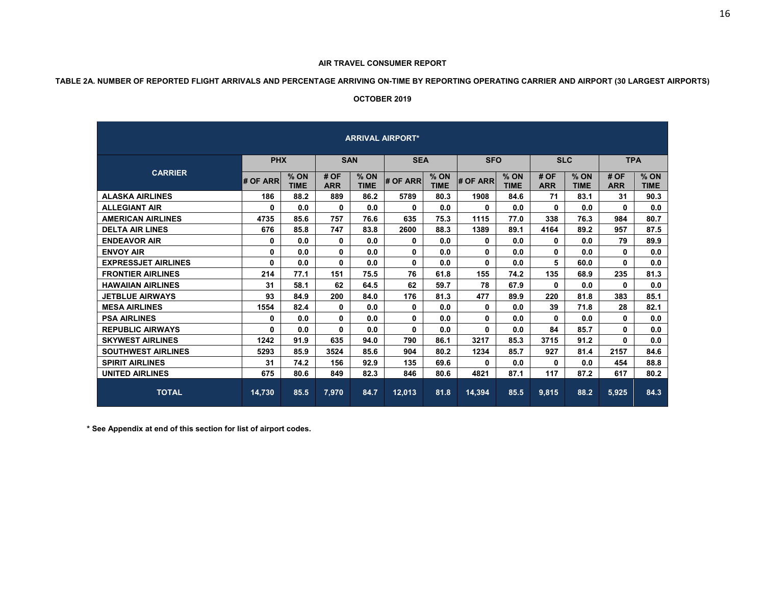#### **AIR TRAVEL CONSUMER REPORT**

# **TABLE 2A. NUMBER OF REPORTED FLIGHT ARRIVALS AND PERCENTAGE ARRIVING ON-TIME BY REPORTING OPERATING CARRIER AND AIRPORT (30 LARGEST AIRPORTS)**

#### **OCTOBER 2019**

|                            |            |                       |                    |                       | <b>ARRIVAL AIRPORT*</b> |                     |              |                |                    |                     |                    |                       |
|----------------------------|------------|-----------------------|--------------------|-----------------------|-------------------------|---------------------|--------------|----------------|--------------------|---------------------|--------------------|-----------------------|
|                            | <b>PHX</b> |                       |                    | <b>SAN</b>            | <b>SEA</b>              |                     | <b>SFO</b>   |                |                    | <b>SLC</b>          |                    | <b>TPA</b>            |
| <b>CARRIER</b>             | # OF ARR   | $%$ ON<br><b>TIME</b> | # OF<br><b>ARR</b> | $%$ ON<br><b>TIME</b> | # OF ARR                | % ON<br><b>TIME</b> | # OF ARR     | $%$ ON<br>TIME | # OF<br><b>ARR</b> | % ON<br><b>TIME</b> | # OF<br><b>ARR</b> | $%$ ON<br><b>TIME</b> |
| <b>ALASKA AIRLINES</b>     | 186        | 88.2                  | 889                | 86.2                  | 5789                    | 80.3                | 1908         | 84.6           | 71                 | 83.1                | 31                 | 90.3                  |
| <b>ALLEGIANT AIR</b>       | 0          | 0.0                   | 0                  | 0.0                   | $\bf{0}$                | 0.0                 | 0            | 0.0            | 0                  | 0.0                 | $\mathbf{0}$       | 0.0                   |
| <b>AMERICAN AIRLINES</b>   | 4735       | 85.6                  | 757                | 76.6                  | 635                     | 75.3                | 1115         | 77.0           | 338                | 76.3                | 984                | 80.7                  |
| <b>DELTA AIR LINES</b>     | 676        | 85.8                  | 747                | 83.8                  | 2600                    | 88.3                | 1389         | 89.1           | 4164               | 89.2                | 957                | 87.5                  |
| <b>ENDEAVOR AIR</b>        | 0          | 0.0                   | 0                  | 0.0                   | 0                       | 0.0                 | 0            | 0.0            | 0                  | 0.0                 | 79                 | 89.9                  |
| <b>ENVOY AIR</b>           | 0          | 0.0                   | 0                  | 0.0                   | 0                       | 0.0                 | 0            | 0.0            | 0                  | 0.0                 | 0                  | 0.0                   |
| <b>EXPRESSJET AIRLINES</b> | 0          | 0.0                   | 0                  | 0.0                   | $\bf{0}$                | 0.0                 | 0            | 0.0            | 5                  | 60.0                | 0                  | 0.0                   |
| <b>FRONTIER AIRLINES</b>   | 214        | 77.1                  | 151                | 75.5                  | 76                      | 61.8                | 155          | 74.2           | 135                | 68.9                | 235                | 81.3                  |
| <b>HAWAIIAN AIRLINES</b>   | 31         | 58.1                  | 62                 | 64.5                  | 62                      | 59.7                | 78           | 67.9           | 0                  | 0.0                 | 0                  | 0.0                   |
| <b>JETBLUE AIRWAYS</b>     | 93         | 84.9                  | 200                | 84.0                  | 176                     | 81.3                | 477          | 89.9           | 220                | 81.8                | 383                | 85.1                  |
| <b>MESA AIRLINES</b>       | 1554       | 82.4                  | 0                  | 0.0                   | 0                       | 0.0                 | 0            | 0.0            | 39                 | 71.8                | 28                 | 82.1                  |
| <b>PSA AIRLINES</b>        | 0          | 0.0                   | $\mathbf{0}$       | 0.0                   | $\mathbf{0}$            | 0.0                 | $\mathbf{0}$ | 0.0            | 0                  | 0.0                 | 0                  | 0.0                   |
| <b>REPUBLIC AIRWAYS</b>    | 0          | 0.0                   | 0                  | 0.0                   | 0                       | 0.0                 | O.           | 0.0            | 84                 | 85.7                | 0                  | 0.0                   |
| <b>SKYWEST AIRLINES</b>    | 1242       | 91.9                  | 635                | 94.0                  | 790                     | 86.1                | 3217         | 85.3           | 3715               | 91.2                | $\mathbf{0}$       | 0.0                   |
| <b>SOUTHWEST AIRLINES</b>  | 5293       | 85.9                  | 3524               | 85.6                  | 904                     | 80.2                | 1234         | 85.7           | 927                | 81.4                | 2157               | 84.6                  |
| <b>SPIRIT AIRLINES</b>     | 31         | 74.2                  | 156                | 92.9                  | 135                     | 69.6                | 0            | 0.0            | 0                  | 0.0                 | 454                | 88.8                  |
| <b>UNITED AIRLINES</b>     | 675        | 80.6                  | 849                | 82.3                  | 846                     | 80.6                | 4821         | 87.1           | 117                | 87.2                | 617                | 80.2                  |
| <b>TOTAL</b>               | 14,730     | 85.5                  | 7.970              | 84.7                  | 12,013                  | 81.8                | 14.394       | 85.5           | 9.815              | 88.2                | 5,925              | 84.3                  |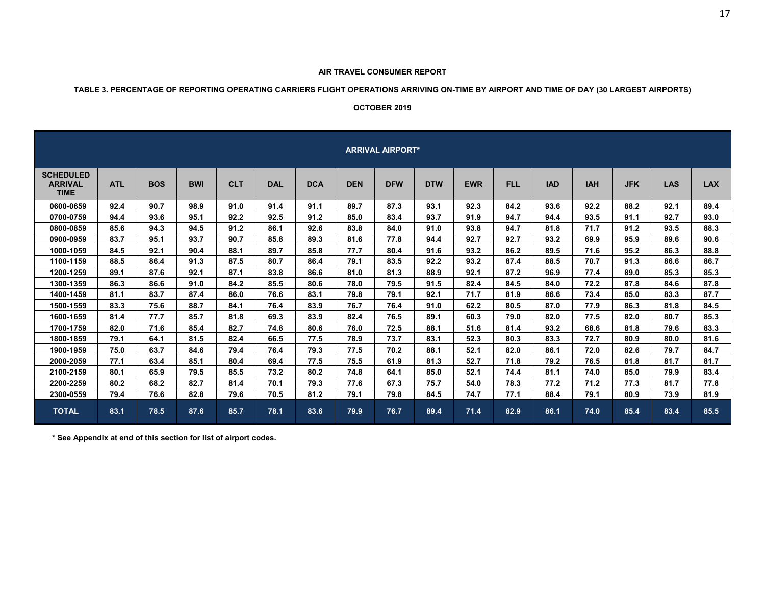# **TABLE 3. PERCENTAGE OF REPORTING OPERATING CARRIERS FLIGHT OPERATIONS ARRIVING ON-TIME BY AIRPORT AND TIME OF DAY (30 LARGEST AIRPORTS)**

#### **OCTOBER 2019**

|                                                   | <b>ARRIVAL AIRPORT*</b> |            |            |            |            |            |            |            |            |            |            |            |            |            |            |            |
|---------------------------------------------------|-------------------------|------------|------------|------------|------------|------------|------------|------------|------------|------------|------------|------------|------------|------------|------------|------------|
| <b>SCHEDULED</b><br><b>ARRIVAL</b><br><b>TIME</b> | <b>ATL</b>              | <b>BOS</b> | <b>BWI</b> | <b>CLT</b> | <b>DAL</b> | <b>DCA</b> | <b>DEN</b> | <b>DFW</b> | <b>DTW</b> | <b>EWR</b> | <b>FLL</b> | <b>IAD</b> | <b>IAH</b> | <b>JFK</b> | <b>LAS</b> | <b>LAX</b> |
| 0600-0659                                         | 92.4                    | 90.7       | 98.9       | 91.0       | 91.4       | 91.1       | 89.7       | 87.3       | 93.1       | 92.3       | 84.2       | 93.6       | 92.2       | 88.2       | 92.1       | 89.4       |
| 0700-0759                                         | 94.4                    | 93.6       | 95.1       | 92.2       | 92.5       | 91.2       | 85.0       | 83.4       | 93.7       | 91.9       | 94.7       | 94.4       | 93.5       | 91.1       | 92.7       | 93.0       |
| 0800-0859                                         | 85.6                    | 94.3       | 94.5       | 91.2       | 86.1       | 92.6       | 83.8       | 84.0       | 91.0       | 93.8       | 94.7       | 81.8       | 71.7       | 91.2       | 93.5       | 88.3       |
| 0900-0959                                         | 83.7                    | 95.1       | 93.7       | 90.7       | 85.8       | 89.3       | 81.6       | 77.8       | 94.4       | 92.7       | 92.7       | 93.2       | 69.9       | 95.9       | 89.6       | 90.6       |
| 1000-1059                                         | 84.5                    | 92.1       | 90.4       | 88.1       | 89.7       | 85.8       | 77.7       | 80.4       | 91.6       | 93.2       | 86.2       | 89.5       | 71.6       | 95.2       | 86.3       | 88.8       |
| 1100-1159                                         | 88.5                    | 86.4       | 91.3       | 87.5       | 80.7       | 86.4       | 79.1       | 83.5       | 92.2       | 93.2       | 87.4       | 88.5       | 70.7       | 91.3       | 86.6       | 86.7       |
| 1200-1259                                         | 89.1                    | 87.6       | 92.1       | 87.1       | 83.8       | 86.6       | 81.0       | 81.3       | 88.9       | 92.1       | 87.2       | 96.9       | 77.4       | 89.0       | 85.3       | 85.3       |
| 1300-1359                                         | 86.3                    | 86.6       | 91.0       | 84.2       | 85.5       | 80.6       | 78.0       | 79.5       | 91.5       | 82.4       | 84.5       | 84.0       | 72.2       | 87.8       | 84.6       | 87.8       |
| 1400-1459                                         | 81.1                    | 83.7       | 87.4       | 86.0       | 76.6       | 83.1       | 79.8       | 79.1       | 92.1       | 71.7       | 81.9       | 86.6       | 73.4       | 85.0       | 83.3       | 87.7       |
| 1500-1559                                         | 83.3                    | 75.6       | 88.7       | 84.1       | 76.4       | 83.9       | 76.7       | 76.4       | 91.0       | 62.2       | 80.5       | 87.0       | 77.9       | 86.3       | 81.8       | 84.5       |
| 1600-1659                                         | 81.4                    | 77.7       | 85.7       | 81.8       | 69.3       | 83.9       | 82.4       | 76.5       | 89.1       | 60.3       | 79.0       | 82.0       | 77.5       | 82.0       | 80.7       | 85.3       |
| 1700-1759                                         | 82.0                    | 71.6       | 85.4       | 82.7       | 74.8       | 80.6       | 76.0       | 72.5       | 88.1       | 51.6       | 81.4       | 93.2       | 68.6       | 81.8       | 79.6       | 83.3       |
| 1800-1859                                         | 79.1                    | 64.1       | 81.5       | 82.4       | 66.5       | 77.5       | 78.9       | 73.7       | 83.1       | 52.3       | 80.3       | 83.3       | 72.7       | 80.9       | 80.0       | 81.6       |
| 1900-1959                                         | 75.0                    | 63.7       | 84.6       | 79.4       | 76.4       | 79.3       | 77.5       | 70.2       | 88.1       | 52.1       | 82.0       | 86.1       | 72.0       | 82.6       | 79.7       | 84.7       |
| 2000-2059                                         | 77.1                    | 63.4       | 85.1       | 80.4       | 69.4       | 77.5       | 75.5       | 61.9       | 81.3       | 52.7       | 71.8       | 79.2       | 76.5       | 81.8       | 81.7       | 81.7       |
| 2100-2159                                         | 80.1                    | 65.9       | 79.5       | 85.5       | 73.2       | 80.2       | 74.8       | 64.1       | 85.0       | 52.1       | 74.4       | 81.1       | 74.0       | 85.0       | 79.9       | 83.4       |
| 2200-2259                                         | 80.2                    | 68.2       | 82.7       | 81.4       | 70.1       | 79.3       | 77.6       | 67.3       | 75.7       | 54.0       | 78.3       | 77.2       | 71.2       | 77.3       | 81.7       | 77.8       |
| 2300-0559                                         | 79.4                    | 76.6       | 82.8       | 79.6       | 70.5       | 81.2       | 79.1       | 79.8       | 84.5       | 74.7       | 77.1       | 88.4       | 79.1       | 80.9       | 73.9       | 81.9       |
| <b>TOTAL</b>                                      | 83.1                    | 78.5       | 87.6       | 85.7       | 78.1       | 83.6       | 79.9       | 76.7       | 89.4       | 71.4       | 82.9       | 86.1       | 74.0       | 85.4       | 83.4       | 85.5       |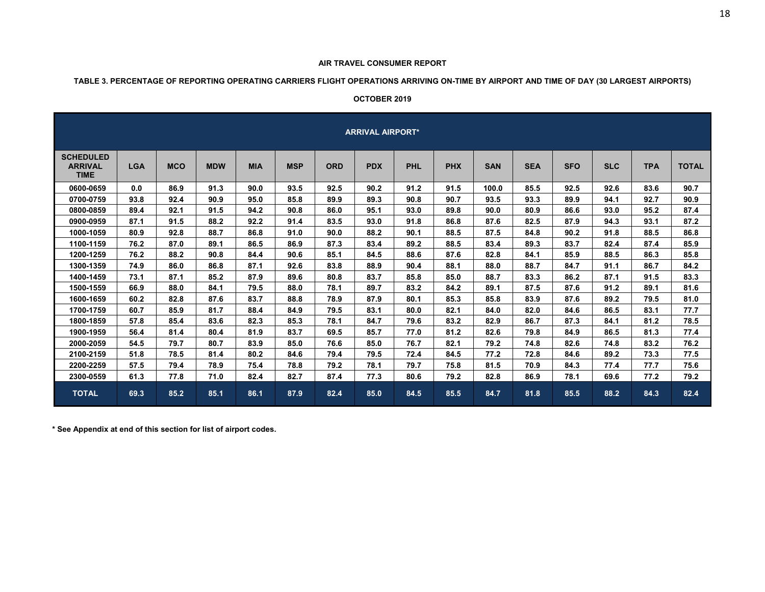#### **AIR TRAVEL CONSUMER REPORT**

# **TABLE 3. PERCENTAGE OF REPORTING OPERATING CARRIERS FLIGHT OPERATIONS ARRIVING ON-TIME BY AIRPORT AND TIME OF DAY (30 LARGEST AIRPORTS)**

#### **OCTOBER 2019**

|                                                   |            |            |            |            |            |            | <b>ARRIVAL AIRPORT*</b> |            |            |            |            |            |            |            |              |
|---------------------------------------------------|------------|------------|------------|------------|------------|------------|-------------------------|------------|------------|------------|------------|------------|------------|------------|--------------|
| <b>SCHEDULED</b><br><b>ARRIVAL</b><br><b>TIME</b> | <b>LGA</b> | <b>MCO</b> | <b>MDW</b> | <b>MIA</b> | <b>MSP</b> | <b>ORD</b> | <b>PDX</b>              | <b>PHL</b> | <b>PHX</b> | <b>SAN</b> | <b>SEA</b> | <b>SFO</b> | <b>SLC</b> | <b>TPA</b> | <b>TOTAL</b> |
| 0600-0659                                         | 0.0        | 86.9       | 91.3       | 90.0       | 93.5       | 92.5       | 90.2                    | 91.2       | 91.5       | 100.0      | 85.5       | 92.5       | 92.6       | 83.6       | 90.7         |
| 0700-0759                                         | 93.8       | 92.4       | 90.9       | 95.0       | 85.8       | 89.9       | 89.3                    | 90.8       | 90.7       | 93.5       | 93.3       | 89.9       | 94.1       | 92.7       | 90.9         |
| 0800-0859                                         | 89.4       | 92.1       | 91.5       | 94.2       | 90.8       | 86.0       | 95.1                    | 93.0       | 89.8       | 90.0       | 80.9       | 86.6       | 93.0       | 95.2       | 87.4         |
| 0900-0959                                         | 87.1       | 91.5       | 88.2       | 92.2       | 91.4       | 83.5       | 93.0                    | 91.8       | 86.8       | 87.6       | 82.5       | 87.9       | 94.3       | 93.1       | 87.2         |
| 1000-1059                                         | 80.9       | 92.8       | 88.7       | 86.8       | 91.0       | 90.0       | 88.2                    | 90.1       | 88.5       | 87.5       | 84.8       | 90.2       | 91.8       | 88.5       | 86.8         |
| 1100-1159                                         | 76.2       | 87.0       | 89.1       | 86.5       | 86.9       | 87.3       | 83.4                    | 89.2       | 88.5       | 83.4       | 89.3       | 83.7       | 82.4       | 87.4       | 85.9         |
| 1200-1259                                         | 76.2       | 88.2       | 90.8       | 84.4       | 90.6       | 85.1       | 84.5                    | 88.6       | 87.6       | 82.8       | 84.1       | 85.9       | 88.5       | 86.3       | 85.8         |
| 1300-1359                                         | 74.9       | 86.0       | 86.8       | 87.1       | 92.6       | 83.8       | 88.9                    | 90.4       | 88.1       | 88.0       | 88.7       | 84.7       | 91.1       | 86.7       | 84.2         |
| 1400-1459                                         | 73.1       | 87.1       | 85.2       | 87.9       | 89.6       | 80.8       | 83.7                    | 85.8       | 85.0       | 88.7       | 83.3       | 86.2       | 87.1       | 91.5       | 83.3         |
| 1500-1559                                         | 66.9       | 88.0       | 84.1       | 79.5       | 88.0       | 78.1       | 89.7                    | 83.2       | 84.2       | 89.1       | 87.5       | 87.6       | 91.2       | 89.1       | 81.6         |
| 1600-1659                                         | 60.2       | 82.8       | 87.6       | 83.7       | 88.8       | 78.9       | 87.9                    | 80.1       | 85.3       | 85.8       | 83.9       | 87.6       | 89.2       | 79.5       | 81.0         |
| 1700-1759                                         | 60.7       | 85.9       | 81.7       | 88.4       | 84.9       | 79.5       | 83.1                    | 80.0       | 82.1       | 84.0       | 82.0       | 84.6       | 86.5       | 83.1       | 77.7         |
| 1800-1859                                         | 57.8       | 85.4       | 83.6       | 82.3       | 85.3       | 78.1       | 84.7                    | 79.6       | 83.2       | 82.9       | 86.7       | 87.3       | 84.1       | 81.2       | 78.5         |
| 1900-1959                                         | 56.4       | 81.4       | 80.4       | 81.9       | 83.7       | 69.5       | 85.7                    | 77.0       | 81.2       | 82.6       | 79.8       | 84.9       | 86.5       | 81.3       | 77.4         |
| 2000-2059                                         | 54.5       | 79.7       | 80.7       | 83.9       | 85.0       | 76.6       | 85.0                    | 76.7       | 82.1       | 79.2       | 74.8       | 82.6       | 74.8       | 83.2       | 76.2         |
| 2100-2159                                         | 51.8       | 78.5       | 81.4       | 80.2       | 84.6       | 79.4       | 79.5                    | 72.4       | 84.5       | 77.2       | 72.8       | 84.6       | 89.2       | 73.3       | 77.5         |
| 2200-2259                                         | 57.5       | 79.4       | 78.9       | 75.4       | 78.8       | 79.2       | 78.1                    | 79.7       | 75.8       | 81.5       | 70.9       | 84.3       | 77.4       | 77.7       | 75.6         |
| 2300-0559                                         | 61.3       | 77.8       | 71.0       | 82.4       | 82.7       | 87.4       | 77.3                    | 80.6       | 79.2       | 82.8       | 86.9       | 78.1       | 69.6       | 77.2       | 79.2         |
| <b>TOTAL</b>                                      | 69.3       | 85.2       | 85.1       | 86.1       | 87.9       | 82.4       | 85.0                    | 84.5       | 85.5       | 84.7       | 81.8       | 85.5       | 88.2       | 84.3       | 82.4         |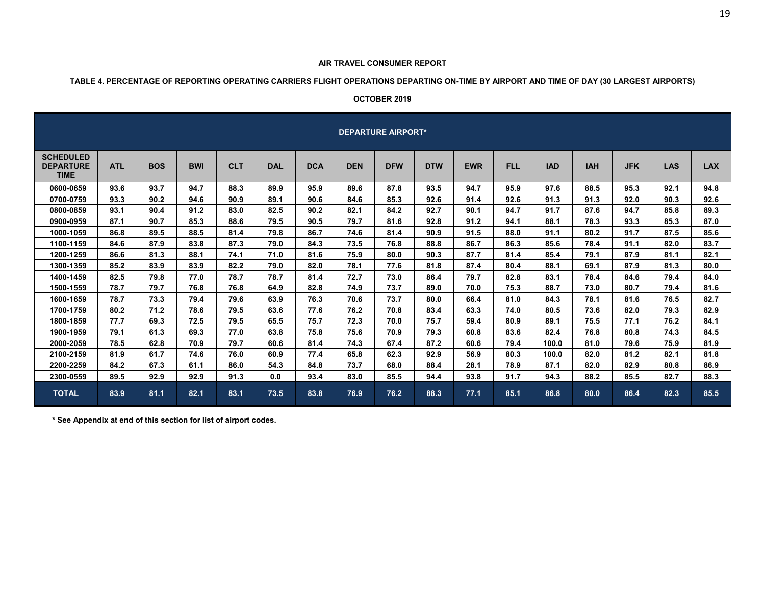#### **AIR TRAVEL CONSUMER REPORT**

# **TABLE 4. PERCENTAGE OF REPORTING OPERATING CARRIERS FLIGHT OPERATIONS DEPARTING ON-TIME BY AIRPORT AND TIME OF DAY (30 LARGEST AIRPORTS)**

#### **OCTOBER 2019**

|                                                     |            |            |            |            |            |            |            | <b>DEPARTURE AIRPORT*</b> |            |            |            |            |            |            |            |            |
|-----------------------------------------------------|------------|------------|------------|------------|------------|------------|------------|---------------------------|------------|------------|------------|------------|------------|------------|------------|------------|
| <b>SCHEDULED</b><br><b>DEPARTURE</b><br><b>TIME</b> | <b>ATL</b> | <b>BOS</b> | <b>BWI</b> | <b>CLT</b> | <b>DAL</b> | <b>DCA</b> | <b>DEN</b> | <b>DFW</b>                | <b>DTW</b> | <b>EWR</b> | <b>FLL</b> | <b>IAD</b> | <b>IAH</b> | <b>JFK</b> | <b>LAS</b> | <b>LAX</b> |
| 0600-0659                                           | 93.6       | 93.7       | 94.7       | 88.3       | 89.9       | 95.9       | 89.6       | 87.8                      | 93.5       | 94.7       | 95.9       | 97.6       | 88.5       | 95.3       | 92.1       | 94.8       |
| 0700-0759                                           | 93.3       | 90.2       | 94.6       | 90.9       | 89.1       | 90.6       | 84.6       | 85.3                      | 92.6       | 91.4       | 92.6       | 91.3       | 91.3       | 92.0       | 90.3       | 92.6       |
| 0800-0859                                           | 93.1       | 90.4       | 91.2       | 83.0       | 82.5       | 90.2       | 82.1       | 84.2                      | 92.7       | 90.1       | 94.7       | 91.7       | 87.6       | 94.7       | 85.8       | 89.3       |
| 0900-0959                                           | 87.1       | 90.7       | 85.3       | 88.6       | 79.5       | 90.5       | 79.7       | 81.6                      | 92.8       | 91.2       | 94.1       | 88.1       | 78.3       | 93.3       | 85.3       | 87.0       |
| 1000-1059                                           | 86.8       | 89.5       | 88.5       | 81.4       | 79.8       | 86.7       | 74.6       | 81.4                      | 90.9       | 91.5       | 88.0       | 91.1       | 80.2       | 91.7       | 87.5       | 85.6       |
| 1100-1159                                           | 84.6       | 87.9       | 83.8       | 87.3       | 79.0       | 84.3       | 73.5       | 76.8                      | 88.8       | 86.7       | 86.3       | 85.6       | 78.4       | 91.1       | 82.0       | 83.7       |
| 1200-1259                                           | 86.6       | 81.3       | 88.1       | 74.1       | 71.0       | 81.6       | 75.9       | 80.0                      | 90.3       | 87.7       | 81.4       | 85.4       | 79.1       | 87.9       | 81.1       | 82.1       |
| 1300-1359                                           | 85.2       | 83.9       | 83.9       | 82.2       | 79.0       | 82.0       | 78.1       | 77.6                      | 81.8       | 87.4       | 80.4       | 88.1       | 69.1       | 87.9       | 81.3       | 80.0       |
| 1400-1459                                           | 82.5       | 79.8       | 77.0       | 78.7       | 78.7       | 81.4       | 72.7       | 73.0                      | 86.4       | 79.7       | 82.8       | 83.1       | 78.4       | 84.6       | 79.4       | 84.0       |
| 1500-1559                                           | 78.7       | 79.7       | 76.8       | 76.8       | 64.9       | 82.8       | 74.9       | 73.7                      | 89.0       | 70.0       | 75.3       | 88.7       | 73.0       | 80.7       | 79.4       | 81.6       |
| 1600-1659                                           | 78.7       | 73.3       | 79.4       | 79.6       | 63.9       | 76.3       | 70.6       | 73.7                      | 80.0       | 66.4       | 81.0       | 84.3       | 78.1       | 81.6       | 76.5       | 82.7       |
| 1700-1759                                           | 80.2       | 71.2       | 78.6       | 79.5       | 63.6       | 77.6       | 76.2       | 70.8                      | 83.4       | 63.3       | 74.0       | 80.5       | 73.6       | 82.0       | 79.3       | 82.9       |
| 1800-1859                                           | 77.7       | 69.3       | 72.5       | 79.5       | 65.5       | 75.7       | 72.3       | 70.0                      | 75.7       | 59.4       | 80.9       | 89.1       | 75.5       | 77.1       | 76.2       | 84.1       |
| 1900-1959                                           | 79.1       | 61.3       | 69.3       | 77.0       | 63.8       | 75.8       | 75.6       | 70.9                      | 79.3       | 60.8       | 83.6       | 82.4       | 76.8       | 80.8       | 74.3       | 84.5       |
| 2000-2059                                           | 78.5       | 62.8       | 70.9       | 79.7       | 60.6       | 81.4       | 74.3       | 67.4                      | 87.2       | 60.6       | 79.4       | 100.0      | 81.0       | 79.6       | 75.9       | 81.9       |
| 2100-2159                                           | 81.9       | 61.7       | 74.6       | 76.0       | 60.9       | 77.4       | 65.8       | 62.3                      | 92.9       | 56.9       | 80.3       | 100.0      | 82.0       | 81.2       | 82.1       | 81.8       |
| 2200-2259                                           | 84.2       | 67.3       | 61.1       | 86.0       | 54.3       | 84.8       | 73.7       | 68.0                      | 88.4       | 28.1       | 78.9       | 87.1       | 82.0       | 82.9       | 80.8       | 86.9       |
| 2300-0559                                           | 89.5       | 92.9       | 92.9       | 91.3       | 0.0        | 93.4       | 83.0       | 85.5                      | 94.4       | 93.8       | 91.7       | 94.3       | 88.2       | 85.5       | 82.7       | 88.3       |
| <b>TOTAL</b>                                        | 83.9       | 81.1       | 82.1       | 83.1       | 73.5       | 83.8       | 76.9       | 76.2                      | 88.3       | 77.1       | 85.1       | 86.8       | 80.0       | 86.4       | 82.3       | 85.5       |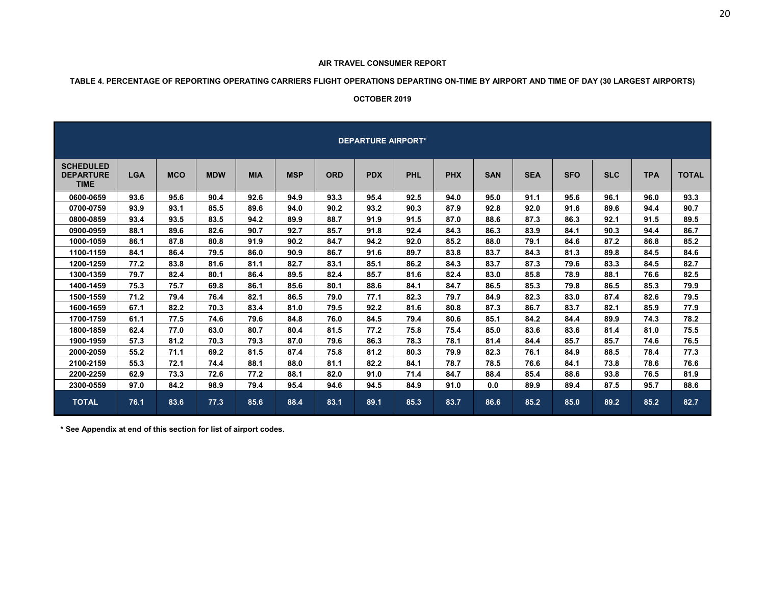#### **TABLE 4. PERCENTAGE OF REPORTING OPERATING CARRIERS FLIGHT OPERATIONS DEPARTING ON-TIME BY AIRPORT AND TIME OF DAY (30 LARGEST AIRPORTS)**

#### **OCTOBER 2019**

|                                                     |            |            |            |            |            |            | <b>DEPARTURE AIRPORT*</b> |            |            |            |            |            |            |            |              |
|-----------------------------------------------------|------------|------------|------------|------------|------------|------------|---------------------------|------------|------------|------------|------------|------------|------------|------------|--------------|
| <b>SCHEDULED</b><br><b>DEPARTURE</b><br><b>TIME</b> | <b>LGA</b> | <b>MCO</b> | <b>MDW</b> | <b>MIA</b> | <b>MSP</b> | <b>ORD</b> | <b>PDX</b>                | <b>PHL</b> | <b>PHX</b> | <b>SAN</b> | <b>SEA</b> | <b>SFO</b> | <b>SLC</b> | <b>TPA</b> | <b>TOTAL</b> |
| 0600-0659                                           | 93.6       | 95.6       | 90.4       | 92.6       | 94.9       | 93.3       | 95.4                      | 92.5       | 94.0       | 95.0       | 91.1       | 95.6       | 96.1       | 96.0       | 93.3         |
| 0700-0759                                           | 93.9       | 93.1       | 85.5       | 89.6       | 94.0       | 90.2       | 93.2                      | 90.3       | 87.9       | 92.8       | 92.0       | 91.6       | 89.6       | 94.4       | 90.7         |
| 0800-0859                                           | 93.4       | 93.5       | 83.5       | 94.2       | 89.9       | 88.7       | 91.9                      | 91.5       | 87.0       | 88.6       | 87.3       | 86.3       | 92.1       | 91.5       | 89.5         |
| 0900-0959                                           | 88.1       | 89.6       | 82.6       | 90.7       | 92.7       | 85.7       | 91.8                      | 92.4       | 84.3       | 86.3       | 83.9       | 84.1       | 90.3       | 94.4       | 86.7         |
| 1000-1059                                           | 86.1       | 87.8       | 80.8       | 91.9       | 90.2       | 84.7       | 94.2                      | 92.0       | 85.2       | 88.0       | 79.1       | 84.6       | 87.2       | 86.8       | 85.2         |
| 1100-1159                                           | 84.1       | 86.4       | 79.5       | 86.0       | 90.9       | 86.7       | 91.6                      | 89.7       | 83.8       | 83.7       | 84.3       | 81.3       | 89.8       | 84.5       | 84.6         |
| 1200-1259                                           | 77.2       | 83.8       | 81.6       | 81.1       | 82.7       | 83.1       | 85.1                      | 86.2       | 84.3       | 83.7       | 87.3       | 79.6       | 83.3       | 84.5       | 82.7         |
| 1300-1359                                           | 79.7       | 82.4       | 80.1       | 86.4       | 89.5       | 82.4       | 85.7                      | 81.6       | 82.4       | 83.0       | 85.8       | 78.9       | 88.1       | 76.6       | 82.5         |
| 1400-1459                                           | 75.3       | 75.7       | 69.8       | 86.1       | 85.6       | 80.1       | 88.6                      | 84.1       | 84.7       | 86.5       | 85.3       | 79.8       | 86.5       | 85.3       | 79.9         |
| 1500-1559                                           | 71.2       | 79.4       | 76.4       | 82.1       | 86.5       | 79.0       | 77.1                      | 82.3       | 79.7       | 84.9       | 82.3       | 83.0       | 87.4       | 82.6       | 79.5         |
| 1600-1659                                           | 67.1       | 82.2       | 70.3       | 83.4       | 81.0       | 79.5       | 92.2                      | 81.6       | 80.8       | 87.3       | 86.7       | 83.7       | 82.1       | 85.9       | 77.9         |
| 1700-1759                                           | 61.1       | 77.5       | 74.6       | 79.6       | 84.8       | 76.0       | 84.5                      | 79.4       | 80.6       | 85.1       | 84.2       | 84.4       | 89.9       | 74.3       | 78.2         |
| 1800-1859                                           | 62.4       | 77.0       | 63.0       | 80.7       | 80.4       | 81.5       | 77.2                      | 75.8       | 75.4       | 85.0       | 83.6       | 83.6       | 81.4       | 81.0       | 75.5         |
| 1900-1959                                           | 57.3       | 81.2       | 70.3       | 79.3       | 87.0       | 79.6       | 86.3                      | 78.3       | 78.1       | 81.4       | 84.4       | 85.7       | 85.7       | 74.6       | 76.5         |
| 2000-2059                                           | 55.2       | 71.1       | 69.2       | 81.5       | 87.4       | 75.8       | 81.2                      | 80.3       | 79.9       | 82.3       | 76.1       | 84.9       | 88.5       | 78.4       | 77.3         |
| 2100-2159                                           | 55.3       | 72.1       | 74.4       | 88.1       | 88.0       | 81.1       | 82.2                      | 84.1       | 78.7       | 78.5       | 76.6       | 84.1       | 73.8       | 78.6       | 76.6         |
| 2200-2259                                           | 62.9       | 73.3       | 72.6       | 77.2       | 88.1       | 82.0       | 91.0                      | 71.4       | 84.7       | 88.4       | 85.4       | 88.6       | 93.8       | 76.5       | 81.9         |
| 2300-0559                                           | 97.0       | 84.2       | 98.9       | 79.4       | 95.4       | 94.6       | 94.5                      | 84.9       | 91.0       | 0.0        | 89.9       | 89.4       | 87.5       | 95.7       | 88.6         |
| <b>TOTAL</b>                                        | 76.1       | 83.6       | 77.3       | 85.6       | 88.4       | 83.1       | 89.1                      | 85.3       | 83.7       | 86.6       | 85.2       | 85.0       | 89.2       | 85.2       | 82.7         |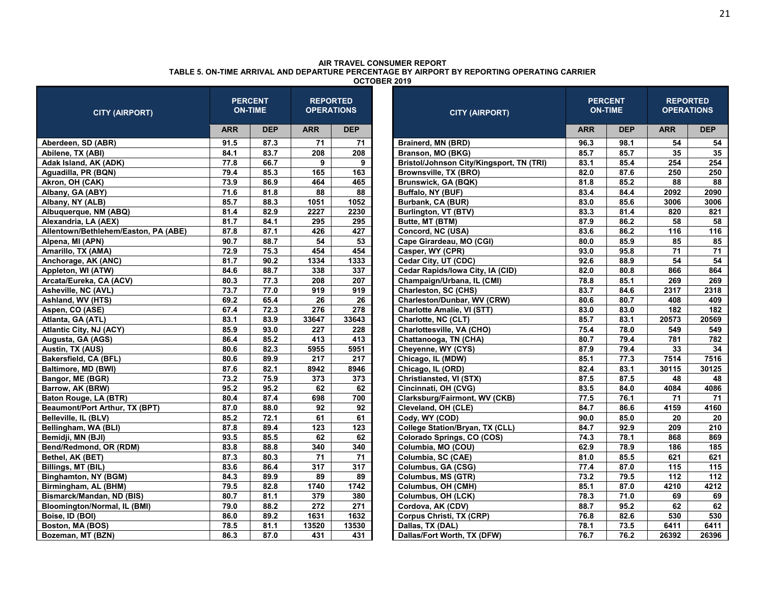| <b>CITY (AIRPORT)</b>                |            | <b>PERCENT</b><br><b>ON-TIME</b> | <b>REPORTED</b>                | <b>OPERATIONS</b> | <b>CITY (AIRPORT)</b>                    |                   | <b>PERCENT</b><br><b>ON-TIME</b> |            | <b>REPORTED</b><br><b>OPERATIONS</b> |
|--------------------------------------|------------|----------------------------------|--------------------------------|-------------------|------------------------------------------|-------------------|----------------------------------|------------|--------------------------------------|
|                                      | <b>ARR</b> | <b>DEP</b>                       | <b>ARR</b>                     | <b>DEP</b>        |                                          | <b>ARR</b>        | <b>DEP</b>                       | <b>ARR</b> | <b>DEP</b>                           |
| Aberdeen, SD (ABR)                   | 91.5       | 87.3                             | 71                             | 71                | Brainerd, MN (BRD)                       | 96.3              | 98.1                             | 54         | 54                                   |
| Abilene, TX (ABI)                    | 84.1       | 83.7                             | 208                            | 208               | Branson, MO (BKG)                        | 85.7              | 85.7                             | 35         | 35                                   |
| Adak Island, AK (ADK)                | 77.8       | 66.7                             | 9                              | 9                 | Bristol/Johnson City/Kingsport, TN (TRI) | 83.1              | 85.4                             | 254        | 254                                  |
| Aguadilla, PR (BQN)                  | 79.4       | 85.3                             | 165                            | 163               | Brownsville, TX (BRO)                    | 82.0              | 87.6                             | 250        | 250                                  |
| Akron, OH (CAK)                      | 73.9       | 86.9                             | 464                            | 465               | <b>Brunswick, GA (BQK)</b>               | 81.8              | 85.2                             | 88         | 88                                   |
| Albany, GA (ABY)                     | 71.6       | 81.8                             | 88                             | 88                | Buffalo, NY (BUF)                        | 83.4              | 84.4                             | 2092       | 2090                                 |
| Albany, NY (ALB)                     | 85.7       | 88.3                             | 1051                           | 1052              | Burbank, CA (BUR)                        | 83.0              | 85.6                             | 3006       | 3006                                 |
| Albuquerque, NM (ABQ)                | 81.4       | 82.9                             | 2227                           | 2230              | Burlington, VT (BTV)                     | 83.3              | 81.4                             | 820        | 821                                  |
| Alexandria, LA (AEX)                 | 81.7       | 84.1                             | 295                            | 295               | Butte, MT (BTM)                          | 87.9              | 86.2                             | 58         | 58                                   |
| Allentown/Bethlehem/Easton, PA (ABE) | 87.8       | 87.1                             | 426                            | 427               | Concord, NC (USA)                        | 83.6              | 86.2                             | 116        | 116                                  |
| Alpena, MI (APN)                     | 90.7       | 88.7                             | 54                             | $\overline{53}$   | Cape Girardeau, MO (CGI)                 | 80.0              | 85.9                             | 85         | 85                                   |
| Amarillo, TX (AMA)                   | 72.9       | 75.3                             | 454<br>454<br>Casper, WY (CPR) |                   |                                          | 93.0              | 95.8                             | 71         | 71                                   |
| Anchorage, AK (ANC)                  | 81.7       | 90.2                             | 1334                           | 1333              | Cedar City, UT (CDC)                     | 92.6              | 88.9                             | 54         | 54                                   |
| Appleton, WI (ATW)                   | 84.6       | 88.7                             | 338                            | 337               | Cedar Rapids/Iowa City, IA (CID)         | 82.0              | 80.8                             | 866        | 864                                  |
| Arcata/Eureka, CA (ACV)              | 80.3       | 77.3                             | 208                            | 207               | Champaign/Urbana, IL (CMI)               | 78.8              | 85.1                             | 269        | 269                                  |
| Asheville, NC (AVL)                  | 73.7       | 77.0                             | 919                            | 919               | Charleston, SC (CHS)                     | 83.7              | 84.6                             | 2317       | 2318                                 |
| Ashland, WV (HTS)                    | 69.2       | 65.4                             | 26                             | 26                | Charleston/Dunbar, WV (CRW)              | 80.6              | 80.7                             | 408        | 409                                  |
| Aspen, CO (ASE)                      | 67.4       | 72.3                             | 276                            | 278               | <b>Charlotte Amalie, VI (STT)</b>        | 83.0              | 83.0                             | 182        | 182                                  |
| Atlanta, GA (ATL)                    | 83.1       | 83.9                             | 33647                          | 33643             | Charlotte, NC (CLT)                      | 85.7              | 83.1                             | 20573      | 20569                                |
| Atlantic City, NJ (ACY)              | 85.9       | 93.0                             | 227                            | 228               | Charlottesville, VA (CHO)                | 75.4              | 78.0                             | 549        | 549                                  |
| Augusta, GA (AGS)                    | 86.4       | 85.2                             | 413                            | 413               | Chattanooga, TN (CHA)                    | 80.7              | 79.4                             | 781        | 782                                  |
| Austin, TX (AUS)                     | 80.6       | 82.3                             | 5955                           | 5951              | Cheyenne, WY (CYS)                       | 87.9              | 79.4                             | 33         | 34                                   |
| Bakersfield, CA (BFL)                | 80.6       | 89.9                             | 217                            | 217               | Chicago, IL (MDW)                        | 85.1              | 77.3                             | 7514       | 7516                                 |
| Baltimore, MD (BWI)                  | 87.6       | 82.1                             | 8942                           | 8946              | Chicago, IL (ORD)                        | 82.4              | 83.1                             | 30115      | 30125                                |
| Bangor, ME (BGR)                     | 73.2       | 75.9                             | 373                            | 373               | Christiansted, VI (STX)                  | 87.5              | 87.5                             | 48         | 48                                   |
| Barrow, AK (BRW)                     | 95.2       | 95.2                             | 62                             | 62                | Cincinnati, OH (CVG)                     | 83.5              | 84.0                             | 4084       | 4086                                 |
| Baton Rouge, LA (BTR)                | 80.4       | 87.4                             | 698                            | 700               | Clarksburg/Fairmont, WV (CKB)            | 77.5              | 76.1                             | 71         | 71                                   |
| Beaumont/Port Arthur, TX (BPT)       | 87.0       | 88.0                             | 92                             | 92                | Cleveland, OH (CLE)                      | 84.7              | 86.6                             | 4159       | 4160                                 |
| Belleville, IL (BLV)                 | 85.2       | 72.1                             | 61                             | 61                | Cody, WY (COD)                           | 90.0              | 85.0                             | 20         | 20                                   |
| Bellingham, WA (BLI)                 | 87.8       | 89.4                             | 123                            | 123               | <b>College Station/Bryan, TX (CLL)</b>   | 84.7              | 92.9                             | 209        | 210                                  |
| Bemidji, MN (BJI)                    | 93.5       | 85.5                             | 62                             | 62                | Colorado Springs, CO (COS)               | 74.3              | 78.1                             | 868        | 869                                  |
| Bend/Redmond, OR (RDM)               | 83.8       | 88.8                             | 340                            | 340               | Columbia, MO (COU)                       | 62.9              | 78.9                             | 186        | 185                                  |
| Bethel, AK (BET)                     | 87.3       | 80.3                             | 71                             | 71                | Columbia, SC (CAE)                       | 81.0              | 85.5                             | 621        | 621                                  |
| Billings, MT (BIL)                   | 83.6       | 86.4                             | 317                            | 317               | Columbus, GA (CSG)                       | 77.4              | 87.0                             | 115        | 115                                  |
| <b>Binghamton, NY (BGM)</b>          | 84.3       | 89.9                             | 89                             | 89                | Columbus, MS (GTR)                       | $\overline{73.2}$ | 79.5                             | 112        | 112                                  |
| Birmingham, AL (BHM)                 | 79.5       | 82.8                             | 1740                           | 1742              | Columbus, OH (CMH)                       | 85.1              | 87.0                             | 4210       | 4212                                 |
| Bismarck/Mandan, ND (BIS)            | 80.7       | 81.1                             | 379                            | 380               | Columbus, OH (LCK)                       | 78.3              | 71.0                             | 69         | 69                                   |
| Bloomington/Normal, IL (BMI)         | 79.0       | 88.2                             | 272                            | 271               | Cordova, AK (CDV)                        | 88.7              | 95.2                             | 62         | 62                                   |
| Boise, ID (BOI)                      | 86.0       | 89.2                             | 1631                           | 1632              | <b>Corpus Christi, TX (CRP)</b>          | 76.8              | 82.6                             | 530        | 530                                  |
| Boston, MA (BOS)                     | 78.5       | 81.1                             | 13520                          | 13530             | Dallas, TX (DAL)                         | 78.1              | 73.5                             | 6411       | 6411                                 |
| Bozeman, MT (BZN)                    | 86.3       | 87.0                             | 431                            | 431               | Dallas/Fort Worth, TX (DFW)              | 76.7              | 76.2                             | 26392      | 26396                                |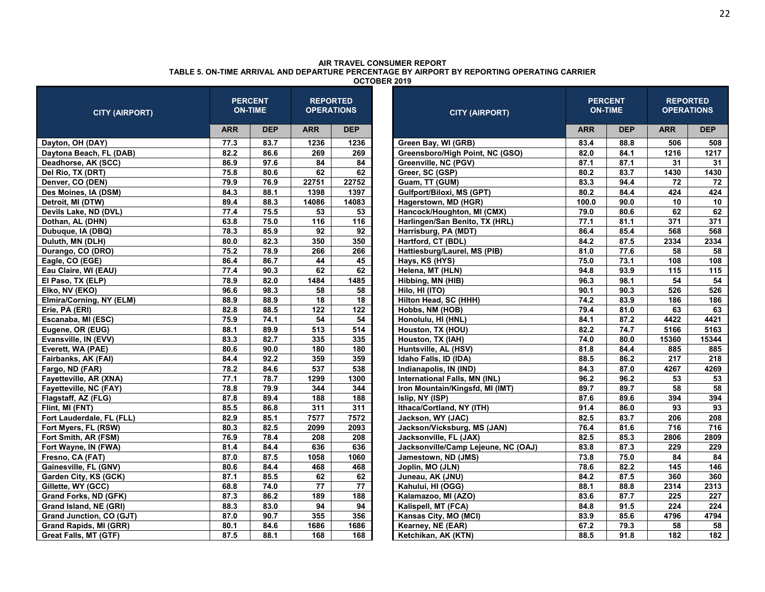| <b>CITY (AIRPORT)</b>        |            | <b>PERCENT</b><br><b>ON-TIME</b> | <b>REPORTED</b><br><b>OPERATIONS</b> |                 | <b>CITY (AIRPORT)</b>               |            | <b>PERCENT</b><br><b>ON-TIME</b> | <b>REPORTED</b><br><b>OPERATIONS</b> |                 |
|------------------------------|------------|----------------------------------|--------------------------------------|-----------------|-------------------------------------|------------|----------------------------------|--------------------------------------|-----------------|
|                              | <b>ARR</b> | <b>DEP</b>                       | <b>ARR</b>                           | <b>DEP</b>      |                                     | <b>ARR</b> | <b>DEP</b>                       | <b>ARR</b>                           | <b>DEP</b>      |
| Dayton, OH (DAY)             | 77.3       | 83.7                             | 1236                                 | 1236            | Green Bay, WI (GRB)                 | 83.4       | 88.8                             | 506                                  | 508             |
| Daytona Beach, FL (DAB)      | 82.2       | 86.6                             | 269                                  | 269             | Greensboro/High Point, NC (GSO)     | 82.0       | 84.1                             | 1216                                 | 1217            |
| Deadhorse, AK (SCC)          | 86.9       | 97.6                             | 84                                   | 84              | Greenville, NC (PGV)                | 87.1       | 87.1                             | 31                                   | 31              |
| Del Rio, TX (DRT)            | 75.8       | 80.6                             | 62                                   | 62              | Greer, SC (GSP)                     | 80.2       | 83.7                             | 1430                                 | 1430            |
| Denver, CO (DEN)             | 79.9       | 76.9                             | 22751                                | 22752           | Guam, TT (GUM)                      | 83.3       | 94.4                             | 72                                   | 72              |
| Des Moines, IA (DSM)         | 84.3       | 88.1                             | 1398                                 | 1397            | Gulfport/Biloxi, MS (GPT)           | 80.2       | 84.4                             | 424                                  | 424             |
| Detroit, MI (DTW)            | 89.4       | 88.3                             | 14086                                | 14083           | Hagerstown, MD (HGR)                | 100.0      | 90.0                             | 10                                   | 10              |
| Devils Lake, ND (DVL)        | 77.4       | 75.5                             | 53                                   | 53              | Hancock/Houghton, MI (CMX)          | 79.0       | 80.6                             | 62                                   | 62              |
| Dothan, AL (DHN)             | 63.8       | 75.0                             | 116                                  | 116             | Harlingen/San Benito, TX (HRL)      | 77.1       | 81.1                             | 371                                  | 371             |
| Dubuque, IA (DBQ)            | 78.3       | 85.9                             | 92                                   | 92              | Harrisburg, PA (MDT)                | 86.4       | 85.4                             | 568                                  | 568             |
| Duluth, MN (DLH)             | 80.0       | 82.3                             | 350                                  | 350             | Hartford, CT (BDL)                  | 84.2       | 87.5                             | 2334                                 | 2334            |
| Durango, CO (DRO)            | 75.2       | 78.9                             | 266                                  | 266             | Hattiesburg/Laurel, MS (PIB)        | 81.0       | 77.6                             | 58                                   | 58              |
| Eagle, CO (EGE)              | 86.4       | 86.7                             | 44                                   | 45              | Hays, KS (HYS)                      | 75.0       | 73.1                             | 108                                  | 108             |
| Eau Claire, WI (EAU)         | 77.4       | 90.3                             | 62                                   | 62              | Helena, MT (HLN)                    | 94.8       | 93.9                             | 115                                  | 115             |
| El Paso, TX (ELP)            | 78.9       | 82.0                             | 1484                                 | 1485            | Hibbing, MN (HIB)                   | 96.3       | 98.1                             | 54                                   | $\overline{54}$ |
| Elko, NV (EKO)               | 96.6       | 98.3                             | 58                                   | 58              | Hilo, HI (ITO)                      | 90.1       | 90.3                             | 526                                  | 526             |
| Elmira/Corning, NY (ELM)     | 88.9       | 88.9                             | 18                                   | 18              | Hilton Head, SC (HHH)               | 74.2       | 83.9                             | 186                                  | 186             |
| Erie, PA (ERI)               | 82.8       | 88.5                             | 122                                  | 122             | Hobbs, NM (HOB)                     | 79.4       | 81.0                             | 63                                   | 63              |
| Escanaba, MI (ESC)           | 75.9       | 74.1                             | 54                                   | 54              | Honolulu, HI (HNL)                  | 84.1       | 87.2                             | 4422                                 | 4421            |
| Eugene, OR (EUG)             | 88.1       | 89.9                             | 513                                  | 514             | Houston, TX (HOU)                   | 82.2       | 74.7                             | 5166                                 | 5163            |
| Evansville, IN (EVV)         | 83.3       | 82.7                             | 335                                  | 335             | Houston, TX (IAH)                   | 74.0       | 80.0                             | 15360                                | 15344           |
| Everett, WA (PAE)            | 80.6       | 90.0                             | 180                                  | 180             | Huntsville, AL (HSV)                | 81.8       | 84.4                             | 885                                  | 885             |
| Fairbanks, AK (FAI)          | 84.4       | 92.2                             | 359                                  | 359             | Idaho Falls, ID (IDA)               | 88.5       | 86.2                             | 217                                  | 218             |
| Fargo, ND (FAR)              | 78.2       | 84.6                             | 537                                  | 538             | Indianapolis, IN (IND)              | 84.3       | 87.0                             | 4267                                 | 4269            |
| Fayetteville, AR (XNA)       | 77.1       | 78.7                             | 1299                                 | 1300            | International Falls, MN (INL)       | 96.2       | 96.2                             | 53                                   | 53              |
| Fayetteville, NC (FAY)       | 78.8       | 79.9                             | 344                                  | 344             | Iron Mountain/Kingsfd, MI (IMT)     | 89.7       | 89.7                             | 58                                   | 58              |
| Flagstaff, AZ (FLG)          | 87.8       | 89.4                             | 188                                  | 188             | Islip, NY (ISP)                     | 87.6       | 89.6                             | 394                                  | 394             |
| Flint, MI (FNT)              | 85.5       | 86.8                             | 311                                  | 311             | Ithaca/Cortland, NY (ITH)           | 91.4       | 86.0                             | $\overline{93}$                      | 93              |
| Fort Lauderdale, FL (FLL)    | 82.9       | 85.1                             | 7577                                 | 7572            | Jackson, WY (JAC)                   | 82.5       | 83.7                             | 206                                  | 208             |
| Fort Myers, FL (RSW)         | 80.3       | 82.5                             | 2099                                 | 2093            | Jackson/Vicksburg, MS (JAN)         | 76.4       | 81.6                             | 716                                  | 716             |
| Fort Smith, AR (FSM)         | 76.9       | 78.4                             | 208                                  | 208             | Jacksonville, FL (JAX)              | 82.5       | 85.3                             | 2806                                 | 2809            |
| Fort Wayne, IN (FWA)         | 81.4       | 84.4                             | 636                                  | 636             | Jacksonville/Camp Lejeune, NC (OAJ) | 83.8       | 87.3                             | 229                                  | 229             |
| Fresno, CA (FAT)             | 87.0       | 87.5                             | 1058                                 | 1060            | Jamestown, ND (JMS)                 | 73.8       | 75.0                             | 84                                   | 84              |
| Gainesville, FL (GNV)        | 80.6       | 84.4                             | 468                                  | 468             | Joplin, MO (JLN)                    | 78.6       | 82.2                             | 145                                  | 146             |
| Garden City, KS (GCK)        | 87.1       | 85.5                             | 62                                   | 62              | Juneau, AK (JNU)                    | 84.2       | 87.5                             | 360                                  | 360             |
| Gillette, WY (GCC)           | 68.8       | 74.0                             | $\overline{77}$                      | $\overline{77}$ | Kahului, HI (OGG)                   | 88.1       | 88.8                             | 2314                                 | 2313            |
| Grand Forks, ND (GFK)        | 87.3       | 86.2                             | 189                                  | 188             | Kalamazoo, MI (AZO)                 | 83.6       | 87.7                             | 225                                  | 227             |
| Grand Island, NE (GRI)       | 88.3       | 83.0                             | 94                                   | 94              | Kalispell, MT (FCA)                 | 84.8       | 91.5                             | 224                                  | 224             |
| Grand Junction, CO (GJT)     | 87.0       | 90.7                             | 355                                  | 356             | Kansas City, MO (MCI)               | 83.9       | 85.6                             | 4796                                 | 4794            |
| Grand Rapids, MI (GRR)       | 80.1       | 84.6                             | 1686                                 | 1686            | Kearney, NE (EAR)                   | 67.2       | 79.3                             | 58                                   | 58              |
| <b>Great Falls, MT (GTF)</b> | 87.5       | 88.1                             | 168                                  | 168             | Ketchikan, AK (KTN)                 | 88.5       | 91.8                             | 182                                  | 182             |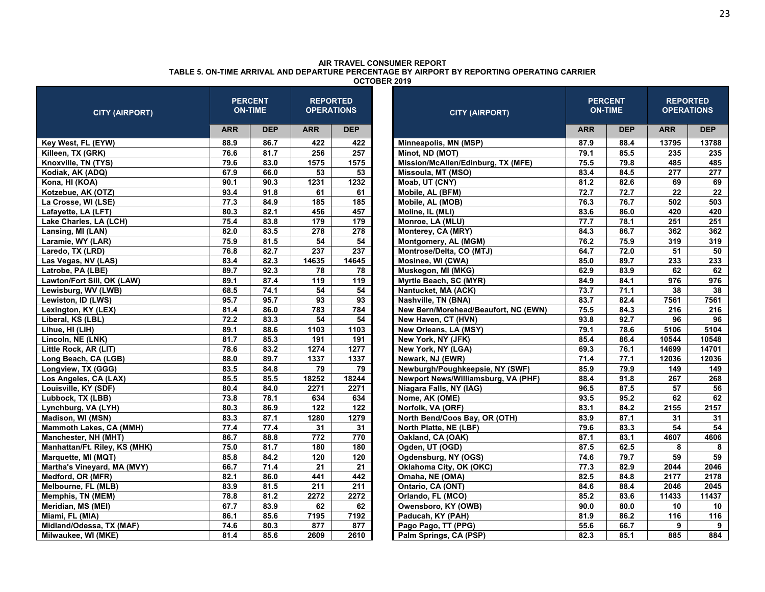| <b>CITY (AIRPORT)</b>         |            | <b>PERCENT</b><br><b>ON-TIME</b> | <b>REPORTED</b><br><b>OPERATIONS</b> |                 | <b>CITY (AIRPORT)</b>                |            | <b>PERCENT</b><br><b>ON-TIME</b> | <b>REPORTED</b><br><b>OPERATIONS</b> |            |
|-------------------------------|------------|----------------------------------|--------------------------------------|-----------------|--------------------------------------|------------|----------------------------------|--------------------------------------|------------|
|                               | <b>ARR</b> | <b>DEP</b>                       | <b>ARR</b>                           | <b>DEP</b>      |                                      | <b>ARR</b> | <b>DEP</b>                       | <b>ARR</b>                           | <b>DEP</b> |
| Key West, FL (EYW)            | 88.9       | 86.7                             | 422                                  | 422             | Minneapolis, MN (MSP)                | 87.9       | 88.4                             | 13795                                | 13788      |
| Killeen, TX (GRK)             | 76.6       | 81.7                             | 256                                  | 257             | Minot, ND (MOT)                      | 79.1       | 85.5                             | 235                                  | 235        |
| Knoxville, TN (TYS)           | 79.6       | 83.0                             | 1575                                 | 1575            | Mission/McAllen/Edinburg, TX (MFE)   | 75.5       | 79.8                             | 485                                  | 485        |
| Kodiak, AK (ADQ)              | 67.9       | 66.0                             | 53                                   | 53              | Missoula, MT (MSO)                   | 83.4       | 84.5                             | 277                                  | 277        |
| Kona, HI (KOA)                | 90.1       | 90.3                             | 1231                                 | 1232            | Moab, UT (CNY)                       | 81.2       | 82.6                             | 69                                   | 69         |
| Kotzebue, AK (OTZ)            | 93.4       | 91.8                             | 61                                   | 61              | Mobile, AL (BFM)                     | 72.7       | 72.7                             | 22                                   | 22         |
| La Crosse, WI (LSE)           | 77.3       | 84.9                             | 185                                  | 185             | Mobile, AL (MOB)                     | 76.3       | 76.7                             | 502                                  | 503        |
| Lafayette, LA (LFT)           | 80.3       | 82.1                             | 456                                  | 457             | Moline, IL (MLI)                     | 83.6       | 86.0                             | 420                                  | 420        |
| Lake Charles, LA (LCH)        | 75.4       | 83.8                             | 179                                  | 179             | Monroe, LA (MLU)                     | 77.7       | 78.1                             | 251                                  | 251        |
| Lansing, MI (LAN)             | 82.0       | 83.5                             | 278                                  | 278             | Monterey, CA (MRY)                   | 84.3       | 86.7                             | 362                                  | 362        |
| Laramie, WY (LAR)             | 75.9       | 81.5                             | 54                                   | 54              | Montgomery, AL (MGM)                 | 76.2       | 75.9                             | 319                                  | 319        |
| Laredo, TX (LRD)              | 76.8       | 82.7                             | 237                                  | 237             | Montrose/Delta, CO (MTJ)             | 64.7       | 72.0                             | 51                                   | 50         |
| Las Vegas, NV (LAS)           | 83.4       | 82.3                             | 14635                                | 14645           | Mosinee, WI (CWA)                    | 85.0       | 89.7                             | 233                                  | 233        |
| Latrobe, PA (LBE)             | 89.7       | 92.3                             | 78                                   | 78              | Muskegon, MI (MKG)                   | 62.9       | 83.9                             | 62                                   | 62         |
| Lawton/Fort Sill, OK (LAW)    | 89.1       | 87.4                             | 119                                  | 119             | Myrtle Beach, SC (MYR)               | 84.9       | 84.1                             | 976                                  | 976        |
| Lewisburg, WV (LWB)           | 68.5       | 74.1                             | 54                                   | 54              | Nantucket, MA (ACK)                  | 73.7       | 71.1                             | 38                                   | 38         |
| Lewiston, ID (LWS)            | 95.7       | 95.7                             | 93                                   | 93              | Nashville, TN (BNA)                  | 83.7       | 82.4                             | 7561                                 | 7561       |
| Lexington, KY (LEX)           | 81.4       | 86.0                             | 783                                  | 784             | New Bern/Morehead/Beaufort, NC (EWN) | 75.5       | 84.3                             | 216                                  | 216        |
| Liberal, KS (LBL)             | 72.2       | 83.3                             | 54                                   | 54              | New Haven, CT (HVN)                  | 93.8       | 92.7                             | 96                                   | 96         |
| Lihue, HI (LIH)               | 89.1       | 88.6                             | 1103                                 | 1103            | New Orleans, LA (MSY)                | 79.1       | 78.6                             | 5106                                 | 5104       |
| Lincoln, NE (LNK)             | 81.7       | 85.3                             | 191                                  | 191             | New York, NY (JFK)                   | 85.4       | 86.4                             | 10544                                | 10548      |
| Little Rock, AR (LIT)         | 78.6       | 83.2                             | 1274                                 | 1277            | New York, NY (LGA)                   | 69.3       | 76.1                             | 14699                                | 14701      |
| Long Beach, CA (LGB)          | 88.0       | 89.7                             | 1337                                 | 1337            | Newark, NJ (EWR)                     | 71.4       | 77.1                             | 12036                                | 12036      |
| Longview, TX (GGG)            | 83.5       | 84.8                             | 79                                   | 79              | Newburgh/Poughkeepsie, NY (SWF)      | 85.9       | 79.9                             | 149                                  | 149        |
| Los Angeles, CA (LAX)         | 85.5       | 85.5                             | 18252                                | 18244           | Newport News/Williamsburg, VA (PHF)  | 88.4       | 91.8                             | 267                                  | 268        |
| Louisville, KY (SDF)          | 80.4       | 84.0                             | 2271                                 | 2271            | Niagara Falls, NY (IAG)              | 96.5       | 87.5                             | 57                                   | 56         |
| Lubbock, TX (LBB)             | 73.8       | 78.1                             | 634                                  | 634             | Nome, AK (OME)                       | 93.5       | 95.2                             | 62                                   | 62         |
| Lynchburg, VA (LYH)           | 80.3       | 86.9                             | 122                                  | 122             | Norfolk, VA (ORF)                    | 83.1       | 84.2                             | 2155                                 | 2157       |
| <b>Madison, WI (MSN)</b>      | 83.3       | 87.1                             | 1280                                 | 1279            | North Bend/Coos Bay, OR (OTH)        | 83.9       | 87.1                             | 31                                   | 31         |
| Mammoth Lakes, CA (MMH)       | 77.4       | 77.4                             | 31                                   | 31              | North Platte, NE (LBF)               | 79.6       | 83.3                             | 54                                   | 54         |
| Manchester, NH (MHT)          | 86.7       | 88.8                             | $\overline{772}$                     | 770             | Oakland, CA (OAK)                    | 87.1       | 83.1                             | 4607                                 | 4606       |
| Manhattan/Ft. Riley, KS (MHK) | 75.0       | 81.7                             | 180                                  | 180             | Ogden, UT (OGD)                      | 87.5       | 62.5                             | 8                                    | 8          |
| Marquette, MI (MQT)           | 85.8       | 84.2                             | 120                                  | 120             | Ogdensburg, NY (OGS)                 | 74.6       | 79.7                             | 59                                   | 59         |
| Martha's Vineyard, MA (MVY)   | 66.7       | 71.4                             | 21                                   | $\overline{21}$ | Oklahoma City, OK (OKC)              | 77.3       | 82.9                             | 2044                                 | 2046       |
| Medford, OR (MFR)             | 82.1       | 86.0                             | 441                                  | 442             | Omaha, NE (OMA)                      | 82.5       | 84.8                             | 2177                                 | 2178       |
| Melbourne, FL (MLB)           | 83.9       | 81.5                             | 211                                  | 211             | Ontario, CA (ONT)                    | 84.6       | 88.4                             | 2046                                 | 2045       |
| Memphis, TN (MEM)             | 78.8       | 81.2                             | 2272                                 | 2272            | Orlando, FL (MCO)                    | 85.2       | 83.6                             | 11433                                | 11437      |
| Meridian, MS (MEI)            | 67.7       | 83.9                             | 62                                   | 62              | Owensboro, KY (OWB)                  | 90.0       | 80.0                             | 10                                   | 10         |
| Miami, FL (MIA)               | 86.1       | 85.6                             | 7195                                 | 7192            | Paducah, KY (PAH)                    | 81.9       | 86.2                             | 116                                  | 116        |
| Midland/Odessa, TX (MAF)      | 74.6       | 80.3                             | 877                                  | 877             | Pago Pago, TT (PPG)                  | 55.6       | 66.7                             | 9                                    | 9          |
| Milwaukee, WI (MKE)           | 81.4       | 85.6                             | 2609                                 | 2610            | Palm Springs, CA (PSP)               | 82.3       | 85.1                             | 885                                  | 884        |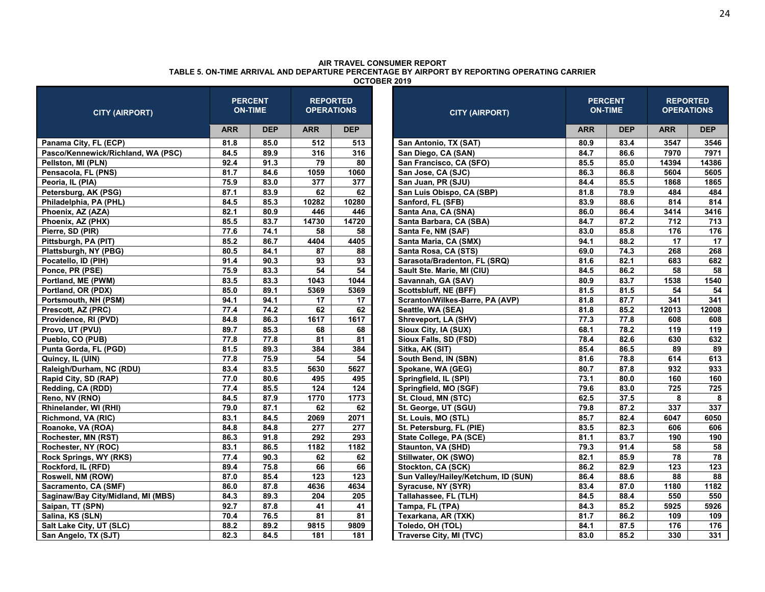| <b>CITY (AIRPORT)</b>              |            | <b>PERCENT</b><br><b>ON-TIME</b>                 | <b>REPORTED</b><br><b>OPERATIONS</b> |            | <b>CITY (AIRPORT)</b>               |            | <b>PERCENT</b><br><b>ON-TIME</b> | <b>REPORTED</b><br><b>OPERATIONS</b> |            |
|------------------------------------|------------|--------------------------------------------------|--------------------------------------|------------|-------------------------------------|------------|----------------------------------|--------------------------------------|------------|
|                                    | <b>ARR</b> | <b>DEP</b>                                       | <b>ARR</b>                           | <b>DEP</b> |                                     | <b>ARR</b> | <b>DEP</b>                       | <b>ARR</b>                           | <b>DEP</b> |
| Panama City, FL (ECP)              | 81.8       | 85.0                                             | 512                                  | 513        | San Antonio, TX (SAT)               | 80.9       | 83.4                             | 3547                                 | 3546       |
| Pasco/Kennewick/Richland, WA (PSC) | 84.5       | 89.9                                             | 316                                  | 316        | San Diego, CA (SAN)                 | 84.7       | 86.6                             | 7970                                 | 7971       |
| Pellston, MI (PLN)                 | 92.4       | 91.3                                             | 79                                   | 80         | San Francisco, CA (SFO)             | 85.5       | 85.0                             | 14394                                | 14386      |
| Pensacola, FL (PNS)                | 81.7       | 84.6                                             | 1059                                 | 1060       | San Jose, CA (SJC)                  | 86.3       | 86.8                             | 5604                                 | 5605       |
| Peoria, IL (PIA)                   | 75.9       | 83.0                                             | 377                                  | 377        | San Juan, PR (SJU)                  | 84.4       | 85.5                             | 1868                                 | 1865       |
| Petersburg, AK (PSG)               | 87.1       | 83.9                                             | 62                                   | 62         | San Luis Obispo, CA (SBP)           | 81.8       | 78.9                             | 484                                  | 484        |
| Philadelphia, PA (PHL)             | 84.5       | 85.3                                             | 10282                                | 10280      | Sanford, FL (SFB)                   | 83.9       | 88.6                             | 814                                  | 814        |
| Phoenix, AZ (AZA)                  | 82.1       | 80.9                                             | 446                                  | 446        | Santa Ana, CA (SNA)                 | 86.0       | 86.4                             | 3414                                 | 3416       |
| Phoenix, AZ (PHX)                  | 85.5       | 83.7                                             | 14730                                | 14720      | Santa Barbara, CA (SBA)             | 84.7       | 87.2                             | 712                                  | 713        |
| Pierre, SD (PIR)                   | 77.6       | 74.1                                             | 58                                   | 58         | Santa Fe, NM (SAF)                  | 83.0       | 85.8                             | 176                                  | 176        |
| Pittsburgh, PA (PIT)               | 85.2       | 86.7                                             | 4404                                 | 4405       | Santa Maria, CA (SMX)               | 94.1       | 88.2                             | 17                                   | 17         |
| Plattsburgh, NY (PBG)              | 80.5       | 84.1<br>88<br>87<br>Santa Rosa, CA (STS)         |                                      |            | 69.0                                | 74.3       | 268                              | 268                                  |            |
| Pocatello, ID (PIH)                | 91.4       | 90.3<br>93<br>93<br>Sarasota/Bradenton, FL (SRQ) |                                      |            | 81.6                                | 82.1       | 683                              | 682                                  |            |
| Ponce, PR (PSE)                    | 75.9       | 83.3                                             | 54                                   | 54         | Sault Ste. Marie, MI (CIU)          | 84.5       | 86.2                             | 58                                   | 58         |
| Portland, ME (PWM)                 | 83.5       | 83.3                                             | 1043                                 | 1044       | Savannah, GA (SAV)                  | 80.9       | 83.7                             | 1538                                 | 1540       |
| Portland, OR (PDX)                 | 85.0       | 89.1                                             | 5369                                 | 5369       | Scottsbluff, NE (BFF)               | 81.5       | 81.5                             | 54                                   | 54         |
| Portsmouth, NH (PSM)               | 94.1       | 94.1                                             | 17                                   | 17         | Scranton/Wilkes-Barre, PA (AVP)     | 81.8       | 87.7                             | 341                                  | 341        |
| Prescott, AZ (PRC)                 | 77.4       | 74.2                                             | 62                                   | 62         | Seattle, WA (SEA)                   | 81.8       | 85.2                             | 12013                                | 12008      |
| Providence, RI (PVD)               | 84.8       | 86.3                                             | 1617                                 | 1617       | Shreveport, LA (SHV)                | 77.3       | 77.8                             | 608                                  | 608        |
| Provo, UT (PVU)                    | 89.7       | 85.3                                             | 68                                   | 68         | Sioux City, IA (SUX)                | 68.1       | 78.2                             | 119                                  | 119        |
| Pueblo, CO (PUB)                   | 77.8       | 77.8                                             | 81                                   | 81         | Sioux Falls, SD (FSD)               | 78.4       | 82.6                             | 630                                  | 632        |
| Punta Gorda, FL (PGD)              | 81.5       | 89.3                                             | 384                                  | 384        | Sitka, AK (SIT)                     | 85.4       | 86.5                             | 89                                   | 89         |
| Quincy, IL (UIN)                   | 77.8       | 75.9                                             | 54                                   | 54         | South Bend, IN (SBN)                | 81.6       | 78.8                             | 614                                  | 613        |
| Raleigh/Durham, NC (RDU)           | 83.4       | 83.5                                             | 5630                                 | 5627       | Spokane, WA (GEG)                   | 80.7       | 87.8                             | 932                                  | 933        |
| Rapid City, SD (RAP)               | 77.0       | 80.6                                             | 495                                  | 495        | Springfield, IL (SPI)               | 73.1       | 80.0                             | 160                                  | 160        |
| Redding, CA (RDD)                  | 77.4       | 85.5                                             | 124                                  | 124        | Springfield, MO (SGF)               | 79.6       | 83.0                             | 725                                  | 725        |
| Reno, NV (RNO)                     | 84.5       | 87.9                                             | 1770                                 | 1773       | St. Cloud, MN (STC)                 | 62.5       | 37.5                             | 8                                    | 8          |
| Rhinelander, WI (RHI)              | 79.0       | 87.1                                             | 62                                   | 62         | St. George, UT (SGU)                | 79.8       | 87.2                             | 337                                  | 337        |
| Richmond, VA (RIC)                 | 83.1       | 84.5                                             | 2069                                 | 2071       | St. Louis, MO (STL)                 | 85.7       | 82.4                             | 6047                                 | 6050       |
| Roanoke, VA (ROA)                  | 84.8       | 84.8                                             | 277                                  | 277        | St. Petersburg, FL (PIE)            | 83.5       | 82.3                             | 606                                  | 606        |
| Rochester, MN (RST)                | 86.3       | 91.8                                             | 292                                  | 293        | State College, PA (SCE)             | 81.1       | 83.7                             | 190                                  | 190        |
| Rochester, NY (ROC)                | 83.1       | 86.5                                             | 1182                                 | 1182       | Staunton, VA (SHD)                  | 79.3       | 91.4                             | 58                                   | 58         |
| Rock Springs, WY (RKS)             | 77.4       | 90.3                                             | 62                                   | 62         | Stillwater, OK (SWO)                | 82.1       | 85.9                             | 78                                   | 78         |
| Rockford, IL (RFD)                 | 89.4       | 75.8                                             | 66                                   | 66         | Stockton, CA (SCK)                  | 86.2       | 82.9                             | 123                                  | 123        |
| Roswell, NM (ROW)                  | 87.0       | 85.4                                             | 123                                  | 123        | Sun Valley/Hailey/Ketchum, ID (SUN) | 86.4       | 88.6                             | 88                                   | 88         |
| Sacramento, CA (SMF)               | 86.0       | 87.8                                             | 4636                                 | 4634       | Syracuse, NY (SYR)                  | 83.4       | 87.0                             | 1180                                 | 1182       |
| Saginaw/Bay City/Midland, MI (MBS) | 84.3       | 89.3                                             | 204                                  | 205        | Tallahassee, FL (TLH)               | 84.5       | 88.4                             | 550                                  | 550        |
| Saipan, TT (SPN)                   | 92.7       | 87.8                                             | 41                                   | 41         | Tampa, FL (TPA)                     | 84.3       | 85.2                             | 5925                                 | 5926       |
| Salina, KS (SLN)                   | 70.4       | 76.5                                             | 81                                   | 81         | Texarkana, AR (TXK)                 | 81.7       | 86.2                             | 109                                  | 109        |
| Salt Lake City, UT (SLC)           | 88.2       | 89.2                                             | 9815                                 | 9809       | Toledo, OH (TOL)                    | 84.1       | 87.5                             | 176                                  | 176        |
| San Angelo, TX (SJT)               | 82.3       | 84.5                                             | 181                                  | 181        | Traverse City, MI (TVC)             | 83.0       | 85.2                             | 330                                  | 331        |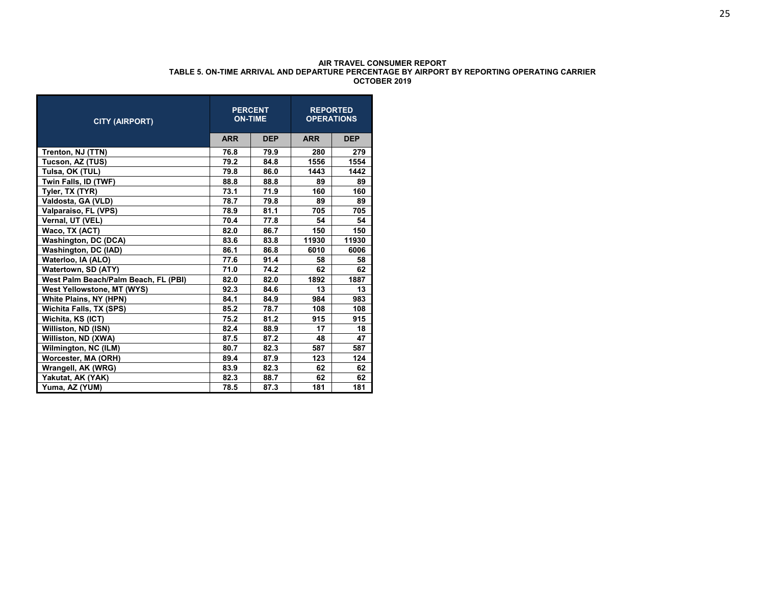| <b>CITY (AIRPORT)</b>                |            | <b>PERCENT</b><br><b>ON-TIME</b> | <b>OPERATIONS</b> | <b>REPORTED</b> |
|--------------------------------------|------------|----------------------------------|-------------------|-----------------|
|                                      | <b>ARR</b> | <b>DEP</b>                       | <b>ARR</b>        | <b>DEP</b>      |
| Trenton, NJ (TTN)                    | 76.8       | 79.9                             | 280               | 279             |
| Tucson, AZ (TUS)                     | 79.2       | 84.8                             | 1556              | 1554            |
| Tulsa, OK (TUL)                      | 79.8       | 86.0                             | 1443              | 1442            |
| Twin Falls, ID (TWF)                 | 88.8       | 88.8                             | 89                | 89              |
| Tyler, TX (TYR)                      | 73.1       | 71.9                             | 160               | 160             |
| Valdosta, GA (VLD)                   | 78.7       | 79.8                             | 89                | 89              |
| Valparaiso, FL (VPS)                 | 78.9       | 81.1                             | 705               | 705             |
| Vernal, UT (VEL)                     | 70.4       | 77.8                             | 54                | 54              |
| Waco, TX (ACT)                       | 82.0       | 86.7                             | 150               | 150             |
| <b>Washington, DC (DCA)</b>          | 83.6       | 83.8                             | 11930             | 11930           |
| Washington, DC (IAD)                 | 86.1       | 86.8                             | 6010              | 6006            |
| Waterloo, IA (ALO)                   | 77.6       | 91.4                             | 58                | 58              |
| Watertown, SD (ATY)                  | 71.0       | 74.2                             | 62                | 62              |
| West Palm Beach/Palm Beach, FL (PBI) | 82.0       | 82.0                             | 1892              | 1887            |
| West Yellowstone, MT (WYS)           | 92.3       | 84.6                             | 13                | 13              |
| <b>White Plains, NY (HPN)</b>        | 84.1       | 84.9                             | 984               | 983             |
| <b>Wichita Falls, TX (SPS)</b>       | 85.2       | 78.7                             | 108               | 108             |
| Wichita, KS (ICT)                    | 75.2       | 81.2                             | 915               | 915             |
| Williston, ND (ISN)                  | 82.4       | 88.9                             | 17                | 18              |
| Williston, ND (XWA)                  | 87.5       | 87.2                             | 48                | 47              |
| Wilmington, NC (ILM)                 | 80.7       | 82.3                             | 587               | 587             |
| Worcester, MA (ORH)                  | 89.4       | 87.9                             | 123               | 124             |
| Wrangell, AK (WRG)                   | 83.9       | 82.3                             | 62                | 62              |
| Yakutat, AK (YAK)                    | 82.3       | 88.7                             | 62                | 62              |
| Yuma, AZ (YUM)                       | 78.5       | 87.3                             | 181               | 181             |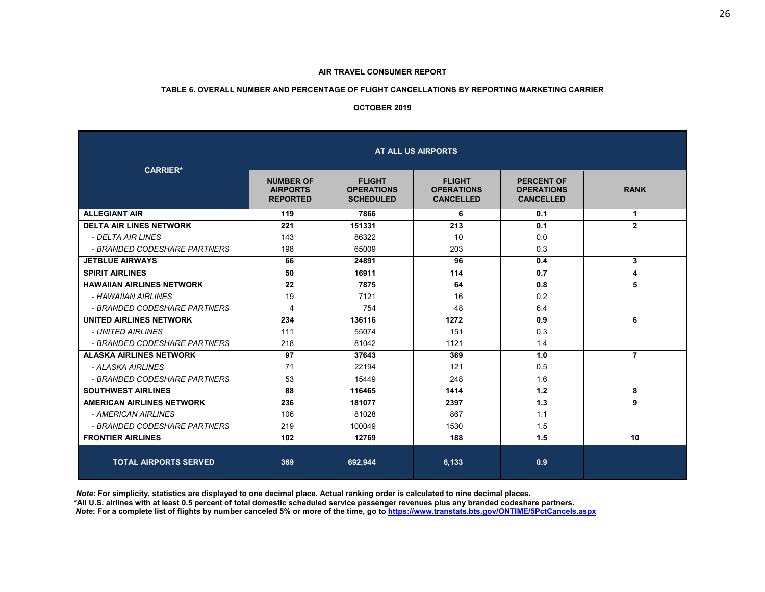#### **TABLE 6. OVERALL NUMBER AND PERCENTAGE OF FLIGHT CANCELLATIONS BY REPORTING MARKETING CARRIER**

#### **OCTOBER 2019**

| <b>CARRIER*</b>                  | AT ALL US AIRPORTS                                     |                                                        |                                                        |                                                            |                |  |  |  |  |
|----------------------------------|--------------------------------------------------------|--------------------------------------------------------|--------------------------------------------------------|------------------------------------------------------------|----------------|--|--|--|--|
|                                  | <b>NUMBER OF</b><br><b>AIRPORTS</b><br><b>REPORTED</b> | <b>FLIGHT</b><br><b>OPERATIONS</b><br><b>SCHEDULED</b> | <b>FLIGHT</b><br><b>OPERATIONS</b><br><b>CANCELLED</b> | <b>PERCENT OF</b><br><b>OPERATIONS</b><br><b>CANCELLED</b> | <b>RANK</b>    |  |  |  |  |
| <b>ALLEGIANT AIR</b>             | 119                                                    | 7866                                                   | 6                                                      | 0.1                                                        | 1              |  |  |  |  |
| <b>DELTA AIR LINES NETWORK</b>   | 221                                                    | 151331                                                 | 213                                                    | 0.1                                                        | $\overline{2}$ |  |  |  |  |
| - DELTA AIR LINES                | 143                                                    | 86322                                                  | 10                                                     | 0.0                                                        |                |  |  |  |  |
| - BRANDED CODESHARE PARTNERS     | 198                                                    | 65009                                                  | 203                                                    | 0.3                                                        |                |  |  |  |  |
| <b>JETBLUE AIRWAYS</b>           | 66                                                     | 24891                                                  | 96                                                     | 0.4                                                        | 3              |  |  |  |  |
| <b>SPIRIT AIRLINES</b>           | 50                                                     | 16911                                                  | 114                                                    | 0.7                                                        | 4              |  |  |  |  |
| <b>HAWAIIAN AIRLINES NETWORK</b> | 22                                                     | 7875                                                   | 64                                                     | 0.8                                                        | 5              |  |  |  |  |
| - HAWAIIAN AIRLINES              | 19                                                     | 7121                                                   | 16                                                     | 0.2                                                        |                |  |  |  |  |
| - BRANDED CODESHARE PARTNERS     | 4                                                      | 754                                                    | 48                                                     | 6.4                                                        |                |  |  |  |  |
| <b>UNITED AIRLINES NETWORK</b>   | 234                                                    | 136116                                                 | 1272                                                   | 0.9                                                        | 6              |  |  |  |  |
| - UNITED AIRLINES                | 111                                                    | 55074                                                  | 151                                                    | 0.3                                                        |                |  |  |  |  |
| - BRANDED CODESHARE PARTNERS     | 218                                                    | 81042                                                  | 1121                                                   | 1.4                                                        |                |  |  |  |  |
| <b>ALASKA AIRLINES NETWORK</b>   | 97                                                     | 37643                                                  | 369                                                    | 1.0                                                        | 7              |  |  |  |  |
| - ALASKA AIRLINES                | 71                                                     | 22194                                                  | 121                                                    | 0.5                                                        |                |  |  |  |  |
| - BRANDED CODESHARE PARTNERS     | 53                                                     | 15449                                                  | 248                                                    | 1.6                                                        |                |  |  |  |  |
| <b>SOUTHWEST AIRLINES</b>        | 88                                                     | 116465                                                 | 1414                                                   | 1.2                                                        | 8              |  |  |  |  |
| <b>AMERICAN AIRLINES NETWORK</b> | 236                                                    | 181077                                                 | 2397                                                   | 1.3                                                        | 9              |  |  |  |  |
| - AMERICAN AIRLINES              | 106                                                    | 81028                                                  | 867                                                    | 1.1                                                        |                |  |  |  |  |
| - BRANDED CODESHARE PARTNERS     | 219                                                    | 100049                                                 | 1530                                                   | 1.5                                                        |                |  |  |  |  |
| <b>FRONTIER AIRLINES</b>         | 102                                                    | 12769                                                  | 188                                                    | 1.5                                                        | 10             |  |  |  |  |
| <b>TOTAL AIRPORTS SERVED</b>     | 369                                                    | 692,944                                                | 6.133                                                  | 0.9                                                        |                |  |  |  |  |

*Note***: For simplicity, statistics are displayed to one decimal place. Actual ranking order is calculated to nine decimal places.** 

 **\*All U.S. airlines with at least 0.5 percent of total domestic scheduled service passenger revenues plus any branded codeshare partners.** 

*Note***: For a complete list of flights by number canceled 5% or more of the time, go to https://www.transtats.bts.gov/ONTIME/5PctCancels.aspx**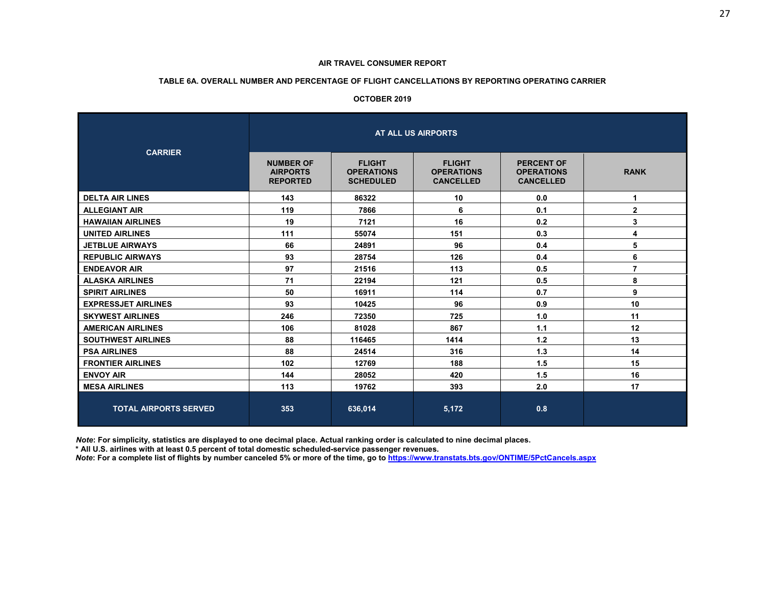#### **TABLE 6A. OVERALL NUMBER AND PERCENTAGE OF FLIGHT CANCELLATIONS BY REPORTING OPERATING CARRIER**

#### **OCTOBER 2019**

| <b>CARRIER</b>               | AT ALL US AIRPORTS                                     |                                                        |                                                        |                                                            |                |  |  |  |  |
|------------------------------|--------------------------------------------------------|--------------------------------------------------------|--------------------------------------------------------|------------------------------------------------------------|----------------|--|--|--|--|
|                              | <b>NUMBER OF</b><br><b>AIRPORTS</b><br><b>REPORTED</b> | <b>FLIGHT</b><br><b>OPERATIONS</b><br><b>SCHEDULED</b> | <b>FLIGHT</b><br><b>OPERATIONS</b><br><b>CANCELLED</b> | <b>PERCENT OF</b><br><b>OPERATIONS</b><br><b>CANCELLED</b> | <b>RANK</b>    |  |  |  |  |
| <b>DELTA AIR LINES</b>       | 143                                                    | 86322                                                  | 10                                                     | 0.0                                                        | 1              |  |  |  |  |
| <b>ALLEGIANT AIR</b>         | 119                                                    | 7866                                                   | 6                                                      | 0.1                                                        | $\mathbf{2}$   |  |  |  |  |
| <b>HAWAIIAN AIRLINES</b>     | 19                                                     | 7121                                                   | 16                                                     | 0.2                                                        | 3              |  |  |  |  |
| <b>UNITED AIRLINES</b>       | 111                                                    | 55074                                                  | 151                                                    | 0.3                                                        | 4              |  |  |  |  |
| <b>JETBLUE AIRWAYS</b>       | 66                                                     | 24891                                                  | 96                                                     | 0.4                                                        | 5              |  |  |  |  |
| <b>REPUBLIC AIRWAYS</b>      | 93                                                     | 28754                                                  | 126                                                    | 0.4                                                        | 6              |  |  |  |  |
| <b>ENDEAVOR AIR</b>          | 97                                                     | 21516                                                  | 113                                                    | 0.5                                                        | $\overline{7}$ |  |  |  |  |
| <b>ALASKA AIRLINES</b>       | 71                                                     | 22194                                                  | 121                                                    | 0.5                                                        | 8              |  |  |  |  |
| <b>SPIRIT AIRLINES</b>       | 50                                                     | 16911                                                  | 114                                                    | 0.7                                                        | 9              |  |  |  |  |
| <b>EXPRESSJET AIRLINES</b>   | 93                                                     | 10425                                                  | 96                                                     | 0.9                                                        | 10             |  |  |  |  |
| <b>SKYWEST AIRLINES</b>      | 246                                                    | 72350                                                  | 725                                                    | 1.0                                                        | 11             |  |  |  |  |
| <b>AMERICAN AIRLINES</b>     | 106                                                    | 81028                                                  | 867                                                    | 1.1                                                        | 12             |  |  |  |  |
| <b>SOUTHWEST AIRLINES</b>    | 88                                                     | 116465                                                 | 1414                                                   | 1.2                                                        | 13             |  |  |  |  |
| <b>PSA AIRLINES</b>          | 88                                                     | 24514                                                  | 316                                                    | 1.3                                                        | 14             |  |  |  |  |
| <b>FRONTIER AIRLINES</b>     | 102                                                    | 12769                                                  | 188                                                    | 1.5                                                        | 15             |  |  |  |  |
| <b>ENVOY AIR</b>             | 144                                                    | 28052                                                  | 420                                                    | 1.5                                                        | 16             |  |  |  |  |
| <b>MESA AIRLINES</b>         | 113                                                    | 19762                                                  | 393                                                    | 2.0                                                        | 17             |  |  |  |  |
| <b>TOTAL AIRPORTS SERVED</b> | 353                                                    | 636,014                                                | 5,172                                                  | 0.8                                                        |                |  |  |  |  |

*Note***: For simplicity, statistics are displayed to one decimal place. Actual ranking order is calculated to nine decimal places.** 

 **\* All U.S. airlines with at least 0.5 percent of total domestic scheduled-service passenger revenues.** 

*Note***: For a complete list of flights by number canceled 5% or more of the time, go to https://www.transtats.bts.gov/ONTIME/5PctCancels.aspx**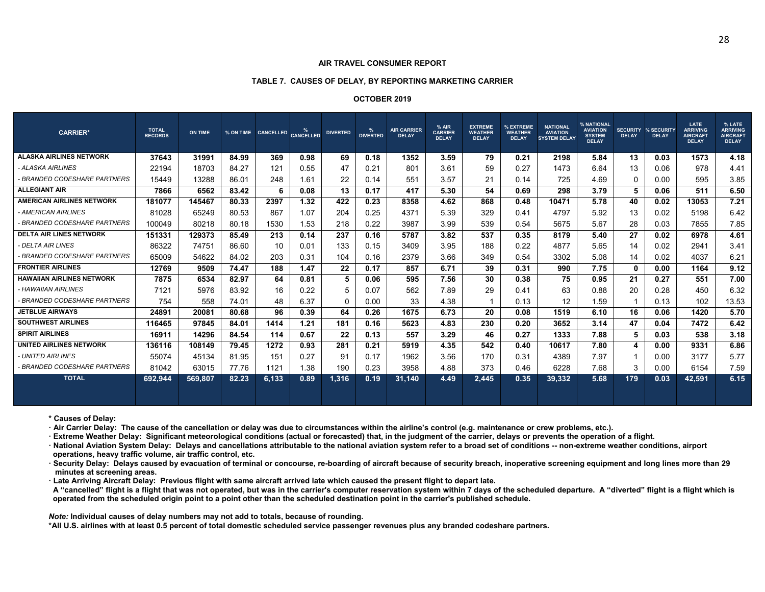#### **AIR TRAVEL CONSUMER REPORT**

#### **TABLE 7. CAUSES OF DELAY, BY REPORTING MARKETING CARRIER**

#### **OCTOBER 2019**

| <b>CARRIER*</b>                  | <b>TOTAL</b><br><b>RECORDS</b> | <b>ON TIME</b> |       | % ON TIME CANCELLED | <b>CANCELLED</b> | <b>DIVERTED</b> | %<br><b>DIVERTED</b> | <b>AIR CARRIER</b><br><b>DELAY</b> | % AIR<br><b>CARRIER</b><br><b>DELAY</b> | <b>EXTREME</b><br><b>WEATHER</b><br><b>DELAY</b> | % EXTREME<br><b>WEATHER</b><br><b>DELAY</b> | <b>NATIONAL</b><br><b>AVIATION</b><br><b>SYSTEM DELAY</b> | % NATIONAL<br><b>AVIATION</b><br><b>SYSTEM</b><br><b>DELAY</b> | <b>SECURITY</b><br><b>DELAY</b> | % SECURITY<br><b>DELAY</b> | <b>LATE</b><br><b>ARRIVING</b><br><b>AIRCRAFT</b><br><b>DELAY</b> | % LATE<br><b>ARRIVING</b><br><b>AIRCRAFT</b><br><b>DELAY</b> |
|----------------------------------|--------------------------------|----------------|-------|---------------------|------------------|-----------------|----------------------|------------------------------------|-----------------------------------------|--------------------------------------------------|---------------------------------------------|-----------------------------------------------------------|----------------------------------------------------------------|---------------------------------|----------------------------|-------------------------------------------------------------------|--------------------------------------------------------------|
| <b>ALASKA AIRLINES NETWORK</b>   | 37643                          | 31991          | 84.99 | 369                 | 0.98             | 69              | 0.18                 | 1352                               | 3.59                                    | 79                                               | 0.21                                        | 2198                                                      | 5.84                                                           | 13                              | 0.03                       | 1573                                                              | 4.18                                                         |
| - ALASKA AIRLINES                | 22194                          | 18703          | 84.27 | 121                 | 0.55             | 47              | 0.21                 | 801                                | 3.61                                    | 59                                               | 0.27                                        | 1473                                                      | 6.64                                                           | 13                              | 0.06                       | 978                                                               | 4.41                                                         |
| - BRANDED CODESHARE PARTNERS     | 15449                          | 13288          | 86.01 | 248                 | 1.61             | 22              | 0.14                 | 551                                | 3.57                                    | 21                                               | 0.14                                        | 725                                                       | 4.69                                                           | $\Omega$                        | 0.00                       | 595                                                               | 3.85                                                         |
| <b>ALLEGIANT AIR</b>             | 7866                           | 6562           | 83.42 | 6                   | 0.08             | 13              | 0.17                 | 417                                | 5.30                                    | 54                                               | 0.69                                        | 298                                                       | 3.79                                                           | 5                               | 0.06                       | 511                                                               | 6.50                                                         |
| <b>AMERICAN AIRLINES NETWORK</b> | 181077                         | 145467         | 80.33 | 2397                | 1.32             | 422             | 0.23                 | 8358                               | 4.62                                    | 868                                              | 0.48                                        | 10471                                                     | 5.78                                                           | 40                              | 0.02                       | 13053                                                             | 7.21                                                         |
| - AMERICAN AIRLINES              | 81028                          | 65249          | 80.53 | 867                 | 1.07             | 204             | 0.25                 | 4371                               | 5.39                                    | 329                                              | 0.41                                        | 4797                                                      | 5.92                                                           | 13                              | 0.02                       | 5198                                                              | 6.42                                                         |
| - BRANDED CODESHARE PARTNERS     | 100049                         | 80218          | 80.18 | 1530                | 1.53             | 218             | 0.22                 | 3987                               | 3.99                                    | 539                                              | 0.54                                        | 5675                                                      | 5.67                                                           | 28                              | 0.03                       | 7855                                                              | 7.85                                                         |
| <b>DELTA AIR LINES NETWORK</b>   | 151331                         | 129373         | 85.49 | 213                 | 0.14             | 237             | 0.16                 | 5787                               | 3.82                                    | 537                                              | 0.35                                        | 8179                                                      | 5.40                                                           | 27                              | 0.02                       | 6978                                                              | 4.61                                                         |
| - DELTA AIR LINES                | 86322                          | 74751          | 86.60 | 10                  | 0.01             | 133             | 0.15                 | 3409                               | 3.95                                    | 188                                              | 0.22                                        | 4877                                                      | 5.65                                                           | 14                              | 0.02                       | 2941                                                              | 3.41                                                         |
| - BRANDED CODESHARE PARTNERS     | 65009                          | 54622          | 84.02 | 203                 | 0.31             | 104             | 0.16                 | 2379                               | 3.66                                    | 349                                              | 0.54                                        | 3302                                                      | 5.08                                                           | 14                              | 0.02                       | 4037                                                              | 6.21                                                         |
| <b>FRONTIER AIRLINES</b>         | 12769                          | 9509           | 74.47 | 188                 | 1.47             | 22              | 0.17                 | 857                                | 6.71                                    | 39                                               | 0.31                                        | 990                                                       | 7.75                                                           | $\mathbf{0}$                    | 0.00                       | 1164                                                              | 9.12                                                         |
| <b>HAWAIIAN AIRLINES NETWORK</b> | 7875                           | 6534           | 82.97 | 64                  | 0.81             | 5               | 0.06                 | 595                                | 7.56                                    | 30                                               | 0.38                                        | 75                                                        | 0.95                                                           | 21                              | 0.27                       | 551                                                               | 7.00                                                         |
| - HAWAIIAN AIRLINES              | 7121                           | 5976           | 83.92 | 16                  | 0.22             | 5               | 0.07                 | 562                                | 7.89                                    | 29                                               | 0.41                                        | 63                                                        | 0.88                                                           | 20                              | 0.28                       | 450                                                               | 6.32                                                         |
| - BRANDED CODESHARE PARTNERS     | 754                            | 558            | 74.01 | 48                  | 6.37             | 0               | 0.00                 | 33                                 | 4.38                                    |                                                  | 0.13                                        | 12                                                        | 1.59                                                           | -1                              | 0.13                       | 102                                                               | 13.53                                                        |
| <b>JETBLUE AIRWAYS</b>           | 24891                          | 20081          | 80.68 | 96                  | 0.39             | 64              | 0.26                 | 1675                               | 6.73                                    | 20                                               | 0.08                                        | 1519                                                      | 6.10                                                           | 16                              | 0.06                       | 1420                                                              | 5.70                                                         |
| <b>SOUTHWEST AIRLINES</b>        | 116465                         | 97845          | 84.01 | 1414                | 1.21             | 181             | 0.16                 | 5623                               | 4.83                                    | 230                                              | 0.20                                        | 3652                                                      | 3.14                                                           | 47                              | 0.04                       | 7472                                                              | 6.42                                                         |
| <b>SPIRIT AIRLINES</b>           | 16911                          | 14296          | 84.54 | 114                 | 0.67             | 22              | 0.13                 | 557                                | 3.29                                    | 46                                               | 0.27                                        | 1333                                                      | 7.88                                                           | 5                               | 0.03                       | 538                                                               | 3.18                                                         |
| <b>UNITED AIRLINES NETWORK</b>   | 136116                         | 108149         | 79.45 | 1272                | 0.93             | 281             | 0.21                 | 5919                               | 4.35                                    | 542                                              | 0.40                                        | 10617                                                     | 7.80                                                           | 4                               | 0.00                       | 9331                                                              | 6.86                                                         |
| - UNITED AIRLINES                | 55074                          | 45134          | 81.95 | 151                 | 0.27             | 91              | 0.17                 | 1962                               | 3.56                                    | 170                                              | 0.31                                        | 4389                                                      | 7.97                                                           |                                 | 0.00                       | 3177                                                              | 5.77                                                         |
| - BRANDED CODESHARE PARTNERS     | 81042                          | 63015          | 77.76 | 1121                | 1.38             | 190             | 0.23                 | 3958                               | 4.88                                    | 373                                              | 0.46                                        | 6228                                                      | 7.68                                                           | 3                               | 0.00                       | 6154                                                              | 7.59                                                         |
| <b>TOTAL</b>                     | 692.944                        | 569,807        | 82.23 | 6,133               | 0.89             | 1,316           | 0.19                 | 31,140                             | 4.49                                    | 2,445                                            | 0.35                                        | 39,332                                                    | 5.68                                                           | 179                             | 0.03                       | 42,591                                                            | 6.15                                                         |

**\* Causes of Delay:** 

**·** Air Carrier Delay: The cause of the cancellation or delay was due to circumstances within the airline's control (e.g. maintenance or crew problems, etc.).

**<sup>ꞏ</sup> Extreme Weather Delay: Significant meteorological conditions (actual or forecasted) that, in the judgment of the carrier, delays or prevents the operation of a flight.** 

**<sup>ꞏ</sup> National Aviation System Delay: Delays and cancellations attributable to the national aviation system refer to a broad set of conditions -- non-extreme weather conditions, airport operations, heavy traffic volume, air traffic control, etc.** 

**<sup>ꞏ</sup> Security Delay: Delays caused by evacuation of terminal or concourse, re-boarding of aircraft because of security breach, inoperative screening equipment and long lines more than 29 minutes at screening areas.** 

**<sup>ꞏ</sup> Late Arriving Aircraft Delay: Previous flight with same aircraft arrived late which caused the present flight to depart late.**

 **A "cancelled" flight is a flight that was not operated, but was in the carrier's computer reservation system within 7 days of the scheduled departure. A "diverted" flight is a flight which is operated from the scheduled origin point to a point other than the scheduled destination point in the carrier's published schedule.** 

*Note:* **Individual causes of delay numbers may not add to totals, because of rounding.** 

**\*All U.S. airlines with at least 0.5 percent of total domestic scheduled service passenger revenues plus any branded codeshare partners.**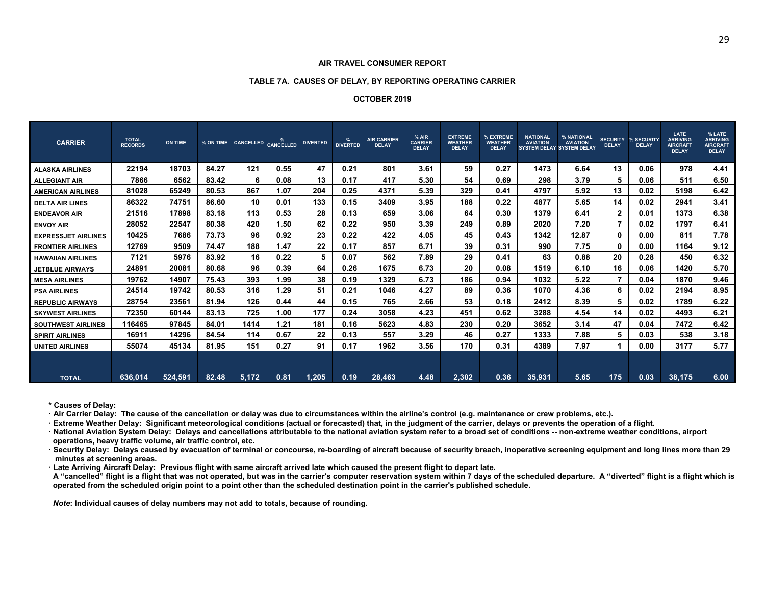#### **TABLE 7A. CAUSES OF DELAY, BY REPORTING OPERATING CARRIER**

#### **OCTOBER 2019**

| <b>CARRIER</b>             | <b>TOTAL</b><br><b>RECORDS</b> | ON TIME |       | % ON TIME CANCELLED CANCELLED |      | <b>DIVERTED</b> | %<br><b>DIVERTED</b> | <b>AIR CARRIER</b><br><b>DELAY</b> | % AIR<br><b>CARRIER</b><br><b>DELAY</b> | <b>EXTREME</b><br><b>WEATHER</b><br><b>DELAY</b> | % EXTREME<br><b>WEATHER</b><br><b>DELAY</b> | <b>NATIONAL</b><br><b>AVIATION</b><br><b>SYSTEM DELAY SYSTEM DELAY</b> | % NATIONAL<br><b>AVIATION</b> | <b>SECURITY</b><br><b>DELAY</b> | % SECURITY<br><b>DELAY</b> | LATE<br><b>ARRIVING</b><br><b>AIRCRAFT</b><br><b>DELAY</b> | % LATE<br><b>ARRIVING</b><br><b>AIRCRAFT</b><br><b>DELAY</b> |
|----------------------------|--------------------------------|---------|-------|-------------------------------|------|-----------------|----------------------|------------------------------------|-----------------------------------------|--------------------------------------------------|---------------------------------------------|------------------------------------------------------------------------|-------------------------------|---------------------------------|----------------------------|------------------------------------------------------------|--------------------------------------------------------------|
| <b>ALASKA AIRLINES</b>     | 22194                          | 18703   | 84.27 | 121                           | 0.55 | 47              | 0.21                 | 801                                | 3.61                                    | 59                                               | 0.27                                        | 1473                                                                   | 6.64                          | 13                              | 0.06                       | 978                                                        | 4.41                                                         |
| <b>ALLEGIANT AIR</b>       | 7866                           | 6562    | 83.42 | 6                             | 0.08 | 13              | 0.17                 | 417                                | 5.30                                    | 54                                               | 0.69                                        | 298                                                                    | 3.79                          | 5                               | 0.06                       | 511                                                        | 6.50                                                         |
| <b>AMERICAN AIRLINES</b>   | 81028                          | 65249   | 80.53 | 867                           | .07  | 204             | 0.25                 | 4371                               | 5.39                                    | 329                                              | 0.41                                        | 4797                                                                   | 5.92                          | 13                              | 0.02                       | 5198                                                       | 6.42                                                         |
| <b>DELTA AIR LINES</b>     | 86322                          | 74751   | 86.60 | 10                            | 0.01 | 133             | 0.15                 | 3409                               | 3.95                                    | 188                                              | 0.22                                        | 4877                                                                   | 5.65                          | 14                              | 0.02                       | 2941                                                       | 3.41                                                         |
| <b>ENDEAVOR AIR</b>        | 21516                          | 17898   | 83.18 | 113                           | 0.53 | 28              | 0.13                 | 659                                | 3.06                                    | 64                                               | 0.30                                        | 1379                                                                   | 6.41                          | $\mathbf{2}$                    | 0.01                       | 1373                                                       | 6.38                                                         |
| <b>ENVOY AIR</b>           | 28052                          | 22547   | 80.38 | 420                           | 1.50 | 62              | 0.22                 | 950                                | 3.39                                    | 249                                              | 0.89                                        | 2020                                                                   | 7.20                          |                                 | 0.02                       | 1797                                                       | 6.41                                                         |
| <b>EXPRESSJET AIRLINES</b> | 10425                          | 7686    | 73.73 | 96                            | 0.92 | 23              | 0.22                 | 422                                | 4.05                                    | 45                                               | 0.43                                        | 1342                                                                   | 12.87                         | $\mathbf{0}$                    | 0.00                       | 811                                                        | 7.78                                                         |
| <b>FRONTIER AIRLINES</b>   | 12769                          | 9509    | 74.47 | 188                           | 1.47 | 22              | 0.17                 | 857                                | 6.71                                    | 39                                               | 0.31                                        | 990                                                                    | 7.75                          | $\mathbf{0}$                    | 0.00                       | 1164                                                       | 9.12                                                         |
| <b>HAWAIIAN AIRLINES</b>   | 7121                           | 5976    | 83.92 | 16                            | 0.22 | 5               | 0.07                 | 562                                | 7.89                                    | 29                                               | 0.41                                        | 63                                                                     | 0.88                          | 20                              | 0.28                       | 450                                                        | 6.32                                                         |
| <b>JETBLUE AIRWAYS</b>     | 24891                          | 20081   | 80.68 | 96                            | 0.39 | 64              | 0.26                 | 1675                               | 6.73                                    | 20                                               | 0.08                                        | 1519                                                                   | 6.10                          | 16                              | 0.06                       | 1420                                                       | 5.70                                                         |
| <b>MESA AIRLINES</b>       | 19762                          | 14907   | 75.43 | 393                           | .99  | 38              | 0.19                 | 1329                               | 6.73                                    | 186                                              | 0.94                                        | 1032                                                                   | 5.22                          |                                 | 0.04                       | 1870                                                       | 9.46                                                         |
| <b>PSA AIRLINES</b>        | 24514                          | 19742   | 80.53 | 316                           | l.29 | 51              | 0.21                 | 1046                               | 4.27                                    | 89                                               | 0.36                                        | 1070                                                                   | 4.36                          | 6                               | 0.02                       | 2194                                                       | 8.95                                                         |
| <b>REPUBLIC AIRWAYS</b>    | 28754                          | 23561   | 81.94 | 126                           | 0.44 | 44              | 0.15                 | 765                                | 2.66                                    | 53                                               | 0.18                                        | 2412                                                                   | 8.39                          | 5                               | 0.02                       | 1789                                                       | 6.22                                                         |
| <b>SKYWEST AIRLINES</b>    | 72350                          | 60144   | 83.13 | 725                           | 1.00 | 177             | 0.24                 | 3058                               | 4.23                                    | 451                                              | 0.62                                        | 3288                                                                   | 4.54                          | 14                              | 0.02                       | 4493                                                       | 6.21                                                         |
| <b>SOUTHWEST AIRLINES</b>  | 116465                         | 97845   | 84.01 | 1414                          | 1.21 | 181             | 0.16                 | 5623                               | 4.83                                    | 230                                              | 0.20                                        | 3652                                                                   | 3.14                          | 47                              | 0.04                       | 7472                                                       | 6.42                                                         |
| <b>SPIRIT AIRLINES</b>     | 16911                          | 14296   | 84.54 | 114                           | 0.67 | 22              | 0.13                 | 557                                | 3.29                                    | 46                                               | 0.27                                        | 1333                                                                   | 7.88                          | 5                               | 0.03                       | 538                                                        | 3.18                                                         |
| <b>UNITED AIRLINES</b>     | 55074                          | 45134   | 81.95 | 151                           | 0.27 | 91              | 0.17                 | 1962                               | 3.56                                    | 170                                              | 0.31                                        | 4389                                                                   | 7.97                          |                                 | 0.00                       | 3177                                                       | 5.77                                                         |
| <b>TOTAL</b>               | 636.014                        | 524.591 | 82.48 | 5,172                         | 0.81 | 1.205           | 0.19                 | 28,463                             | 4.48                                    | 2.302                                            | 0.36                                        | 35.931                                                                 | 5.65                          | 175                             | 0.03                       | 38.175                                                     | 6.00                                                         |

**\* Causes of Delay:** 

**<sup>ꞏ</sup> Air Carrier Delay: The cause of the cancellation or delay was due to circumstances within the airline's control (e.g. maintenance or crew problems, etc.).** 

**<sup>ꞏ</sup> Extreme Weather Delay: Significant meteorological conditions (actual or forecasted) that, in the judgment of the carrier, delays or prevents the operation of a flight.** 

**<sup>ꞏ</sup> National Aviation System Delay: Delays and cancellations attributable to the national aviation system refer to a broad set of conditions -- non-extreme weather conditions, airport operations, heavy traffic volume, air traffic control, etc.** 

**<sup>ꞏ</sup> Security Delay: Delays caused by evacuation of terminal or concourse, re-boarding of aircraft because of security breach, inoperative screening equipment and long lines more than 29 minutes at screening areas.** 

**<sup>ꞏ</sup> Late Arriving Aircraft Delay: Previous flight with same aircraft arrived late which caused the present flight to depart late.**

 **A "cancelled" flight is a flight that was not operated, but was in the carrier's computer reservation system within 7 days of the scheduled departure. A "diverted" flight is a flight which is operated from the scheduled origin point to a point other than the scheduled destination point in the carrier's published schedule.** 

 *Note***: Individual causes of delay numbers may not add to totals, because of rounding.**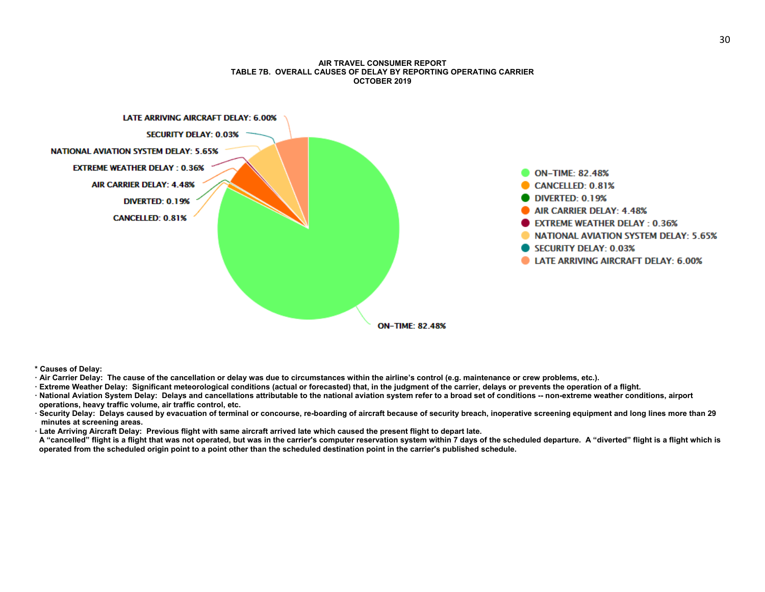#### **AIR TRAVEL CONSUMER REPORT TABLE 7B. OVERALL CAUSES OF DELAY BY REPORTING OPERATING CARRIER OCTOBER 2019**



**<sup>\*</sup> Causes of Delay:** 

- **·** Air Carrier Delay: The cause of the cancellation or delay was due to circumstances within the airline's control (e.g. maintenance or crew problems, etc.).
- **<sup>ꞏ</sup> Extreme Weather Delay: Significant meteorological conditions (actual or forecasted) that, in the judgment of the carrier, delays or prevents the operation of a flight.**
- **<sup>ꞏ</sup> National Aviation System Delay: Delays and cancellations attributable to the national aviation system refer to a broad set of conditions -- non-extreme weather conditions, airport operations, heavy traffic volume, air traffic control, etc.**
- **<sup>ꞏ</sup> Security Delay: Delays caused by evacuation of terminal or concourse, re-boarding of aircraft because of security breach, inoperative screening equipment and long lines more than 29 minutes at screening areas.**
- **<sup>ꞏ</sup> Late Arriving Aircraft Delay: Previous flight with same aircraft arrived late which caused the present flight to depart late.**
- **A "cancelled" flight is a flight that was not operated, but was in the carrier's computer reservation system within 7 days of the scheduled departure. A "diverted" flight is a flight which is operated from the scheduled origin point to a point other than the scheduled destination point in the carrier's published schedule.**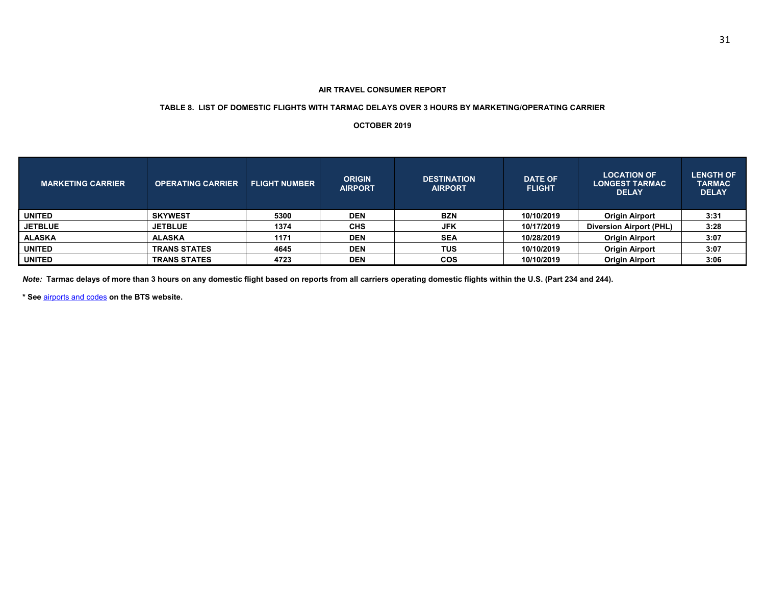#### **TABLE 8. LIST OF DOMESTIC FLIGHTS WITH TARMAC DELAYS OVER 3 HOURS BY MARKETING/OPERATING CARRIER**

#### **OCTOBER 2019**

| <b>MARKETING CARRIER</b> | <b>OPERATING CARRIER</b> | <b>FLIGHT NUMBER</b> | <b>ORIGIN</b><br><b>AIRPORT</b> | <b>DESTINATION</b><br><b>AIRPORT</b> | <b>DATE OF</b><br><b>FLIGHT</b> | <b>LOCATION OF</b><br><b>LONGEST TARMAC</b><br><b>DELAY</b> | <b>LENGTH OF</b><br><b>TARMAC</b><br><b>DELAY</b> |
|--------------------------|--------------------------|----------------------|---------------------------------|--------------------------------------|---------------------------------|-------------------------------------------------------------|---------------------------------------------------|
| <b>UNITED</b>            | <b>SKYWEST</b>           | 5300                 | <b>DEN</b>                      | <b>BZN</b>                           | 10/10/2019                      | <b>Origin Airport</b>                                       | 3:31                                              |
| <b>JETBLUE</b>           | <b>JETBLUE</b>           | 1374                 | <b>CHS</b>                      | <b>JFK</b>                           | 10/17/2019                      | <b>Diversion Airport (PHL)</b>                              | 3:28                                              |
| ALASKA                   | <b>ALASKA</b>            | 1171                 | <b>DEN</b>                      | <b>SEA</b>                           | 10/28/2019                      | <b>Origin Airport</b>                                       | 3:07                                              |
| <b>UNITED</b>            | <b>TRANS STATES</b>      | 4645                 | <b>DEN</b>                      | <b>TUS</b>                           | 10/10/2019                      | <b>Origin Airport</b>                                       | 3:07                                              |
| <b>UNITED</b>            | <b>TRANS STATES</b>      | 4723                 | <b>DEN</b>                      | <b>COS</b>                           | 10/10/2019                      | <b>Origin Airport</b>                                       | 3:06                                              |

*Note:* **Tarmac delays of more than 3 hours on any domestic flight based on reports from all carriers operating domestic flights within the U.S. (Part 234 and 244).** 

**\* See** airports and codes **on the BTS website.**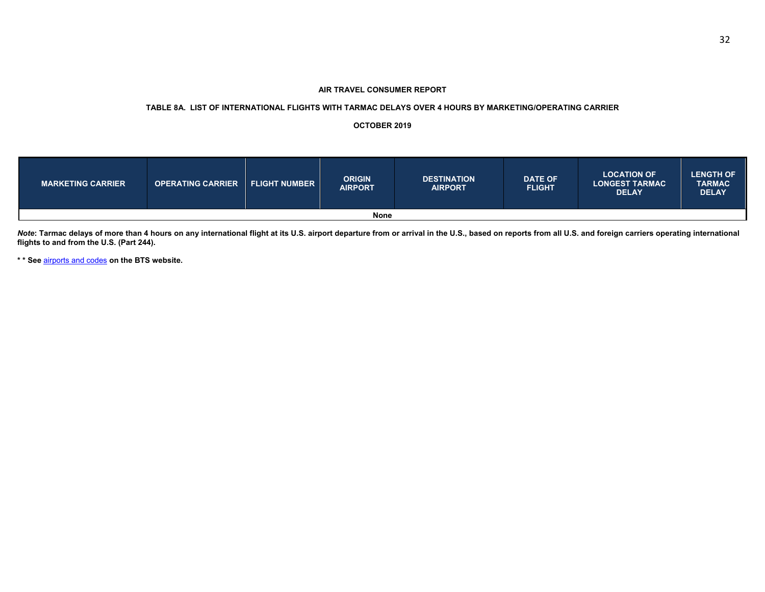#### **TABLE 8A. LIST OF INTERNATIONAL FLIGHTS WITH TARMAC DELAYS OVER 4 HOURS BY MARKETING/OPERATING CARRIER**

#### **OCTOBER 2019**

| <b>MARKETING CARRIER</b> | <b>OPERATING CARRIER</b> | <b>FLIGHT NUMBER</b> | <b>ORIGIN</b><br><b>AIRPORT</b> | <b>DESTINATION</b><br><b>AIRPORT</b> | <b>DATE OF</b><br><b>FLIGHT</b> | <b>LOCATION OF</b><br><b>LONGEST TARMAC</b><br><b>DELAY</b> | <b>LENGTH OF</b><br><b>TARMAC</b><br><b>DELAY</b> |  |  |
|--------------------------|--------------------------|----------------------|---------------------------------|--------------------------------------|---------------------------------|-------------------------------------------------------------|---------------------------------------------------|--|--|
| <b>None</b>              |                          |                      |                                 |                                      |                                 |                                                             |                                                   |  |  |

*Note***: Tarmac delays of more than 4 hours on any international flight at its U.S. airport departure from or arrival in the U.S., based on reports from all U.S. and foreign carriers operating international flights to and from the U.S. (Part 244).** 

**\* \* See** airports and codes **on the BTS website.**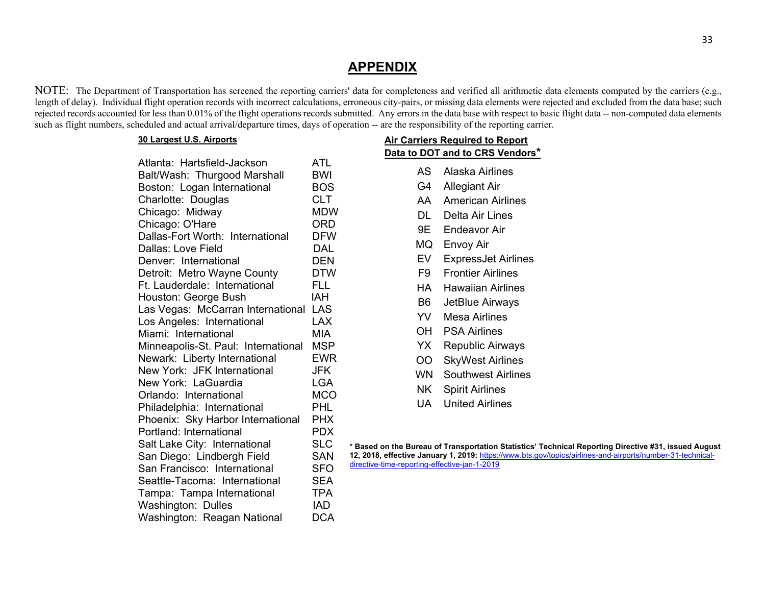# **APPENDIX**

NOTE: The Department of Transportation has screened the reporting carriers' data for completeness and verified all arithmetic data elements computed by the carriers (e.g., length of delay). Individual flight operation records with incorrect calculations, erroneous city-pairs, or missing data elements were rejected and excluded from the data base; such rejected records accounted for less than 0.01% of the flight operations records submitted. Any errors in the data base with respect to basic flight data -- non-computed data elements such as flight numbers, scheduled and actual arrival/departure times, days of operation -- are the responsibility of the reporting carrier.

### **30 Largest U.S. Airports**

| Atlanta: Hartsfield-Jackson         | ATL        |
|-------------------------------------|------------|
| Balt/Wash: Thurgood Marshall        | <b>BWI</b> |
| Boston: Logan International         | <b>BOS</b> |
| Charlotte: Douglas                  | <b>CLT</b> |
| Chicago: Midway                     | MDW        |
| Chicago: O'Hare                     | <b>ORD</b> |
| Dallas-Fort Worth: International    | <b>DFW</b> |
| Dallas: Love Field                  | DAL        |
| Denver: International               | <b>DEN</b> |
| Detroit: Metro Wayne County         | DTW        |
| Ft. Lauderdale: International       | FL L       |
| Houston: George Bush                | IAH        |
| Las Vegas: McCarran International   | LAS        |
| Los Angeles: International          | LAX        |
| Miami: International                | <b>MIA</b> |
| Minneapolis-St. Paul: International | <b>MSP</b> |
| Newark: Liberty International       | <b>EWR</b> |
| New York: JFK International         | JFK        |
| New York: LaGuardia                 | <b>LGA</b> |
| Orlando: International              | <b>MCO</b> |
| Philadelphia: International         | <b>PHL</b> |
| Phoenix: Sky Harbor International   | PHX        |
| Portland: International             | PDX        |
| Salt Lake City: International       | <b>SLC</b> |
| San Diego: Lindbergh Field          | <b>SAN</b> |
| San Francisco: International        | <b>SFO</b> |
| Seattle-Tacoma: International       | <b>SEA</b> |
|                                     |            |
| Tampa: Tampa International          | <b>TPA</b> |
| Washington: Dulles                  | <b>IAD</b> |
| Washington: Reagan National         | <b>DCA</b> |
|                                     |            |

| <b>Air Carriers Required to Report</b><br><u>Data to DOT and to CRS Vendors*</u> |                            |  |  |  |  |  |  |  |
|----------------------------------------------------------------------------------|----------------------------|--|--|--|--|--|--|--|
| AS -                                                                             | Alaska Airlines            |  |  |  |  |  |  |  |
| G4                                                                               | Allegiant Air              |  |  |  |  |  |  |  |
| AA                                                                               | American Airlines          |  |  |  |  |  |  |  |
| DL I                                                                             | Delta Air Lines            |  |  |  |  |  |  |  |
| 9E -                                                                             | Endeavor Air               |  |  |  |  |  |  |  |
| MQ                                                                               | Envoy Air                  |  |  |  |  |  |  |  |
| EV                                                                               | <b>ExpressJet Airlines</b> |  |  |  |  |  |  |  |
| F9 I                                                                             | <b>Frontier Airlines</b>   |  |  |  |  |  |  |  |
| HA                                                                               | <b>Hawaiian Airlines</b>   |  |  |  |  |  |  |  |
| B6 -                                                                             | JetBlue Airways            |  |  |  |  |  |  |  |
| YV                                                                               | <b>Mesa Airlines</b>       |  |  |  |  |  |  |  |
| OH                                                                               | <b>PSA Airlines</b>        |  |  |  |  |  |  |  |
| YX                                                                               | <b>Republic Airways</b>    |  |  |  |  |  |  |  |
| OO                                                                               | <b>SkyWest Airlines</b>    |  |  |  |  |  |  |  |
| WN -                                                                             | <b>Southwest Airlines</b>  |  |  |  |  |  |  |  |
| NK                                                                               | <b>Spirit Airlines</b>     |  |  |  |  |  |  |  |
| UA                                                                               | <b>United Airlines</b>     |  |  |  |  |  |  |  |

**\* Based on the Bureau of Transportation Statistics' Technical Reporting Directive #31, issued August 12, 2018, effective January 1, 2019:** https://www.bts.gov/topics/airlines-and-airports/number-31-technicaldirective-time-reporting-effective-jan-1-2019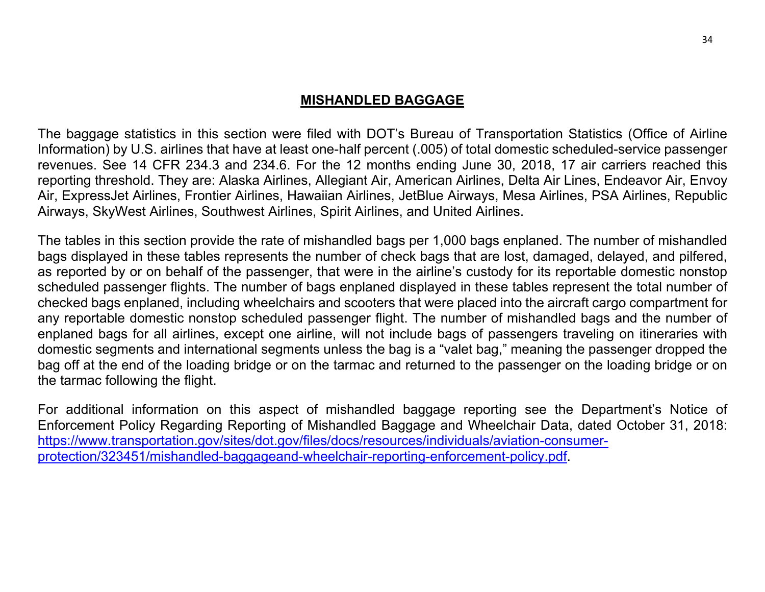# **MISHANDLED BAGGAGE**

The baggage statistics in this section were filed with DOT's Bureau of Transportation Statistics (Office of Airline Information) by U.S. airlines that have at least one-half percent (.005) of total domestic scheduled-service passenger revenues. See 14 CFR 234.3 and 234.6. For the 12 months ending June 30, 2018, 17 air carriers reached this reporting threshold. They are: Alaska Airlines, Allegiant Air, American Airlines, Delta Air Lines, Endeavor Air, Envoy Air, ExpressJet Airlines, Frontier Airlines, Hawaiian Airlines, JetBlue Airways, Mesa Airlines, PSA Airlines, Republic Airways, SkyWest Airlines, Southwest Airlines, Spirit Airlines, and United Airlines.

The tables in this section provide the rate of mishandled bags per 1,000 bags enplaned. The number of mishandled bags displayed in these tables represents the number of check bags that are lost, damaged, delayed, and pilfered, as reported by or on behalf of the passenger, that were in the airline's custody for its reportable domestic nonstop scheduled passenger flights. The number of bags enplaned displayed in these tables represent the total number of checked bags enplaned, including wheelchairs and scooters that were placed into the aircraft cargo compartment for any reportable domestic nonstop scheduled passenger flight. The number of mishandled bags and the number of enplaned bags for all airlines, except one airline, will not include bags of passengers traveling on itineraries with domestic segments and international segments unless the bag is a "valet bag," meaning the passenger dropped the bag off at the end of the loading bridge or on the tarmac and returned to the passenger on the loading bridge or on the tarmac following the flight.

For additional information on this aspect of mishandled baggage reporting see the Department's Notice of Enforcement Policy Regarding Reporting of Mishandled Baggage and Wheelchair Data, dated October 31, 2018: https://www.transportation.gov/sites/dot.gov/files/docs/resources/individuals/aviation-consumerprotection/323451/mishandled-baggageand-wheelchair-reporting-enforcement-policy.pdf.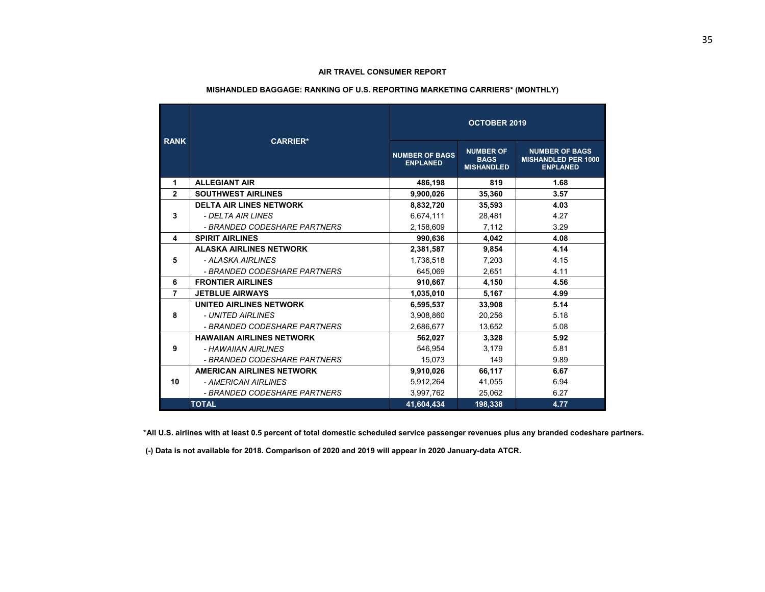# **MISHANDLED BAGGAGE: RANKING OF U.S. REPORTING MARKETING CARRIERS\* (MONTHLY) OCTOBER 2019**

| <b>RANK</b>    | <b>CARRIER*</b>                  |                                          |                                                      |                                                                        |
|----------------|----------------------------------|------------------------------------------|------------------------------------------------------|------------------------------------------------------------------------|
|                |                                  | <b>NUMBER OF BAGS</b><br><b>ENPLANED</b> | <b>NUMBER OF</b><br><b>BAGS</b><br><b>MISHANDLED</b> | <b>NUMBER OF BAGS</b><br><b>MISHANDLED PER 1000</b><br><b>ENPLANED</b> |
| 1              | <b>ALLEGIANT AIR</b>             | 486.198                                  | 819                                                  | 1.68                                                                   |
| $\overline{2}$ | <b>SOUTHWEST AIRLINES</b>        | 9,900,026                                | 35,360                                               | 3.57                                                                   |
|                | <b>DELTA AIR LINES NETWORK</b>   | 8,832,720                                | 35,593                                               | 4.03                                                                   |
| 3              | - DELTA AIR LINES                | 6,674,111                                | 28,481                                               | 4.27                                                                   |
|                | - BRANDED CODESHARE PARTNERS     | 2,158,609                                | 7,112                                                | 3.29                                                                   |
| 4              | <b>SPIRIT AIRLINES</b>           | 990,636                                  | 4,042                                                | 4.08                                                                   |
|                | <b>ALASKA AIRLINES NETWORK</b>   | 2,381,587                                | 9,854                                                | 4.14                                                                   |
| 5              | - ALASKA AIRLINES                | 1.736.518                                | 7.203                                                | 4.15                                                                   |
|                | - BRANDED CODESHARE PARTNERS     | 645.069                                  | 2,651                                                | 4.11                                                                   |
| 6              | <b>FRONTIER AIRLINES</b>         | 910.667                                  | 4.150                                                | 4.56                                                                   |
| $\overline{7}$ | <b>JETBLUE AIRWAYS</b>           | 1.035.010                                | 5,167                                                | 4.99                                                                   |
|                | UNITED AIRLINES NETWORK          | 6,595,537                                | 33,908                                               | 5.14                                                                   |
| 8              | - UNITED AIRLINES                | 3,908,860                                | 20,256                                               | 5.18                                                                   |
|                | - BRANDED CODESHARE PARTNERS     | 2,686,677                                | 13,652                                               | 5.08                                                                   |
|                | <b>HAWAIIAN AIRLINES NETWORK</b> | 562,027                                  | 3,328                                                | 5.92                                                                   |
| 9              | - HAWAIIAN AIRLINES              | 546,954                                  | 3.179                                                | 5.81                                                                   |
|                | - BRANDED CODESHARE PARTNERS     | 15,073                                   | 149                                                  | 9.89                                                                   |
|                | <b>AMERICAN AIRLINES NETWORK</b> | 9,910,026                                | 66,117                                               | 6.67                                                                   |
| 10             | - AMERICAN AIRLINES              | 5,912,264                                | 41,055                                               | 6.94                                                                   |
|                | - BRANDED CODESHARE PARTNERS     | 3,997,762                                | 25.062                                               | 6.27                                                                   |
|                | <b>TOTAL</b>                     | 41,604,434                               | 198,338                                              | 4.77                                                                   |

 **\*All U.S. airlines with at least 0.5 percent of total domestic scheduled service passenger revenues plus any branded codeshare partners.** 

 **(-) Data is not available for 2018. Comparison of 2020 and 2019 will appear in 2020 January-data ATCR.**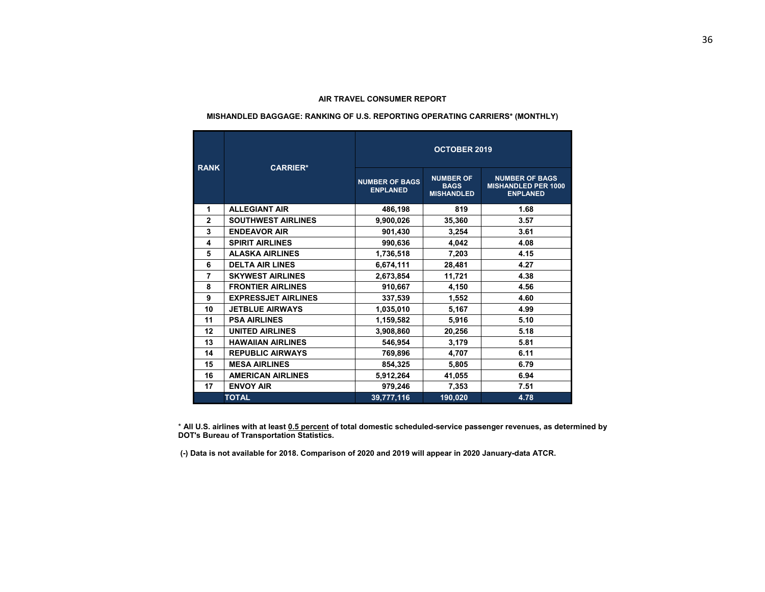#### **MISHANDLED BAGGAGE: RANKING OF U.S. REPORTING OPERATING CARRIERS\* (MONTHLY)**

| <b>RANK</b>             | <b>CARRIER*</b>            | <b>OCTOBER 2019</b>                      |                                                      |                                                                        |  |  |  |  |
|-------------------------|----------------------------|------------------------------------------|------------------------------------------------------|------------------------------------------------------------------------|--|--|--|--|
|                         |                            | <b>NUMBER OF BAGS</b><br><b>ENPLANED</b> | <b>NUMBER OF</b><br><b>BAGS</b><br><b>MISHANDLED</b> | <b>NUMBER OF BAGS</b><br><b>MISHANDLED PER 1000</b><br><b>ENPLANED</b> |  |  |  |  |
| 1                       | <b>ALLEGIANT AIR</b>       | 486,198                                  | 819                                                  | 1.68                                                                   |  |  |  |  |
| $\overline{2}$          | <b>SOUTHWEST AIRLINES</b>  | 9,900,026                                | 35,360                                               | 3.57                                                                   |  |  |  |  |
| 3                       | <b>ENDEAVOR AIR</b>        | 901,430                                  | 3,254                                                | 3.61                                                                   |  |  |  |  |
| $\overline{\mathbf{4}}$ | <b>SPIRIT AIRLINES</b>     | 990.636                                  | 4.042                                                | 4.08                                                                   |  |  |  |  |
| 5                       | <b>ALASKA AIRLINES</b>     | 1,736,518                                | 7,203                                                | 4.15                                                                   |  |  |  |  |
| 6                       | <b>DELTA AIR LINES</b>     | 6,674,111                                | 28,481                                               | 4.27                                                                   |  |  |  |  |
| $\overline{7}$          | <b>SKYWEST AIRLINES</b>    | 2,673,854                                | 11,721                                               | 4.38                                                                   |  |  |  |  |
| 8                       | <b>FRONTIER AIRLINES</b>   | 910,667                                  | 4,150                                                | 4.56                                                                   |  |  |  |  |
| 9                       | <b>EXPRESSJET AIRLINES</b> | 337,539                                  | 1,552                                                | 4.60                                                                   |  |  |  |  |
| 10                      | <b>JETBLUE AIRWAYS</b>     | 1,035,010                                | 5,167                                                | 4.99                                                                   |  |  |  |  |
| 11                      | <b>PSA AIRLINES</b>        | 1,159,582                                | 5.916                                                | 5.10                                                                   |  |  |  |  |
| 12                      | <b>UNITED AIRLINES</b>     | 3,908,860                                | 20,256                                               | 5.18                                                                   |  |  |  |  |
| 13                      | <b>HAWAIIAN AIRLINES</b>   | 546,954                                  | 3,179                                                | 5.81                                                                   |  |  |  |  |
| 14                      | <b>REPUBLIC AIRWAYS</b>    | 769,896                                  | 4,707                                                | 6.11                                                                   |  |  |  |  |
| 15                      | <b>MESA AIRLINES</b>       | 854,325                                  | 5,805                                                | 6.79                                                                   |  |  |  |  |
| 16                      | <b>AMERICAN AIRLINES</b>   | 5,912,264                                | 41,055                                               | 6.94                                                                   |  |  |  |  |
| 17                      | <b>ENVOY AIR</b>           | 979,246                                  | 7,353                                                | 7.51                                                                   |  |  |  |  |
|                         | <b>TOTAL</b>               | 39,777,116                               | 190,020                                              | 4.78                                                                   |  |  |  |  |

\* **All U.S. airlines with at least 0.5 percent of total domestic scheduled-service passenger revenues, as determined by DOT's Bureau of Transportation Statistics.** 

 **(-) Data is not available for 2018. Comparison of 2020 and 2019 will appear in 2020 January-data ATCR.**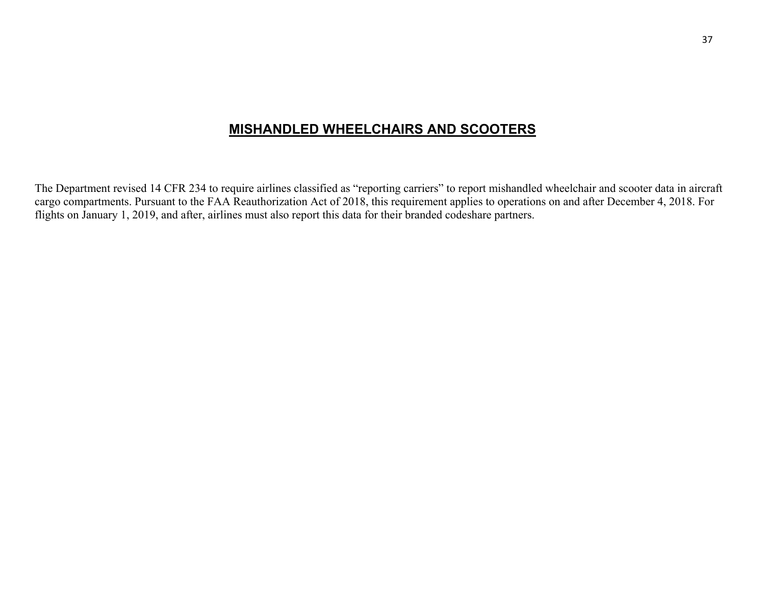# **MISHANDLED WHEELCHAIRS AND SCOOTERS**

The Department revised 14 CFR 234 to require airlines classified as "reporting carriers" to report mishandled wheelchair and scooter data in aircraft cargo compartments. Pursuant to the FAA Reauthorization Act of 2018, this requirement applies to operations on and after December 4, 2018. For flights on January 1, 2019, and after, airlines must also report this data for their branded codeshare partners.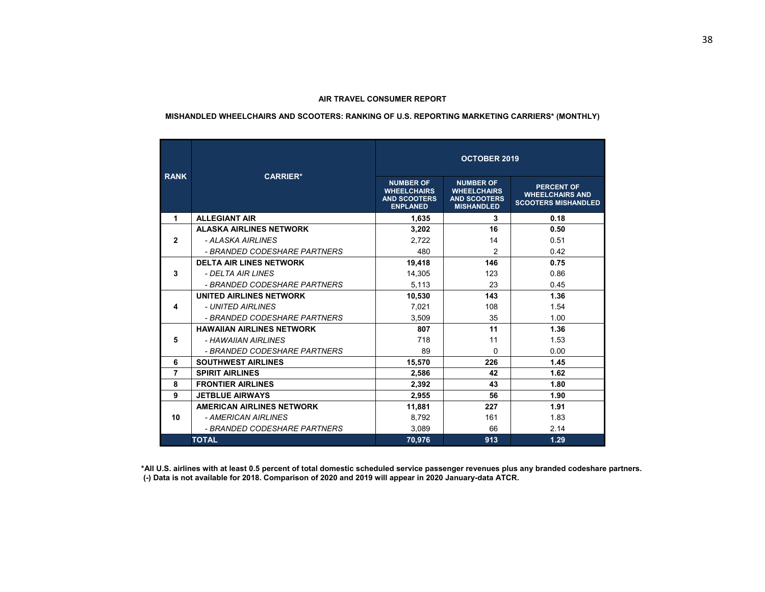# **MISHANDLED WHEELCHAIRS AND SCOOTERS: RANKING OF U.S. REPORTING MARKETING CARRIERS\* (MONTHLY)**

| <b>RANK</b>    | <b>CARRIER*</b>                  | <b>OCTOBER 2019</b>                                                              |                                                                                    |                                                                           |  |  |  |  |  |
|----------------|----------------------------------|----------------------------------------------------------------------------------|------------------------------------------------------------------------------------|---------------------------------------------------------------------------|--|--|--|--|--|
|                |                                  | <b>NUMBER OF</b><br><b>WHEELCHAIRS</b><br><b>AND SCOOTERS</b><br><b>ENPLANED</b> | <b>NUMBER OF</b><br><b>WHEELCHAIRS</b><br><b>AND SCOOTERS</b><br><b>MISHANDLED</b> | <b>PERCENT OF</b><br><b>WHEELCHAIRS AND</b><br><b>SCOOTERS MISHANDLED</b> |  |  |  |  |  |
| 1              | <b>ALLEGIANT AIR</b>             | 1,635                                                                            | 3                                                                                  | 0.18                                                                      |  |  |  |  |  |
|                | <b>ALASKA AIRLINES NETWORK</b>   | 3,202                                                                            | 16                                                                                 | 0.50                                                                      |  |  |  |  |  |
| $\mathbf{2}$   | - AI ASKA AIRI INFS              | 2.722                                                                            | 14                                                                                 | 0.51                                                                      |  |  |  |  |  |
|                | - BRANDED CODESHARE PARTNERS     | 480                                                                              | $\overline{2}$                                                                     | 0.42                                                                      |  |  |  |  |  |
|                | <b>DELTA AIR LINES NETWORK</b>   | 19,418                                                                           | 146                                                                                | 0.75                                                                      |  |  |  |  |  |
| 3              | - DELTA AIR LINES                | 14,305                                                                           | 123                                                                                | 0.86                                                                      |  |  |  |  |  |
|                | - BRANDED CODESHARE PARTNERS     | 5,113                                                                            | 23                                                                                 | 0.45                                                                      |  |  |  |  |  |
|                | UNITED AIRLINES NETWORK          | 10,530                                                                           | 143                                                                                | 1.36                                                                      |  |  |  |  |  |
| 4              | - UNITED AIRI INES               | 7,021                                                                            | 108                                                                                | 1.54                                                                      |  |  |  |  |  |
|                | - BRANDED CODESHARE PARTNERS     | 3.509                                                                            | 35                                                                                 | 1.00                                                                      |  |  |  |  |  |
|                | <b>HAWAIIAN AIRLINES NETWORK</b> | 807                                                                              | 11                                                                                 | 1.36                                                                      |  |  |  |  |  |
| 5              | - HAWAIIAN AIRI INFS             | 718                                                                              | 11                                                                                 | 1.53                                                                      |  |  |  |  |  |
|                | - BRANDED CODESHARE PARTNERS     | 89                                                                               | 0                                                                                  | 0.00                                                                      |  |  |  |  |  |
| 6              | <b>SOUTHWEST AIRLINES</b>        | 15,570                                                                           | 226                                                                                | 1.45                                                                      |  |  |  |  |  |
| $\overline{7}$ | <b>SPIRIT AIRLINES</b>           | 2,586                                                                            | 42                                                                                 | 1.62                                                                      |  |  |  |  |  |
| 8              | <b>FRONTIER AIRLINES</b>         | 2,392                                                                            | 43                                                                                 | 1.80                                                                      |  |  |  |  |  |
| 9              | <b>JETBLUE AIRWAYS</b>           | 2,955                                                                            | 56                                                                                 | 1.90                                                                      |  |  |  |  |  |
|                | <b>AMERICAN AIRLINES NETWORK</b> | 11,881                                                                           | 227                                                                                | 1.91                                                                      |  |  |  |  |  |
| 10             | - AMERICAN AIRLINES              | 8,792                                                                            | 161                                                                                | 1.83                                                                      |  |  |  |  |  |
|                | - BRANDED CODESHARE PARTNERS     | 3.089                                                                            | 66                                                                                 | 2.14                                                                      |  |  |  |  |  |
|                | <b>TOTAL</b>                     | 70,976                                                                           | 913                                                                                | 1.29                                                                      |  |  |  |  |  |

 **\*All U.S. airlines with at least 0.5 percent of total domestic scheduled service passenger revenues plus any branded codeshare partners. (-) Data is not available for 2018. Comparison of 2020 and 2019 will appear in 2020 January-data ATCR.**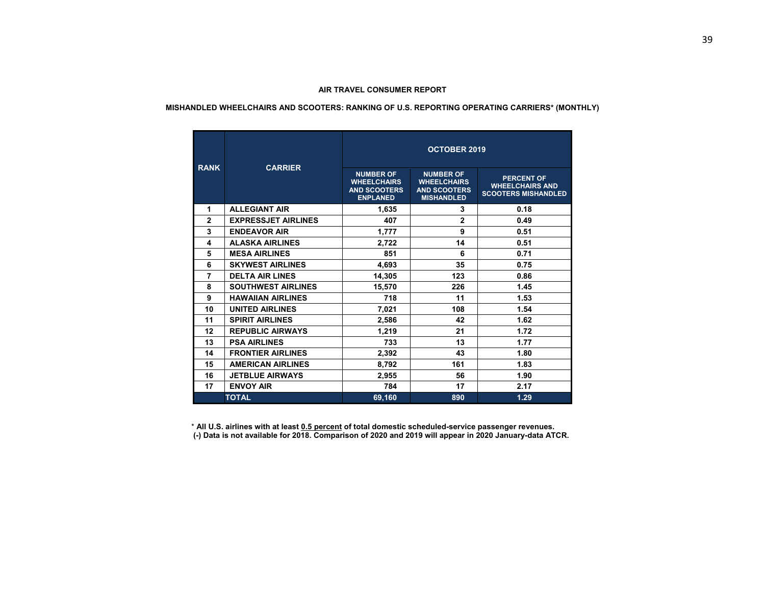#### **MISHANDLED WHEELCHAIRS AND SCOOTERS: RANKING OF U.S. REPORTING OPERATING CARRIERS\* (MONTHLY)**

|                | <b>CARRIER</b>             | <b>OCTOBER 2019</b>                                                              |                                                                                    |                                                                           |  |  |  |  |  |
|----------------|----------------------------|----------------------------------------------------------------------------------|------------------------------------------------------------------------------------|---------------------------------------------------------------------------|--|--|--|--|--|
| <b>RANK</b>    |                            | <b>NUMBER OF</b><br><b>WHEELCHAIRS</b><br><b>AND SCOOTERS</b><br><b>ENPLANED</b> | <b>NUMBER OF</b><br><b>WHEELCHAIRS</b><br><b>AND SCOOTERS</b><br><b>MISHANDLED</b> | <b>PERCENT OF</b><br><b>WHEELCHAIRS AND</b><br><b>SCOOTERS MISHANDLED</b> |  |  |  |  |  |
| 1              | <b>ALLEGIANT AIR</b>       | 1,635                                                                            | 3                                                                                  | 0.18                                                                      |  |  |  |  |  |
| $\overline{2}$ | <b>EXPRESSJET AIRLINES</b> | 407                                                                              | $\overline{2}$                                                                     | 0.49                                                                      |  |  |  |  |  |
| 3              | <b>ENDEAVOR AIR</b>        | 1,777                                                                            | 9                                                                                  | 0.51                                                                      |  |  |  |  |  |
| 4              | <b>ALASKA AIRLINES</b>     | 2,722                                                                            | 14                                                                                 | 0.51                                                                      |  |  |  |  |  |
| 5              | <b>MESA AIRLINES</b>       | 851                                                                              | 6                                                                                  | 0.71                                                                      |  |  |  |  |  |
| 6              | <b>SKYWEST AIRLINES</b>    | 4,693                                                                            | 35                                                                                 | 0.75                                                                      |  |  |  |  |  |
| $\overline{7}$ | <b>DELTA AIR LINES</b>     | 14,305                                                                           | 123                                                                                | 0.86                                                                      |  |  |  |  |  |
| 8              | <b>SOUTHWEST AIRLINES</b>  | 15,570                                                                           | 226                                                                                | 1.45                                                                      |  |  |  |  |  |
| 9              | <b>HAWAIIAN AIRLINES</b>   | 718                                                                              | 11                                                                                 | 1.53                                                                      |  |  |  |  |  |
| 10             | <b>UNITED AIRLINES</b>     | 7,021                                                                            | 108                                                                                | 1.54                                                                      |  |  |  |  |  |
| 11             | <b>SPIRIT AIRLINES</b>     | 2,586                                                                            | 42                                                                                 | 1.62                                                                      |  |  |  |  |  |
| 12             | <b>REPUBLIC AIRWAYS</b>    | 1,219                                                                            | 21                                                                                 | 1.72                                                                      |  |  |  |  |  |
| 13             | <b>PSA AIRLINES</b>        | 733                                                                              | 13                                                                                 | 1.77                                                                      |  |  |  |  |  |
| 14             | <b>FRONTIER AIRLINES</b>   | 2,392                                                                            | 43                                                                                 | 1.80                                                                      |  |  |  |  |  |
| 15             | <b>AMERICAN AIRLINES</b>   | 8,792                                                                            | 161                                                                                | 1.83                                                                      |  |  |  |  |  |
| 16             | <b>JETBLUE AIRWAYS</b>     | 2,955                                                                            | 56                                                                                 | 1.90                                                                      |  |  |  |  |  |
| 17             | <b>ENVOY AIR</b>           | 784                                                                              | 17                                                                                 | 2.17                                                                      |  |  |  |  |  |
|                | <b>TOTAL</b>               | 69,160                                                                           | 890                                                                                | 1.29                                                                      |  |  |  |  |  |

\* **All U.S. airlines with at least 0.5 percent of total domestic scheduled-service passenger revenues. (-) Data is not available for 2018. Comparison of 2020 and 2019 will appear in 2020 January-data ATCR.**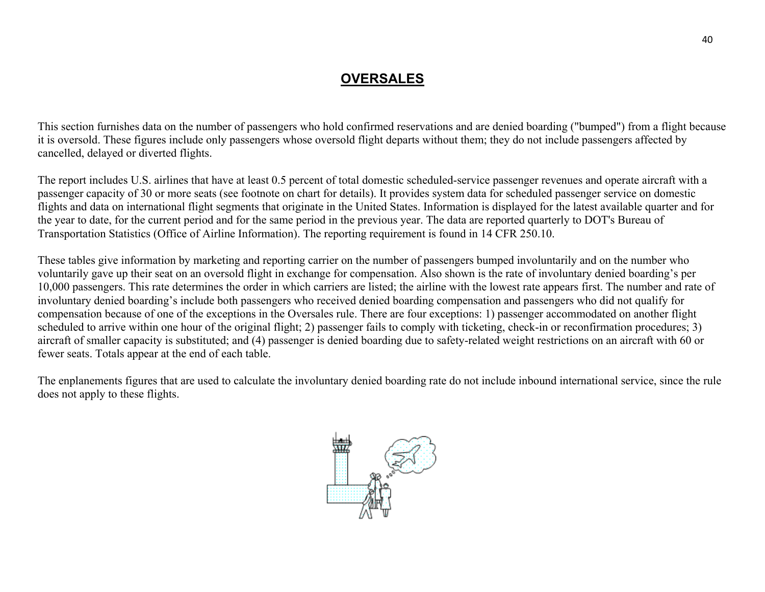# **OVERSALES**

This section furnishes data on the number of passengers who hold confirmed reservations and are denied boarding ("bumped") from a flight because it is oversold. These figures include only passengers whose oversold flight departs without them; they do not include passengers affected by cancelled, delayed or diverted flights.

The report includes U.S. airlines that have at least 0.5 percent of total domestic scheduled-service passenger revenues and operate aircraft with a passenger capacity of 30 or more seats (see footnote on chart for details). It provides system data for scheduled passenger service on domestic flights and data on international flight segments that originate in the United States. Information is displayed for the latest available quarter and for the year to date, for the current period and for the same period in the previous year. The data are reported quarterly to DOT's Bureau of Transportation Statistics (Office of Airline Information). The reporting requirement is found in 14 CFR 250.10.

These tables give information by marketing and reporting carrier on the number of passengers bumped involuntarily and on the number who voluntarily gave up their seat on an oversold flight in exchange for compensation. Also shown is the rate of involuntary denied boarding's per 10,000 passengers. This rate determines the order in which carriers are listed; the airline with the lowest rate appears first. The number and rate of involuntary denied boarding's include both passengers who received denied boarding compensation and passengers who did not qualify for compensation because of one of the exceptions in the Oversales rule. There are four exceptions: 1) passenger accommodated on another flight scheduled to arrive within one hour of the original flight; 2) passenger fails to comply with ticketing, check-in or reconfirmation procedures; 3) aircraft of smaller capacity is substituted; and (4) passenger is denied boarding due to safety-related weight restrictions on an aircraft with 60 or fewer seats. Totals appear at the end of each table.

The enplanements figures that are used to calculate the involuntary denied boarding rate do not include inbound international service, since the rule does not apply to these flights.

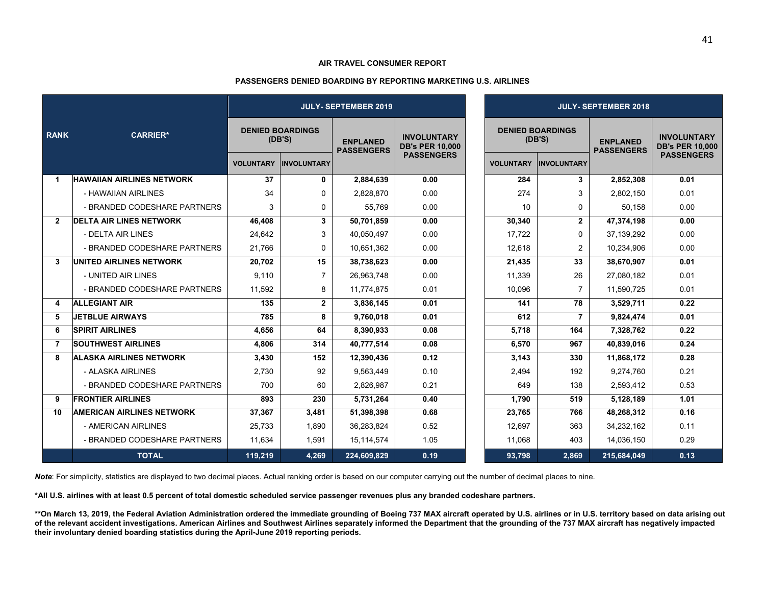#### **PASSENGERS DENIED BOARDING BY REPORTING MARKETING U.S. AIRLINES**

|                |                                  | <b>JULY- SEPTEMBER 2019</b> |                                   |                                      |                                              |  | <b>JULY- SEPTEMBER 2018</b> |                                   |                                      |                                              |  |  |
|----------------|----------------------------------|-----------------------------|-----------------------------------|--------------------------------------|----------------------------------------------|--|-----------------------------|-----------------------------------|--------------------------------------|----------------------------------------------|--|--|
| <b>RANK</b>    | <b>CARRIER*</b>                  |                             | <b>DENIED BOARDINGS</b><br>(DB'S) | <b>ENPLANED</b><br><b>PASSENGERS</b> | <b>INVOLUNTARY</b><br><b>DB's PER 10,000</b> |  |                             | <b>DENIED BOARDINGS</b><br>(DB'S) | <b>ENPLANED</b><br><b>PASSENGERS</b> | <b>INVOLUNTARY</b><br><b>DB's PER 10,000</b> |  |  |
|                |                                  | <b>VOLUNTARY</b>            | <b>INVOLUNTARY</b>                |                                      | <b>PASSENGERS</b>                            |  | <b>VOLUNTARY</b>            | <b>INVOLUNTARY</b>                |                                      | <b>PASSENGERS</b>                            |  |  |
|                | <b>HAWAIIAN AIRLINES NETWORK</b> | 37                          | 0                                 | 2,884,639                            | 0.00                                         |  | 284                         | 3                                 | 2,852,308                            | 0.01                                         |  |  |
|                | - HAWAIIAN AIRLINES              | 34                          | 0                                 | 2.828.870                            | 0.00                                         |  | 274                         | 3                                 | 2.802.150                            | 0.01                                         |  |  |
|                | - BRANDED CODESHARE PARTNERS     | 3                           | 0                                 | 55,769                               | 0.00                                         |  | 10                          | 0                                 | 50,158                               | 0.00                                         |  |  |
| $\overline{2}$ | <b>DELTA AIR LINES NETWORK</b>   | 46,408                      | $\mathbf{3}$                      | 50,701,859                           | 0.00                                         |  | 30,340                      | $\mathbf{2}$                      | 47,374,198                           | 0.00                                         |  |  |
|                | - DELTA AIR LINES                | 24,642                      | 3                                 | 40,050,497                           | 0.00                                         |  | 17,722                      | 0                                 | 37,139,292                           | 0.00                                         |  |  |
|                | - BRANDED CODESHARE PARTNERS     | 21,766                      | 0                                 | 10,651,362                           | 0.00                                         |  | 12,618                      | 2                                 | 10,234,906                           | 0.00                                         |  |  |
| 3              | <b>UNITED AIRLINES NETWORK</b>   | 20,702                      | 15                                | 38,738,623                           | 0.00                                         |  | 21,435                      | 33                                | 38,670,907                           | 0.01                                         |  |  |
|                | - UNITED AIR LINES               | 9.110                       | $\overline{7}$                    | 26,963,748                           | 0.00                                         |  | 11.339                      | 26                                | 27,080,182                           | 0.01                                         |  |  |
|                | - BRANDED CODESHARE PARTNERS     | 11,592                      | 8                                 | 11,774,875                           | 0.01                                         |  | 10,096                      | $\overline{7}$                    | 11,590,725                           | 0.01                                         |  |  |
| 4              | <b>ALLEGIANT AIR</b>             | 135                         | $\mathbf{2}$                      | 3,836,145                            | 0.01                                         |  | 141                         | 78                                | 3,529,711                            | 0.22                                         |  |  |
| 5              | <b>JETBLUE AIRWAYS</b>           | 785                         | 8                                 | 9,760,018                            | 0.01                                         |  | 612                         | 7                                 | 9,824,474                            | 0.01                                         |  |  |
| 6              | <b>SPIRIT AIRLINES</b>           | 4,656                       | 64                                | 8,390,933                            | 0.08                                         |  | 5,718                       | 164                               | 7,328,762                            | 0.22                                         |  |  |
| $\overline{7}$ | <b>SOUTHWEST AIRLINES</b>        | 4,806                       | 314                               | 40,777,514                           | 0.08                                         |  | 6,570                       | 967                               | 40,839,016                           | 0.24                                         |  |  |
| 8              | <b>ALASKA AIRLINES NETWORK</b>   | 3,430                       | 152                               | 12,390,436                           | 0.12                                         |  | 3,143                       | 330                               | 11,868,172                           | 0.28                                         |  |  |
|                | - ALASKA AIRLINES                | 2,730                       | 92                                | 9,563,449                            | 0.10                                         |  | 2,494                       | 192                               | 9,274,760                            | 0.21                                         |  |  |
|                | - BRANDED CODESHARE PARTNERS     | 700                         | 60                                | 2,826,987                            | 0.21                                         |  | 649                         | 138                               | 2,593,412                            | 0.53                                         |  |  |
| 9              | <b>FRONTIER AIRLINES</b>         | 893                         | 230                               | 5,731,264                            | 0.40                                         |  | 1,790                       | 519                               | 5,128,189                            | 1.01                                         |  |  |
| 10             | <b>AMERICAN AIRLINES NETWORK</b> | 37.367                      | 3.481                             | 51,398,398                           | 0.68                                         |  | 23.765                      | 766                               | 48,268,312                           | 0.16                                         |  |  |
|                | - AMERICAN AIRLINES              | 25.733                      | 1.890                             | 36,283,824                           | 0.52                                         |  | 12.697                      | 363                               | 34,232,162                           | 0.11                                         |  |  |
|                | - BRANDED CODESHARE PARTNERS     | 11,634                      | 1,591                             | 15,114,574                           | 1.05                                         |  | 11,068                      | 403                               | 14,036,150                           | 0.29                                         |  |  |
|                | <b>TOTAL</b>                     | 119,219                     | 4,269                             | 224,609,829                          | 0.19                                         |  | 93,798                      | 2,869                             | 215,684,049                          | 0.13                                         |  |  |

*Note*: For simplicity, statistics are displayed to two decimal places. Actual ranking order is based on our computer carrying out the number of decimal places to nine.

**\*All U.S. airlines with at least 0.5 percent of total domestic scheduled service passenger revenues plus any branded codeshare partners.** 

**\*\*On March 13, 2019, the Federal Aviation Administration ordered the immediate grounding of Boeing 737 MAX aircraft operated by U.S. airlines or in U.S. territory based on data arising out of the relevant accident investigations. American Airlines and Southwest Airlines separately informed the Department that the grounding of the 737 MAX aircraft has negatively impacted their involuntary denied boarding statistics during the April-June 2019 reporting periods.**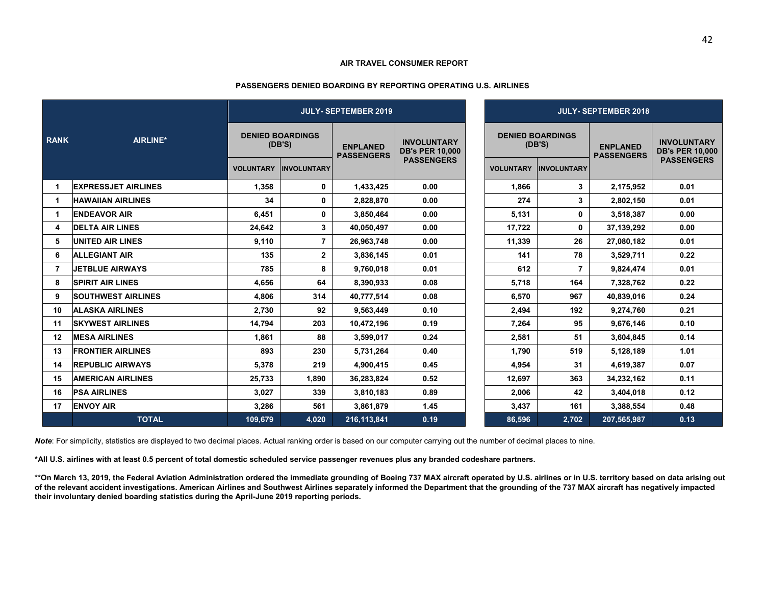#### **PASSENGERS DENIED BOARDING BY REPORTING OPERATING U.S. AIRLINES**

|             |                            | <b>JULY- SEPTEMBER 2019</b> |                                   |                                      |                                              | <b>JULY- SEPTEMBER 2018</b> |                                   |                                      |                                              |  |
|-------------|----------------------------|-----------------------------|-----------------------------------|--------------------------------------|----------------------------------------------|-----------------------------|-----------------------------------|--------------------------------------|----------------------------------------------|--|
| <b>RANK</b> | AIRLINE*                   |                             | <b>DENIED BOARDINGS</b><br>(DB'S) | <b>ENPLANED</b><br><b>PASSENGERS</b> | <b>INVOLUNTARY</b><br><b>DB's PER 10,000</b> |                             | <b>DENIED BOARDINGS</b><br>(DB'S) | <b>ENPLANED</b><br><b>PASSENGERS</b> | <b>INVOLUNTARY</b><br><b>DB's PER 10,000</b> |  |
|             |                            | <b>VOLUNTARY</b>            | <b>INVOLUNTARY</b>                |                                      | <b>PASSENGERS</b>                            | <b>VOLUNTARY</b>            | <b>IINVOLUNTARY</b>               |                                      | <b>PASSENGERS</b>                            |  |
|             | <b>EXPRESSJET AIRLINES</b> | 1,358                       | 0                                 | 1.433.425                            | 0.00                                         | 1.866                       | 3                                 | 2,175,952                            | 0.01                                         |  |
|             | <b>HAWAIIAN AIRLINES</b>   | 34                          | 0                                 | 2,828,870                            | 0.00                                         | 274                         | 3                                 | 2,802,150                            | 0.01                                         |  |
|             | <b>ENDEAVOR AIR</b>        | 6,451                       | 0                                 | 3,850,464                            | 0.00                                         | 5,131                       | 0                                 | 3,518,387                            | 0.00                                         |  |
| 4           | <b>DELTA AIR LINES</b>     | 24,642                      | 3                                 | 40,050,497                           | 0.00                                         | 17.722                      | 0                                 | 37,139,292                           | 0.00                                         |  |
| 5           | <b>UNITED AIR LINES</b>    | 9,110                       | $\overline{7}$                    | 26,963,748                           | 0.00                                         | 11,339                      | 26                                | 27,080,182                           | 0.01                                         |  |
| 6           | <b>ALLEGIANT AIR</b>       | 135                         | $\mathbf{2}$                      | 3,836,145                            | 0.01                                         | 141                         | 78                                | 3,529,711                            | 0.22                                         |  |
| 7           | <b>JETBLUE AIRWAYS</b>     | 785                         | 8                                 | 9,760,018                            | 0.01                                         | 612                         | $\overline{7}$                    | 9,824,474                            | 0.01                                         |  |
| 8           | <b>SPIRIT AIR LINES</b>    | 4,656                       | 64                                | 8,390,933                            | 0.08                                         | 5,718                       | 164                               | 7,328,762                            | 0.22                                         |  |
| 9           | <b>SOUTHWEST AIRLINES</b>  | 4,806                       | 314                               | 40,777,514                           | 0.08                                         | 6,570                       | 967                               | 40,839,016                           | 0.24                                         |  |
| 10          | <b>ALASKA AIRLINES</b>     | 2,730                       | 92                                | 9,563,449                            | 0.10                                         | 2,494                       | 192                               | 9,274,760                            | 0.21                                         |  |
| 11          | <b>SKYWEST AIRLINES</b>    | 14,794                      | 203                               | 10,472,196                           | 0.19                                         | 7,264                       | 95                                | 9,676,146                            | 0.10                                         |  |
| 12          | <b>MESA AIRLINES</b>       | 1.861                       | 88                                | 3,599,017                            | 0.24                                         | 2,581                       | 51                                | 3,604,845                            | 0.14                                         |  |
| 13          | <b>FRONTIER AIRLINES</b>   | 893                         | 230                               | 5.731.264                            | 0.40                                         | 1.790                       | 519                               | 5,128,189                            | 1.01                                         |  |
| 14          | <b>REPUBLIC AIRWAYS</b>    | 5.378                       | 219                               | 4,900,415                            | 0.45                                         | 4.954                       | 31                                | 4,619,387                            | 0.07                                         |  |
| 15          | <b>AMERICAN AIRLINES</b>   | 25,733                      | 1.890                             | 36,283,824                           | 0.52                                         | 12,697                      | 363                               | 34,232,162                           | 0.11                                         |  |
| 16          | <b>PSA AIRLINES</b>        | 3,027                       | 339                               | 3,810,183                            | 0.89                                         | 2,006                       | 42                                | 3,404,018                            | 0.12                                         |  |
| 17          | <b>ENVOY AIR</b>           | 3,286                       | 561                               | 3,861,879                            | 1.45                                         | 3,437                       | 161                               | 3,388,554                            | 0.48                                         |  |
|             | <b>TOTAL</b>               | 109,679                     | 4,020                             | 216,113,841                          | 0.19                                         | 86,596                      | 2,702                             | 207,565,987                          | 0.13                                         |  |

*Note*: For simplicity, statistics are displayed to two decimal places. Actual ranking order is based on our computer carrying out the number of decimal places to nine.

**\*All U.S. airlines with at least 0.5 percent of total domestic scheduled service passenger revenues plus any branded codeshare partners.** 

**\*\*On March 13, 2019, the Federal Aviation Administration ordered the immediate grounding of Boeing 737 MAX aircraft operated by U.S. airlines or in U.S. territory based on data arising out of the relevant accident investigations. American Airlines and Southwest Airlines separately informed the Department that the grounding of the 737 MAX aircraft has negatively impacted their involuntary denied boarding statistics during the April-June 2019 reporting periods.**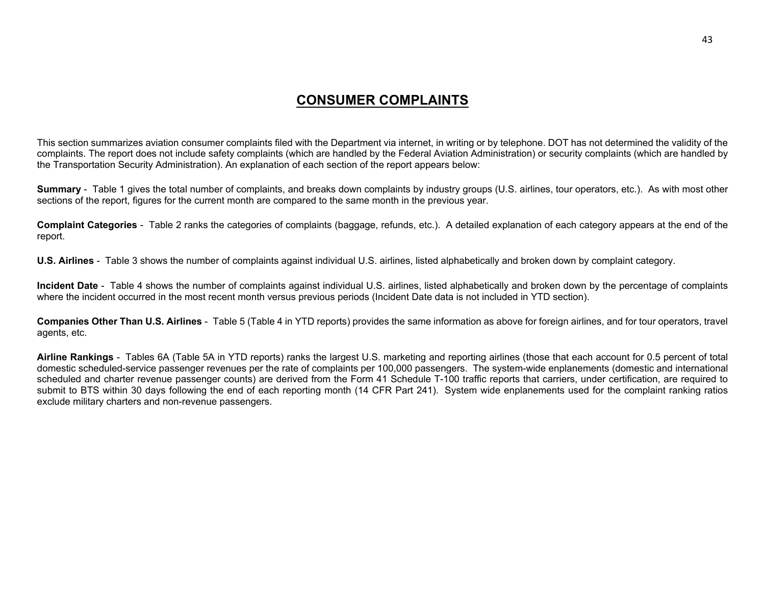# **CONSUMER COMPLAINTS**

This section summarizes aviation consumer complaints filed with the Department via internet, in writing or by telephone. DOT has not determined the validity of the complaints. The report does not include safety complaints (which are handled by the Federal Aviation Administration) or security complaints (which are handled by the Transportation Security Administration). An explanation of each section of the report appears below:

**Summary** - Table 1 gives the total number of complaints, and breaks down complaints by industry groups (U.S. airlines, tour operators, etc.). As with most other sections of the report, figures for the current month are compared to the same month in the previous year.

**Complaint Categories** - Table 2 ranks the categories of complaints (baggage, refunds, etc.). A detailed explanation of each category appears at the end of the report.

**U.S. Airlines** - Table 3 shows the number of complaints against individual U.S. airlines, listed alphabetically and broken down by complaint category.

**Incident Date** - Table 4 shows the number of complaints against individual U.S. airlines, listed alphabetically and broken down by the percentage of complaints where the incident occurred in the most recent month versus previous periods (Incident Date data is not included in YTD section).

**Companies Other Than U.S. Airlines** - Table 5 (Table 4 in YTD reports) provides the same information as above for foreign airlines, and for tour operators, travel agents, etc.

**Airline Rankings** - Tables 6A (Table 5A in YTD reports) ranks the largest U.S. marketing and reporting airlines (those that each account for 0.5 percent of total domestic scheduled-service passenger revenues per the rate of complaints per 100,000 passengers. The system-wide enplanements (domestic and international scheduled and charter revenue passenger counts) are derived from the Form 41 Schedule T-100 traffic reports that carriers, under certification, are required to submit to BTS within 30 days following the end of each reporting month (14 CFR Part 241). System wide enplanements used for the complaint ranking ratios exclude military charters and non-revenue passengers.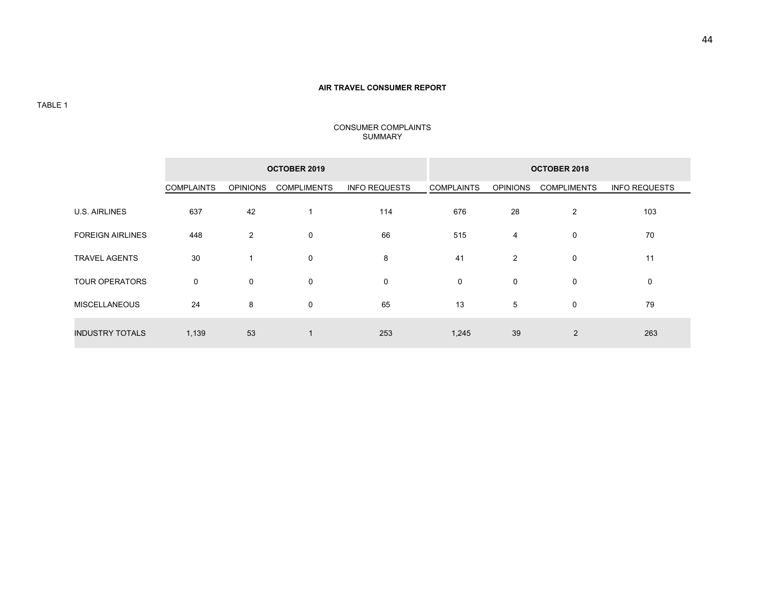# **OCTOBER 2019 OCTOBER 2018**  COMPLAINTS OPINIONS COMPLIMENTS INFO REQUESTS COMPLAINTS OPINIONS COMPLIMENTS INFO REQUESTS U.S. AIRLINES 637 42 1 114 676 28 2 103 103 FOREIGN AIRLINES 448 2 0 66 515 4 0 70 TRAVEL AGENTS 30 30 1 0 3 30 41 2 0  $11$ TOUR OPERATORS 0 0 0 0 0 0 0 0  $\mathbf 0$ MISCELLANEOUS 24 8 0 65 13 5 0 79 INDUSTRY TOTALS 1.139 53 1 253 1,245 39 2 263

#### CONSUMER COMPLAINTS SUMMARY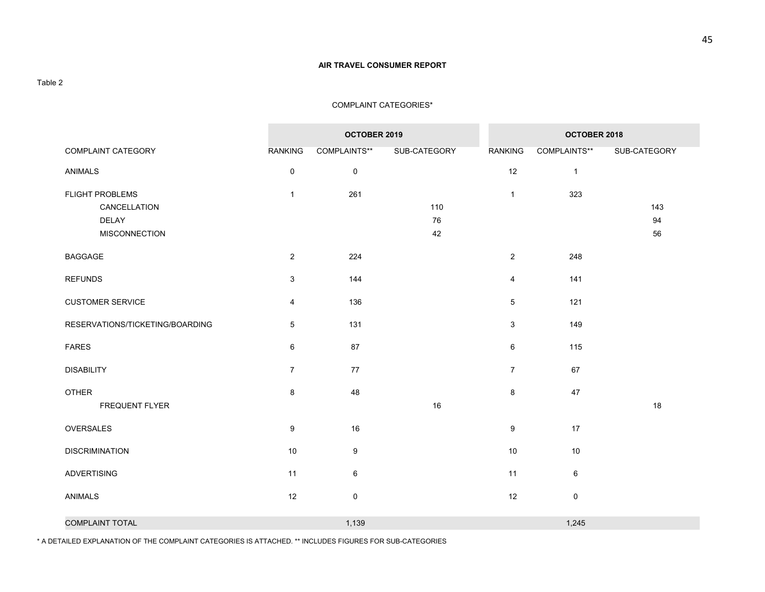#### COMPLAINT CATEGORIES\*

|                                                                  |                           | OCTOBER 2019     |                 | OCTOBER 2018   |              |                 |  |
|------------------------------------------------------------------|---------------------------|------------------|-----------------|----------------|--------------|-----------------|--|
| COMPLAINT CATEGORY                                               | <b>RANKING</b>            | COMPLAINTS**     | SUB-CATEGORY    | <b>RANKING</b> | COMPLAINTS** | SUB-CATEGORY    |  |
| ANIMALS                                                          | $\pmb{0}$                 | $\pmb{0}$        |                 | 12             | $\mathbf{1}$ |                 |  |
| FLIGHT PROBLEMS<br>CANCELLATION<br>DELAY<br><b>MISCONNECTION</b> | $\mathbf{1}$              | 261              | 110<br>76<br>42 | $\mathbf{1}$   | 323          | 143<br>94<br>56 |  |
| <b>BAGGAGE</b>                                                   | $\overline{2}$            | 224              |                 | $\overline{2}$ | 248          |                 |  |
| <b>REFUNDS</b>                                                   | $\ensuremath{\mathsf{3}}$ | 144              |                 | 4              | 141          |                 |  |
| <b>CUSTOMER SERVICE</b>                                          | $\overline{4}$            | 136              |                 | $\sqrt{5}$     | 121          |                 |  |
| RESERVATIONS/TICKETING/BOARDING                                  | $\,$ 5 $\,$               | 131              |                 | 3              | 149          |                 |  |
| <b>FARES</b>                                                     | $\,6\,$                   | 87               |                 | 6              | 115          |                 |  |
| <b>DISABILITY</b>                                                | $\overline{7}$            | 77               |                 | $\overline{7}$ | 67           |                 |  |
| <b>OTHER</b><br><b>FREQUENT FLYER</b>                            | $\bf 8$                   | 48               | 16              | 8              | 47           | 18              |  |
| OVERSALES                                                        | $\boldsymbol{9}$          | 16               |                 | 9              | 17           |                 |  |
| <b>DISCRIMINATION</b>                                            | 10                        | $\boldsymbol{9}$ |                 | 10             | 10           |                 |  |
| <b>ADVERTISING</b>                                               | 11                        | $\,6\,$          |                 | 11             | 6            |                 |  |
| <b>ANIMALS</b>                                                   | 12                        | $\mathbf 0$      |                 | 12             | $\mathbf 0$  |                 |  |
| <b>COMPLAINT TOTAL</b>                                           |                           | 1,139            |                 |                | 1,245        |                 |  |

\* A DETAILED EXPLANATION OF THE COMPLAINT CATEGORIES IS ATTACHED. \*\* INCLUDES FIGURES FOR SUB-CATEGORIES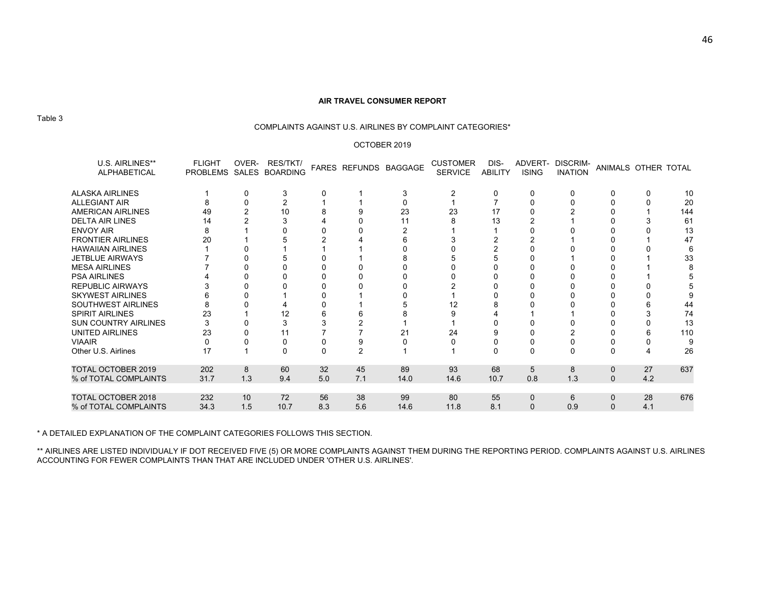#### COMPLAINTS AGAINST U.S. AIRLINES BY COMPLAINT CATEGORIES\*

#### OCTOBER 2019

| U.S. AIRLINES**<br><b>ALPHABETICAL</b> | <b>FLIGHT</b><br>PROBLEMS SALES BOARDING | OVER- | RES/TKT/ |     |     | FARES REFUNDS BAGGAGE | <b>CUSTOMER</b><br><b>SERVICE</b> | DIS-<br><b>ABILITY</b> | ADVERT-<br><b>ISING</b> | <b>DISCRIM-</b><br><b>INATION</b> | ANIMALS OTHER TOTAL |     |     |
|----------------------------------------|------------------------------------------|-------|----------|-----|-----|-----------------------|-----------------------------------|------------------------|-------------------------|-----------------------------------|---------------------|-----|-----|
| <b>ALASKA AIRLINES</b>                 |                                          |       | 3        |     |     |                       |                                   |                        |                         | 0                                 |                     | 0   | 10  |
| <b>ALLEGIANT AIR</b>                   |                                          |       |          |     |     |                       |                                   |                        |                         |                                   |                     |     | 20  |
| <b>AMERICAN AIRLINES</b>               | 49                                       |       | 10       |     |     | 23                    | 23                                | 17                     |                         |                                   |                     |     | 144 |
| <b>DELTA AIR LINES</b>                 | 14                                       |       |          |     |     | 11                    |                                   | 13                     |                         |                                   |                     |     | 61  |
| <b>ENVOY AIR</b>                       |                                          |       |          |     |     |                       |                                   |                        |                         |                                   |                     |     | 13  |
| <b>FRONTIER AIRLINES</b>               | 20                                       |       |          |     |     |                       |                                   |                        |                         |                                   |                     |     | 47  |
| <b>HAWAIIAN AIRLINES</b>               |                                          |       |          |     |     |                       |                                   |                        |                         |                                   |                     |     | 6   |
| <b>JETBLUE AIRWAYS</b>                 |                                          |       |          |     |     |                       |                                   |                        |                         |                                   |                     |     | 33  |
| <b>MESA AIRLINES</b>                   |                                          |       |          |     |     |                       |                                   |                        |                         |                                   |                     |     |     |
| <b>PSA AIRLINES</b>                    |                                          |       |          |     |     |                       |                                   |                        |                         |                                   |                     |     |     |
| <b>REPUBLIC AIRWAYS</b>                |                                          |       |          |     |     |                       |                                   |                        |                         |                                   |                     |     |     |
| <b>SKYWEST AIRLINES</b>                |                                          |       |          |     |     |                       |                                   |                        |                         |                                   |                     |     |     |
| <b>SOUTHWEST AIRLINES</b>              |                                          |       |          |     |     |                       | 12                                |                        |                         |                                   |                     |     | 44  |
| <b>SPIRIT AIRLINES</b>                 | 23                                       |       | 12       |     |     |                       |                                   |                        |                         |                                   |                     |     | 74  |
| <b>SUN COUNTRY AIRLINES</b>            |                                          |       |          |     |     |                       |                                   |                        |                         |                                   |                     |     | 13  |
| UNITED AIRLINES                        | 23                                       |       | 11       |     |     | 21                    | 24                                |                        |                         |                                   |                     |     | 110 |
| <b>VIAAIR</b>                          |                                          |       |          |     | 9   |                       |                                   |                        |                         |                                   |                     |     | 9   |
| Other U.S. Airlines                    | 17                                       |       | $\Omega$ |     | 2   |                       |                                   |                        | O                       |                                   |                     |     | 26  |
| <b>TOTAL OCTOBER 2019</b>              | 202                                      | 8     | 60       | 32  | 45  | 89                    | 93                                | 68                     | 5                       | 8                                 | $\Omega$            | 27  | 637 |
| % of TOTAL COMPLAINTS                  | 31.7                                     | 1.3   | 9.4      | 5.0 | 7.1 | 14.0                  | 14.6                              | 10.7                   | 0.8                     | 1.3                               | $\Omega$            | 4.2 |     |
| <b>TOTAL OCTOBER 2018</b>              | 232                                      | 10    | 72       | 56  | 38  | 99                    | 80                                | 55                     | $\mathbf{0}$            | 6                                 |                     | 28  | 676 |
| % of TOTAL COMPLAINTS                  | 34.3                                     | 1.5   | 10.7     | 8.3 | 5.6 | 14.6                  | 11.8                              | 8.1                    | $\mathbf{0}$            | 0.9                               | $\mathbf{0}$        | 4.1 |     |

\* A DETAILED EXPLANATION OF THE COMPLAINT CATEGORIES FOLLOWS THIS SECTION.

\*\* AIRLINES ARE LISTED INDIVIDUALY IF DOT RECEIVED FIVE (5) OR MORE COMPLAINTS AGAINST THEM DURING THE REPORTING PERIOD. COMPLAINTS AGAINST U.S. AIRLINES<br>ACCOUNTING FOR FEWER COMPLAINTS THAN THAT ARE INCLUDED UNDER 'OTHER

Table 3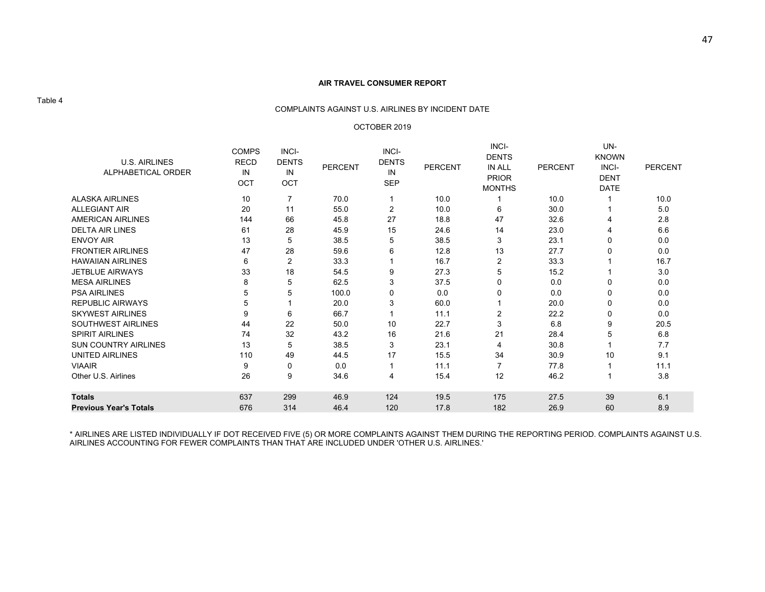#### COMPLAINTS AGAINST U.S. AIRLINES BY INCIDENT DATE

#### OCTOBER 2019

| <b>U.S. AIRLINES</b><br>ALPHABETICAL ORDER<br><b>ALASKA AIRLINES</b> | <b>COMPS</b><br><b>RECD</b><br>IN<br>OCT<br>10 | INCI-<br><b>DENTS</b><br>IN<br>OCT<br>$\overline{7}$ | <b>PERCENT</b><br>70.0 | INCI-<br><b>DENTS</b><br>IN<br><b>SEP</b> | <b>PERCENT</b><br>10.0 | INCI-<br><b>DENTS</b><br>IN ALL<br><b>PRIOR</b><br><b>MONTHS</b> | <b>PERCENT</b><br>10.0 | UN-<br><b>KNOWN</b><br>INCI-<br><b>DENT</b><br><b>DATE</b> | <b>PERCENT</b><br>10.0 |
|----------------------------------------------------------------------|------------------------------------------------|------------------------------------------------------|------------------------|-------------------------------------------|------------------------|------------------------------------------------------------------|------------------------|------------------------------------------------------------|------------------------|
| <b>ALLEGIANT AIR</b>                                                 | 20                                             | 11                                                   | 55.0                   | 2                                         | 10.0                   | 6                                                                | 30.0                   |                                                            | 5.0                    |
| <b>AMERICAN AIRLINES</b>                                             | 144                                            | 66                                                   | 45.8                   | 27                                        | 18.8                   | 47                                                               | 32.6                   |                                                            | 2.8                    |
| <b>DELTA AIR LINES</b>                                               | 61                                             | 28                                                   | 45.9                   | 15                                        | 24.6                   | 14                                                               | 23.0                   |                                                            | 6.6                    |
| <b>ENVOY AIR</b>                                                     | 13                                             | 5                                                    | 38.5                   | 5                                         | 38.5                   | 3                                                                | 23.1                   | $\Omega$                                                   | 0.0                    |
| <b>FRONTIER AIRLINES</b>                                             | 47                                             | 28                                                   | 59.6                   | 6                                         | 12.8                   | 13                                                               | 27.7                   | 0                                                          | 0.0                    |
| <b>HAWAIIAN AIRLINES</b>                                             | 6                                              | 2                                                    | 33.3                   |                                           | 16.7                   | 2                                                                | 33.3                   |                                                            | 16.7                   |
| <b>JETBLUE AIRWAYS</b>                                               | 33                                             | 18                                                   | 54.5                   | 9                                         | 27.3                   | 5                                                                | 15.2                   |                                                            | 3.0                    |
| <b>MESA AIRLINES</b>                                                 | 8                                              | 5                                                    | 62.5                   | 3                                         | 37.5                   |                                                                  | 0.0                    | $\Omega$                                                   | 0.0                    |
| <b>PSA AIRLINES</b>                                                  | 5                                              | 5                                                    | 100.0                  | 0                                         | 0.0                    |                                                                  | 0.0                    | $\mathbf{0}$                                               | 0.0                    |
| <b>REPUBLIC AIRWAYS</b>                                              | 5                                              |                                                      | 20.0                   | 3                                         | 60.0                   |                                                                  | 20.0                   | 0                                                          | 0.0                    |
| <b>SKYWEST AIRLINES</b>                                              | 9                                              | 6                                                    | 66.7                   |                                           | 11.1                   | 2                                                                | 22.2                   | 0                                                          | 0.0                    |
| <b>SOUTHWEST AIRLINES</b>                                            | 44                                             | 22                                                   | 50.0                   | 10                                        | 22.7                   | 3                                                                | 6.8                    | 9                                                          | 20.5                   |
| <b>SPIRIT AIRLINES</b>                                               | 74                                             | 32                                                   | 43.2                   | 16                                        | 21.6                   | 21                                                               | 28.4                   | 5                                                          | 6.8                    |
| <b>SUN COUNTRY AIRLINES</b>                                          | 13                                             | 5                                                    | 38.5                   | 3                                         | 23.1                   | 4                                                                | 30.8                   |                                                            | 7.7                    |
| <b>UNITED AIRLINES</b>                                               | 110                                            | 49                                                   | 44.5                   | 17                                        | 15.5                   | 34                                                               | 30.9                   | 10                                                         | 9.1                    |
| <b>VIAAIR</b>                                                        | 9                                              | 0                                                    | 0.0                    |                                           | 11.1                   |                                                                  | 77.8                   |                                                            | 11.1                   |
| Other U.S. Airlines                                                  | 26                                             | 9                                                    | 34.6                   | 4                                         | 15.4                   | 12                                                               | 46.2                   |                                                            | 3.8                    |
| <b>Totals</b>                                                        | 637                                            | 299                                                  | 46.9                   | 124                                       | 19.5                   | 175                                                              | 27.5                   | 39                                                         | 6.1                    |
| <b>Previous Year's Totals</b>                                        | 676                                            | 314                                                  | 46.4                   | 120                                       | 17.8                   | 182                                                              | 26.9                   | 60                                                         | 8.9                    |

\* AIRLINES ARE LISTED INDIVIDUALLY IF DOT RECEIVED FIVE (5) OR MORE COMPLAINTS AGAINST THEM DURING THE REPORTING PERIOD. COMPLAINTS AGAINST U.S.<br>AIRLINES ACCOUNTING FOR FEWER COMPLAINTS THAN THAT ARE INCLUDED UNDER 'OTHER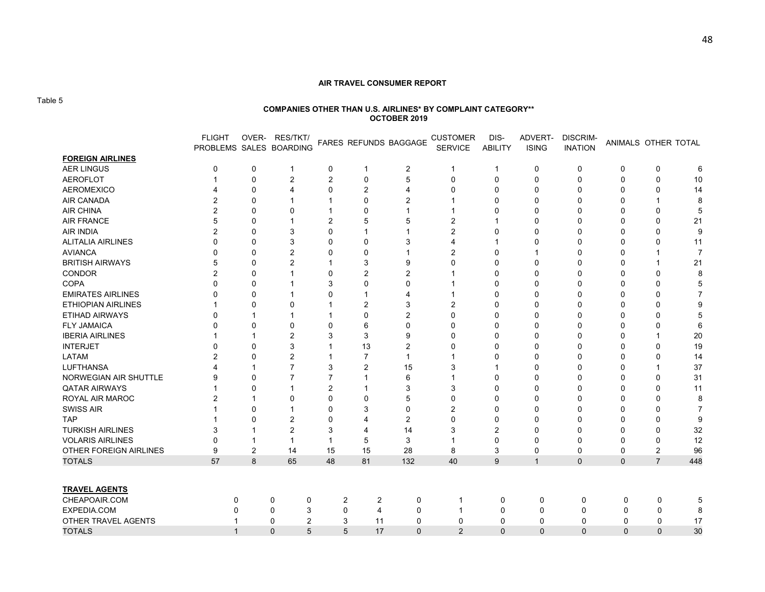Table 5

#### **COMPANIES OTHER THAN U.S. AIRLINES\* BY COMPLAINT CATEGORY\*\* OCTOBER 2019**

|                           | <b>FLIGHT</b>  |                | OVER- RES/TKT/<br>PROBLEMS SALES BOARDING |             |                | FARES REFUNDS BAGGAGE | <b>CUSTOMER</b><br><b>SERVICE</b> | DIS-<br>ABILITY | ADVERT-<br><b>ISING</b> | <b>DISCRIM-</b><br><b>INATION</b> | ANIMALS OTHER TOTAL |                |                |
|---------------------------|----------------|----------------|-------------------------------------------|-------------|----------------|-----------------------|-----------------------------------|-----------------|-------------------------|-----------------------------------|---------------------|----------------|----------------|
| <b>FOREIGN AIRLINES</b>   |                |                |                                           |             |                |                       |                                   |                 |                         |                                   |                     |                |                |
| <b>AER LINGUS</b>         | 0              | 0              | $\mathbf 1$                               | 0           | $\mathbf 1$    | $\overline{2}$        | $\mathbf{1}$                      | $\overline{1}$  | 0                       | 0                                 | 0                   | 0              | 6              |
| <b>AEROFLOT</b>           |                | 0              | 2                                         | 2           | $\mathbf 0$    | 5                     | $\mathbf{0}$                      | 0               | $\Omega$                | $\Omega$                          | $\mathbf{0}$        | 0              | 10             |
| <b>AEROMEXICO</b>         |                | $\mathbf 0$    | 4                                         | 0           | 2              | 4                     | $\Omega$                          | $\Omega$        | $\Omega$                | $\Omega$                          | $\Omega$            | $\Omega$       | 14             |
| AIR CANADA                | $\mathfrak{p}$ | 0              |                                           |             | $\Omega$       | 2                     |                                   | 0               | $\Omega$                | O                                 | O                   |                | 8              |
| <b>AIR CHINA</b>          | $\overline{2}$ | 0              | 0                                         |             | 0              |                       |                                   | 0               | $\Omega$                | n                                 | 0                   | 0              | 5              |
| <b>AIR FRANCE</b>         | 5              | 0              |                                           | 2           | 5              | 5                     | $\overline{2}$                    |                 | n                       |                                   | 0                   | 0              | 21             |
| <b>AIR INDIA</b>          | 2              | 0              | 3                                         | 0           |                |                       | $\overline{2}$                    | 0               |                         |                                   | O                   | 0              | 9              |
| <b>ALITALIA AIRLINES</b>  | $\Omega$       | O              | 3                                         | O           | $\Omega$       | 3                     | $\boldsymbol{\Delta}$             |                 |                         |                                   | O                   | 0              | 11             |
| <b>AVIANCA</b>            | O              | 0              | $\overline{2}$                            | 0           | $\Omega$       |                       | $\overline{2}$                    | O               |                         |                                   | O                   |                | $\overline{7}$ |
| <b>BRITISH AIRWAYS</b>    | 5              | 0              | 2                                         |             | 3              | 9                     | $\Omega$                          | O               |                         |                                   |                     |                | 21             |
| CONDOR                    | 2              | 0              |                                           | 0           | 2              | 2                     |                                   | 0               | n                       |                                   |                     | 0              |                |
| <b>COPA</b>               | $\Omega$       | 0              |                                           | 3           | $\Omega$       | 0                     |                                   | 0               | O                       |                                   |                     | 0              |                |
| <b>EMIRATES AIRLINES</b>  |                | 0              |                                           | 0           |                |                       |                                   | 0               | O                       |                                   |                     | $\Omega$       |                |
| <b>ETHIOPIAN AIRLINES</b> |                | 0              | 0                                         |             | 2              | 3                     | $\overline{2}$                    | 0               |                         |                                   |                     | $\Omega$       |                |
| <b>ETIHAD AIRWAYS</b>     | $\Omega$       |                |                                           |             | $\Omega$       | 2                     | $\Omega$                          | $\Omega$        | $\Omega$                | O                                 | O                   | O              |                |
| <b>FLY JAMAICA</b>        | $\Omega$       | $\Omega$       | 0                                         | 0           | 6              | $\Omega$              | $\Omega$                          | 0               | ∩                       | n                                 | ∩                   | O              |                |
| <b>IBERIA AIRLINES</b>    |                | 1              | $\overline{2}$                            | 3           | 3              | 9                     | $\Omega$                          | $\Omega$        | $\Omega$                | O                                 | O                   |                | 20             |
| <b>INTERJET</b>           | $\Omega$       | $\mathbf 0$    | 3                                         |             | 13             | 2                     | $\Omega$                          | 0               | ∩                       | ∩                                 | O                   | 0              | 19             |
| <b>LATAM</b>              | 2              | 0              | 2                                         |             | $\overline{7}$ |                       |                                   | 0               | n                       | 0                                 | O                   | 0              | 14             |
| <b>LUFTHANSA</b>          |                |                | 7                                         | 3           | 2              | 15                    | 3                                 |                 | n                       | O                                 | O                   |                | 37             |
| NORWEGIAN AIR SHUTTLE     | 9              | 0              | 7                                         | 7           |                | 6                     |                                   | 0               | n                       |                                   |                     | 0              | 31             |
| <b>QATAR AIRWAYS</b>      |                | $\Omega$       |                                           | 2           |                | 3                     | 3                                 | 0               | n                       |                                   |                     | $\Omega$       | 11             |
| ROYAL AIR MAROC           | 2              |                | 0                                         | 0           | $\Omega$       | 5                     | $\Omega$                          | O               | n                       |                                   |                     | 0              | 8              |
| <b>SWISS AIR</b>          |                | 0              |                                           | 0           | 3              | $\Omega$              | $\overline{2}$                    | O               | n                       |                                   | O                   | O              | 7              |
| <b>TAP</b>                |                | 0              | 2                                         | 0           | 4              | 2                     | $\Omega$                          | U               |                         |                                   |                     | 0              | 9              |
| <b>TURKISH AIRLINES</b>   | 3              |                | 2                                         | 3           | 4              | 14                    | 3                                 | 2               | n                       |                                   | 0                   | 0              | 32             |
| <b>VOLARIS AIRLINES</b>   | 0              |                | 1                                         |             | 5              | 3                     |                                   | 0               | n                       | n                                 | 0                   | 0              | 12             |
| OTHER FOREIGN AIRLINES    | 9              | $\overline{2}$ | 14                                        | 15          | 15             | 28                    | 8                                 | 3               | 0                       | 0                                 | 0                   | $\overline{2}$ | 96             |
| <b>TOTALS</b>             | 57             | 8              | 65                                        | 48          | 81             | 132                   | 40                                | 9               | $\overline{1}$          | $\Omega$                          | $\Omega$            | $\overline{7}$ | 448            |
|                           |                |                |                                           |             |                |                       |                                   |                 |                         |                                   |                     |                |                |
| <b>TRAVEL AGENTS</b>      |                |                |                                           |             |                |                       |                                   |                 |                         |                                   |                     |                |                |
| CHEAPOAIR.COM             | 0              |                | 0<br>0                                    |             | 2<br>2         | 0                     | 1                                 | 0               | 0                       | 0                                 | 0                   | 0              |                |
| EXPEDIA.COM               |                |                | 3<br>0                                    | $\mathbf 0$ | 4              | 0                     | 1                                 | 0               | 0                       | 0                                 | 0                   | 0              | 8              |
| OTHER TRAVEL AGENTS       |                |                | $\overline{2}$<br>$\mathbf 0$             | 3           | 11             | $\mathbf 0$           | $\mathbf 0$                       | $\mathbf 0$     | 0                       | 0                                 | $\mathbf 0$         | $\mathbf 0$    | 17             |
| <b>TOTALS</b>             | $\overline{1}$ |                | 5<br>$\mathbf 0$                          |             | 5<br>17        | $\Omega$              | $\overline{2}$                    | $\Omega$        | $\Omega$                | $\Omega$                          | $\Omega$            | $\Omega$       | 30             |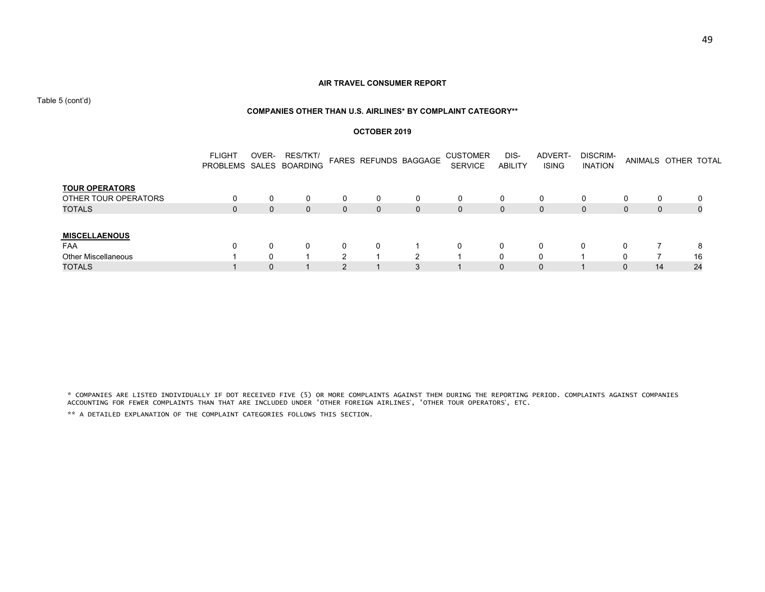Table 5 (cont'd)

#### **COMPANIES OTHER THAN U.S. AIRLINES\* BY COMPLAINT CATEGORY\*\***

#### **OCTOBER 2019**

|                            | <b>FLIGHT</b> | OVER-       | RES/TKT/<br>PROBLEMS SALES BOARDING |   |          | FARES REFUNDS BAGGAGE | <b>CUSTOMER</b><br><b>SERVICE</b> | DIS-<br><b>ABILITY</b> | ADVERT-<br><b>ISING</b> | DISCRIM-<br><b>INATION</b> |              | ANIMALS OTHER TOTAL |    |
|----------------------------|---------------|-------------|-------------------------------------|---|----------|-----------------------|-----------------------------------|------------------------|-------------------------|----------------------------|--------------|---------------------|----|
| <b>TOUR OPERATORS</b>      |               |             |                                     |   |          |                       |                                   |                        |                         |                            |              |                     |    |
| OTHER TOUR OPERATORS       | 0             |             |                                     |   |          | 0                     | 0                                 |                        |                         | 0                          |              | $\Omega$            |    |
| <b>TOTALS</b>              | 0             | $\mathbf 0$ | $\mathbf 0$                         | 0 | $\Omega$ | 0                     | 0                                 | $\Omega$               | 0                       | $\mathbf{0}$               | $\mathbf{0}$ | $\mathbf{0}$        | 0  |
| <b>MISCELLAENOUS</b>       |               |             |                                     |   |          |                       |                                   |                        |                         |                            |              |                     |    |
| <b>FAA</b>                 | $\Omega$      |             |                                     |   | 0        |                       | $\Omega$                          | 0                      |                         | 0                          | 0            |                     | 8  |
| <b>Other Miscellaneous</b> |               |             |                                     |   |          |                       |                                   | 0                      |                         |                            | 0            |                     | 16 |
| <b>TOTALS</b>              |               |             |                                     |   |          |                       |                                   | 0                      |                         |                            | 0            | 14                  | 24 |

\* COMPANIES ARE LISTED INDIVIDUALLY IF DOT RECEIVED FIVE (5) OR MORE COMPLAINTS AGAINST THEM DURING THE REPORTING PERIOD. COMPLAINTS AGAINST COMPANIES ACCOUNTING FOR FEWER COMPLAINTS THAN THAT ARE INCLUDED UNDER 'OTHER FOREIGN AIRLINES', 'OTHER TOUR OPERATORS', ETC.

\*\* A DETAILED EXPLANATION OF THE COMPLAINT CATEGORIES FOLLOWS THIS SECTION.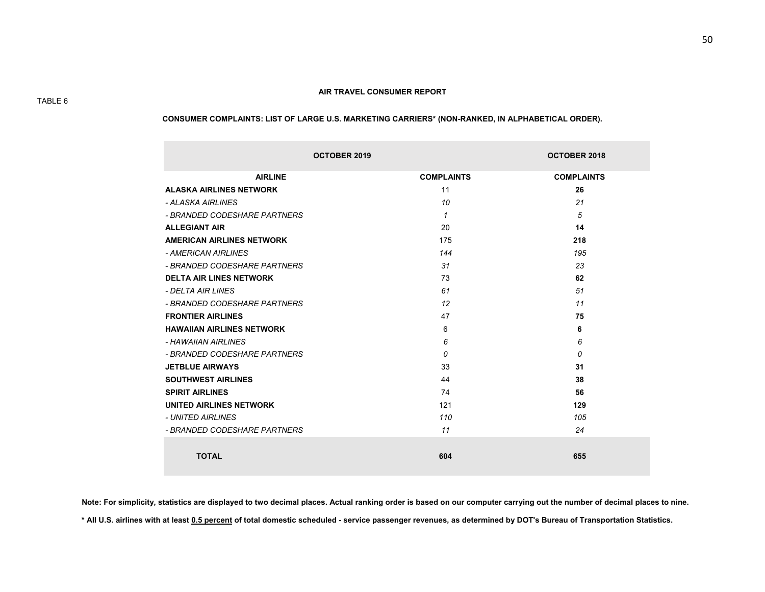#### **CONSUMER COMPLAINTS: LIST OF LARGE U.S. MARKETING CARRIERS\* (NON-RANKED, IN ALPHABETICAL ORDER).**

|                                  | <b>OCTOBER 2019</b> | <b>OCTOBER 2018</b> |
|----------------------------------|---------------------|---------------------|
| <b>AIRLINE</b>                   | <b>COMPLAINTS</b>   | <b>COMPLAINTS</b>   |
| <b>ALASKA AIRLINES NETWORK</b>   | 11                  | 26                  |
| - ALASKA AIRLINES                | 10                  | 21                  |
| - BRANDED CODESHARE PARTNERS     | 1                   | 5                   |
| <b>ALLEGIANT AIR</b>             | 20                  | 14                  |
| <b>AMERICAN AIRLINES NETWORK</b> | 175                 | 218                 |
| - AMERICAN AIRI INES             | 144                 | 195                 |
| - BRANDED CODESHARE PARTNERS     | 31                  | 23                  |
| <b>DELTA AIR LINES NETWORK</b>   | 73                  | 62                  |
| - DELTA AIR LINES                | 61                  | 51                  |
| - BRANDED CODESHARE PARTNERS     | 12                  | 11                  |
| <b>FRONTIER AIRLINES</b>         | 47                  | 75                  |
| <b>HAWAIIAN AIRLINES NETWORK</b> | 6                   | 6                   |
| - HAWAIIAN AIRLINES              | 6                   | 6                   |
| - BRANDED CODESHARE PARTNERS     | $\Omega$            | 0                   |
| <b>JETBLUE AIRWAYS</b>           | 33                  | 31                  |
| <b>SOUTHWEST AIRLINES</b>        | 44                  | 38                  |
| <b>SPIRIT AIRLINES</b>           | 74                  | 56                  |
| <b>UNITED AIRLINES NETWORK</b>   | 121                 | 129                 |
| - UNITED AIRI INES               | 110                 | 105                 |
| - BRANDED CODESHARE PARTNERS     | 11                  | 24                  |
| <b>TOTAL</b>                     | 604                 | 655                 |

**Note: For simplicity, statistics are displayed to two decimal places. Actual ranking order is based on our computer carrying out the number of decimal places to nine. \* All U.S. airlines with at least 0.5 percent of total domestic scheduled - service passenger revenues, as determined by DOT's Bureau of Transportation Statistics.**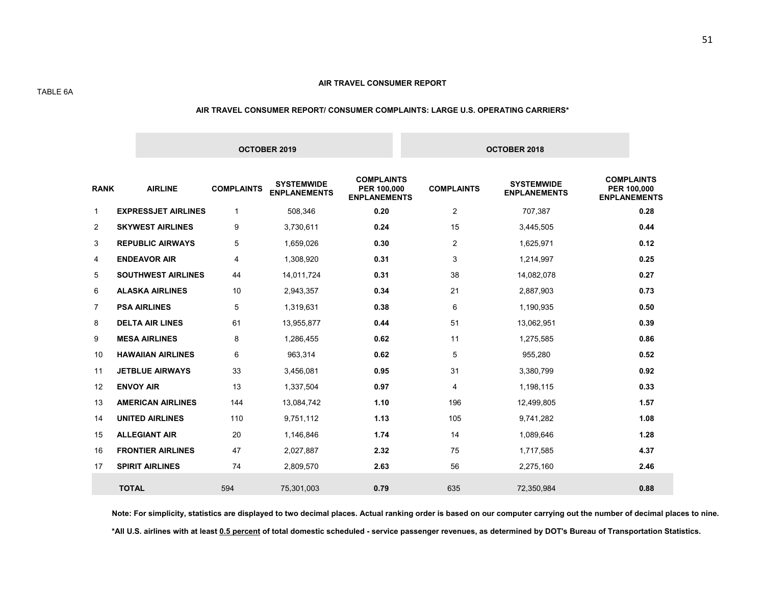#### TABLE 6A

#### **AIR TRAVEL CONSUMER REPORT/ CONSUMER COMPLAINTS: LARGE U.S. OPERATING CARRIERS\***

|              |                            |                   | OCTOBER 2019                             |                                                         |                   | OCTOBER 2018                             |                                                         |
|--------------|----------------------------|-------------------|------------------------------------------|---------------------------------------------------------|-------------------|------------------------------------------|---------------------------------------------------------|
| <b>RANK</b>  | <b>AIRLINE</b>             | <b>COMPLAINTS</b> | <b>SYSTEMWIDE</b><br><b>ENPLANEMENTS</b> | <b>COMPLAINTS</b><br>PER 100,000<br><b>ENPLANEMENTS</b> | <b>COMPLAINTS</b> | <b>SYSTEMWIDE</b><br><b>ENPLANEMENTS</b> | <b>COMPLAINTS</b><br>PER 100,000<br><b>ENPLANEMENTS</b> |
| $\mathbf{1}$ | <b>EXPRESSJET AIRLINES</b> | $\mathbf{1}$      | 508,346                                  | 0.20                                                    | $\overline{2}$    | 707,387                                  | 0.28                                                    |
| 2            | <b>SKYWEST AIRLINES</b>    | 9                 | 3,730,611                                | 0.24                                                    | 15                | 3,445,505                                | 0.44                                                    |
| 3            | <b>REPUBLIC AIRWAYS</b>    | 5                 | 1,659,026                                | 0.30                                                    | 2                 | 1,625,971                                | 0.12                                                    |
| 4            | <b>ENDEAVOR AIR</b>        | 4                 | 1,308,920                                | 0.31                                                    | 3                 | 1,214,997                                | 0.25                                                    |
| 5            | <b>SOUTHWEST AIRLINES</b>  | 44                | 14,011,724                               | 0.31                                                    | 38                | 14,082,078                               | 0.27                                                    |
| 6            | <b>ALASKA AIRLINES</b>     | 10                | 2,943,357                                | 0.34                                                    | 21                | 2,887,903                                | 0.73                                                    |
| 7            | <b>PSA AIRLINES</b>        | 5                 | 1,319,631                                | 0.38                                                    | 6                 | 1,190,935                                | 0.50                                                    |
| 8            | <b>DELTA AIR LINES</b>     | 61                | 13,955,877                               | 0.44                                                    | 51                | 13,062,951                               | 0.39                                                    |
| 9            | <b>MESA AIRLINES</b>       | 8                 | 1,286,455                                | 0.62                                                    | 11                | 1,275,585                                | 0.86                                                    |
| 10           | <b>HAWAIIAN AIRLINES</b>   | 6                 | 963,314                                  | 0.62                                                    | 5                 | 955,280                                  | 0.52                                                    |
| 11           | <b>JETBLUE AIRWAYS</b>     | 33                | 3,456,081                                | 0.95                                                    | 31                | 3,380,799                                | 0.92                                                    |
| 12           | <b>ENVOY AIR</b>           | 13                | 1,337,504                                | 0.97                                                    | $\overline{4}$    | 1,198,115                                | 0.33                                                    |
| 13           | <b>AMERICAN AIRLINES</b>   | 144               | 13,084,742                               | 1.10                                                    | 196               | 12,499,805                               | 1.57                                                    |
| 14           | <b>UNITED AIRLINES</b>     | 110               | 9,751,112                                | 1.13                                                    | 105               | 9,741,282                                | 1.08                                                    |
| 15           | <b>ALLEGIANT AIR</b>       | 20                | 1,146,846                                | 1.74                                                    | 14                | 1,089,646                                | 1.28                                                    |
| 16           | <b>FRONTIER AIRLINES</b>   | 47                | 2,027,887                                | 2.32                                                    | 75                | 1,717,585                                | 4.37                                                    |
| 17           | <b>SPIRIT AIRLINES</b>     | 74                | 2,809,570                                | 2.63                                                    | 56                | 2,275,160                                | 2.46                                                    |
|              | <b>TOTAL</b>               | 594               | 75,301,003                               | 0.79                                                    | 635               | 72,350,984                               | 0.88                                                    |

**Note: For simplicity, statistics are displayed to two decimal places. Actual ranking order is based on our computer carrying out the number of decimal places to nine. \*All U.S. airlines with at least 0.5 percent of total domestic scheduled - service passenger revenues, as determined by DOT's Bureau of Transportation Statistics.**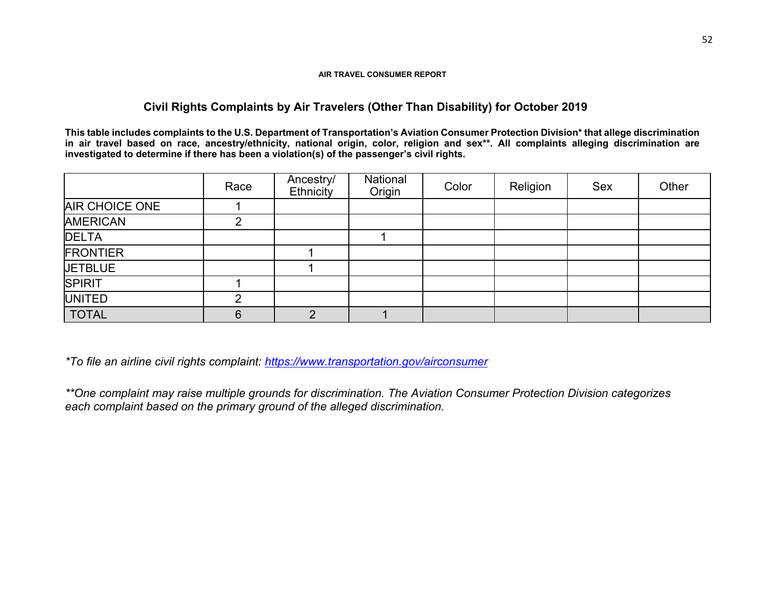# **Civil Rights Complaints by Air Travelers (Other Than Disability) for October 2019**

**This table includes complaints to the U.S. Department of Transportation's Aviation Consumer Protection Division\* that allege discrimination**  in air travel based on race, ancestry/ethnicity, national origin, color, religion and sex\*\*. All complaints alleging discrimination are **investigated to determine if there has been a violation(s) of the passenger's civil rights.** 

|                       | Race | Ancestry/<br>Ethnicity | National<br>Origin | Color | Religion | <b>Sex</b> | Other |
|-----------------------|------|------------------------|--------------------|-------|----------|------------|-------|
| <b>AIR CHOICE ONE</b> |      |                        |                    |       |          |            |       |
| <b>AMERICAN</b>       | ⌒    |                        |                    |       |          |            |       |
| <b>DELTA</b>          |      |                        |                    |       |          |            |       |
| <b>FRONTIER</b>       |      |                        |                    |       |          |            |       |
| <b>JETBLUE</b>        |      |                        |                    |       |          |            |       |
| <b>SPIRIT</b>         |      |                        |                    |       |          |            |       |
| <b>UNITED</b>         | ⌒    |                        |                    |       |          |            |       |
| <b>TOTAL</b>          | 6    | C                      |                    |       |          |            |       |

*\*To file an airline civil rights complaint: https://www.transportation.gov/airconsumer*

*\*\*One complaint may raise multiple grounds for discrimination. The Aviation Consumer Protection Division categorizes each complaint based on the primary ground of the alleged discrimination.*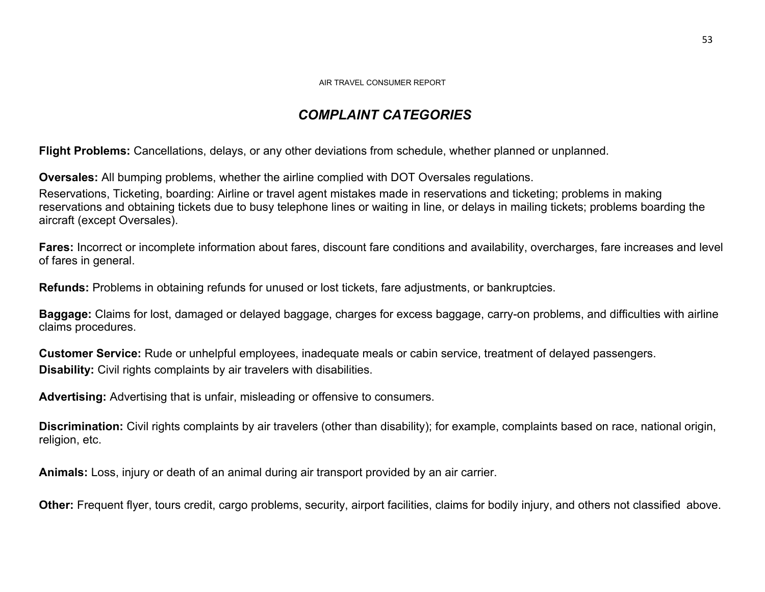# *COMPLAINT CATEGORIES*

**Flight Problems:** Cancellations, delays, or any other deviations from schedule, whether planned or unplanned.

**Oversales:** All bumping problems, whether the airline complied with DOT Oversales regulations.

Reservations, Ticketing, boarding: Airline or travel agent mistakes made in reservations and ticketing; problems in making reservations and obtaining tickets due to busy telephone lines or waiting in line, or delays in mailing tickets; problems boarding the aircraft (except Oversales).

**Fares:** Incorrect or incomplete information about fares, discount fare conditions and availability, overcharges, fare increases and level of fares in general.

**Refunds:** Problems in obtaining refunds for unused or lost tickets, fare adjustments, or bankruptcies.

**Baggage:** Claims for lost, damaged or delayed baggage, charges for excess baggage, carry-on problems, and difficulties with airline claims procedures.

**Customer Service:** Rude or unhelpful employees, inadequate meals or cabin service, treatment of delayed passengers. **Disability:** Civil rights complaints by air travelers with disabilities.

**Advertising:** Advertising that is unfair, misleading or offensive to consumers.

**Discrimination:** Civil rights complaints by air travelers (other than disability); for example, complaints based on race, national origin, religion, etc.

**Animals:** Loss, injury or death of an animal during air transport provided by an air carrier.

**Other:** Frequent flyer, tours credit, cargo problems, security, airport facilities, claims for bodily injury, and others not classified above.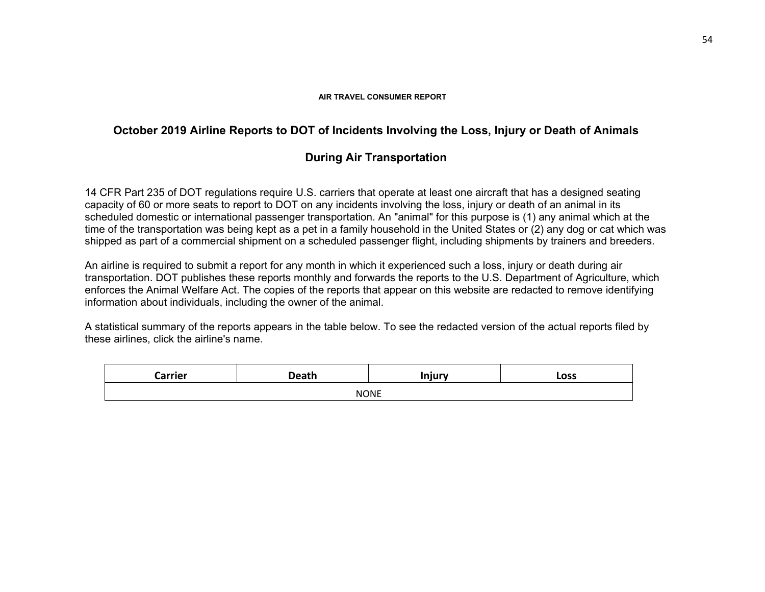# **October 2019 Airline Reports to DOT of Incidents Involving the Loss, Injury or Death of Animals**

# **During Air Transportation**

14 CFR Part 235 of DOT regulations require U.S. carriers that operate at least one aircraft that has a designed seating capacity of 60 or more seats to report to DOT on any incidents involving the loss, injury or death of an animal in its scheduled domestic or international passenger transportation. An "animal" for this purpose is (1) any animal which at the time of the transportation was being kept as a pet in a family household in the United States or (2) any dog or cat which was shipped as part of a commercial shipment on a scheduled passenger flight, including shipments by trainers and breeders.

An airline is required to submit a report for any month in which it experienced such a loss, injury or death during air transportation. DOT publishes these reports monthly and forwards the reports to the U.S. Department of Agriculture, which enforces the Animal Welfare Act. The copies of the reports that appear on this website are redacted to remove identifying information about individuals, including the owner of the animal.

A statistical summary of the reports appears in the table below. To see the redacted version of the actual reports filed by these airlines, click the airline's name.

| $^\sim$<br>11C. | つeath       | Injury | Loss |  |  |  |  |  |  |  |
|-----------------|-------------|--------|------|--|--|--|--|--|--|--|
|                 | <b>NONE</b> |        |      |  |  |  |  |  |  |  |